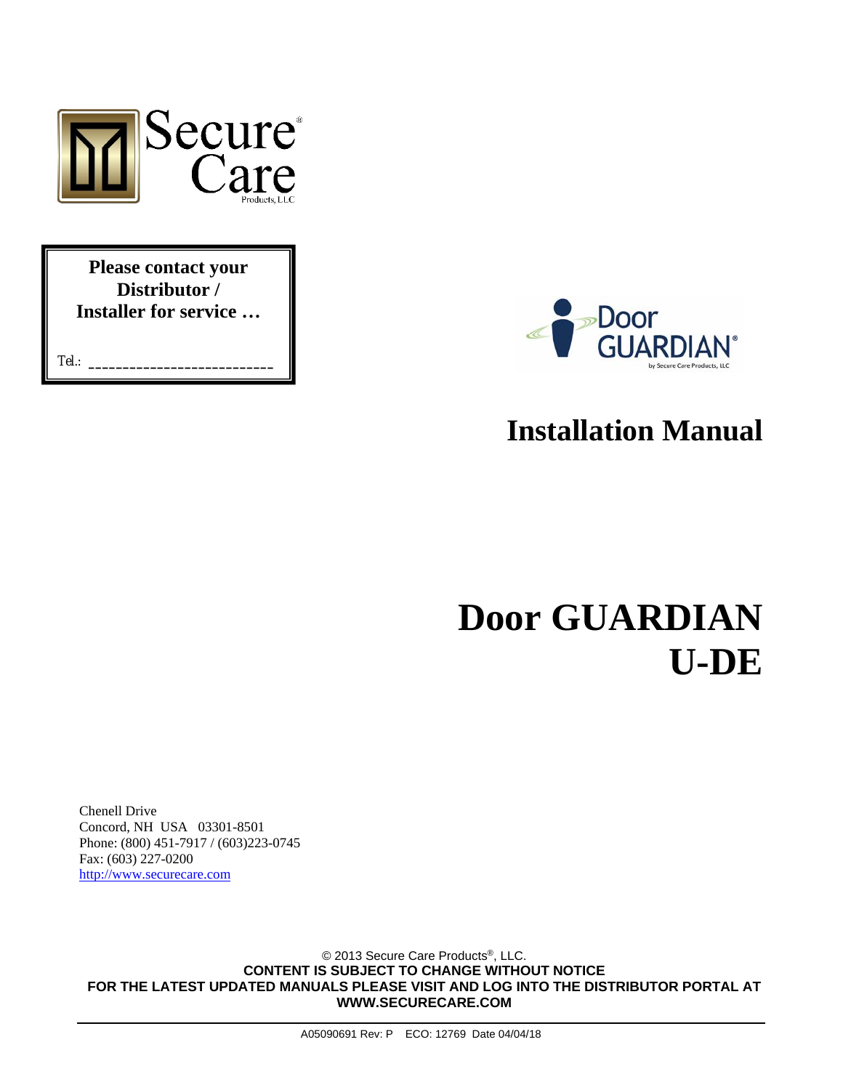

**Please contact your Distributor / Installer for service …** 

Tel.: **\_\_\_\_\_\_\_\_\_\_\_\_\_\_\_\_\_\_\_\_\_\_\_\_\_\_\_**



# **Installation Manual**

# **Door GUARDIAN U-DE**

Chenell Drive Concord, NH USA 03301-8501 Phone: (800) 451-7917 / (603)223-0745 Fax: (603) 227-0200 http://www.securecare.com

© 2013 Secure Care Products®, LLC. **CONTENT IS SUBJECT TO CHANGE WITHOUT NOTICE FOR THE LATEST UPDATED MANUALS PLEASE VISIT AND LOG INTO THE DISTRIBUTOR PORTAL AT WWW.SECURECARE.COM**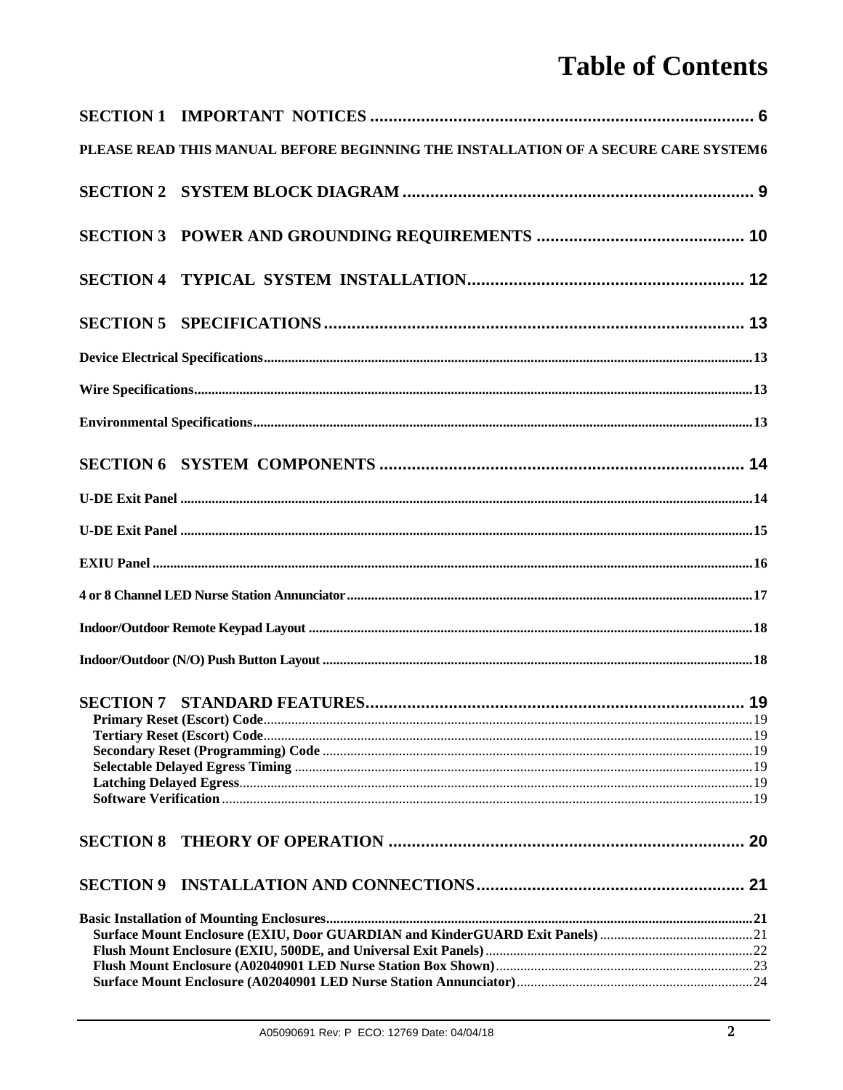# **Table of Contents**

| PLEASE READ THIS MANUAL BEFORE BEGINNING THE INSTALLATION OF A SECURE CARE SYSTEM6 |  |
|------------------------------------------------------------------------------------|--|
|                                                                                    |  |
|                                                                                    |  |
|                                                                                    |  |
|                                                                                    |  |
|                                                                                    |  |
|                                                                                    |  |
|                                                                                    |  |
|                                                                                    |  |
|                                                                                    |  |
|                                                                                    |  |
|                                                                                    |  |
|                                                                                    |  |
|                                                                                    |  |
|                                                                                    |  |
|                                                                                    |  |
|                                                                                    |  |
|                                                                                    |  |
|                                                                                    |  |
|                                                                                    |  |
|                                                                                    |  |
|                                                                                    |  |
|                                                                                    |  |
|                                                                                    |  |
|                                                                                    |  |
|                                                                                    |  |
|                                                                                    |  |
|                                                                                    |  |
|                                                                                    |  |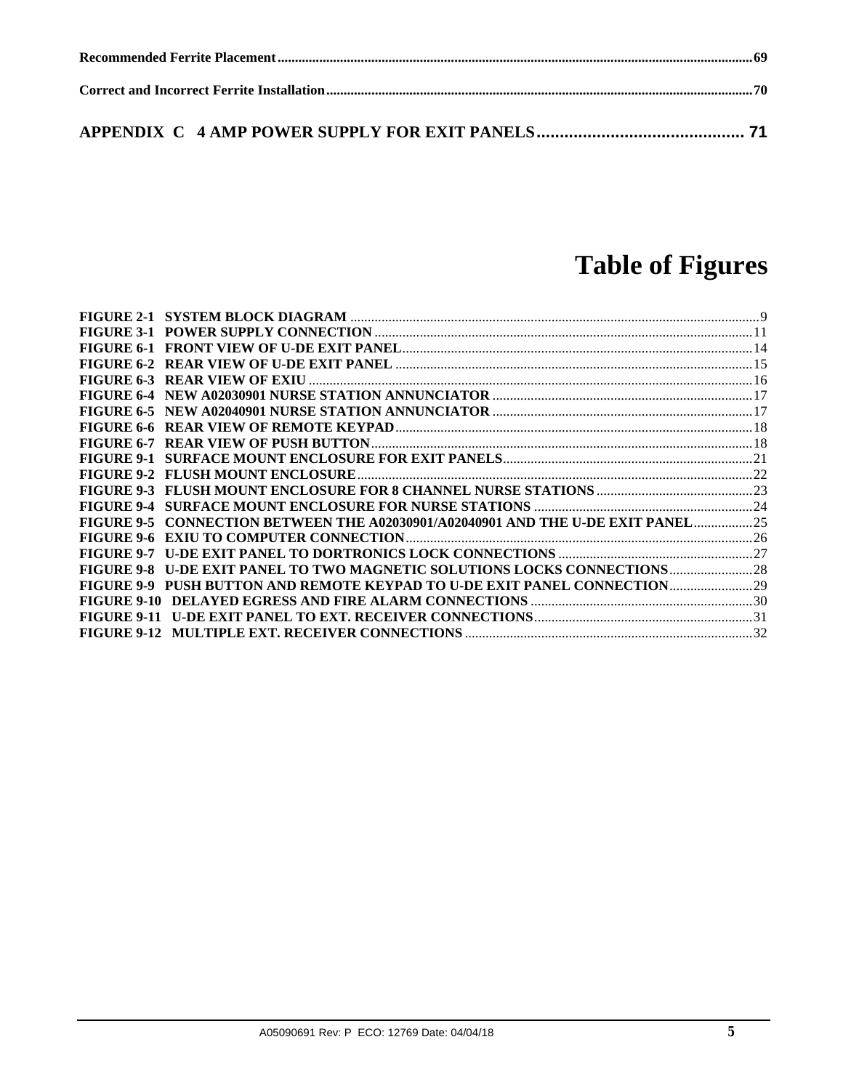# **Table of Figures**

| <b>FIGURE 6-7</b>  |                                                                               |  |
|--------------------|-------------------------------------------------------------------------------|--|
|                    |                                                                               |  |
|                    |                                                                               |  |
|                    |                                                                               |  |
| <b>FIGURE 9-4</b>  |                                                                               |  |
|                    | FIGURE 9-5 CONNECTION BETWEEN THE A02030901/A02040901 AND THE U-DE EXIT PANEL |  |
|                    |                                                                               |  |
| <b>FIGURE 9-7</b>  |                                                                               |  |
| FIGURE 9-8         |                                                                               |  |
|                    | FIGURE 9-9 PUSH BUTTON AND REMOTE KEYPAD TO U-DE EXIT PANEL CONNECTION 29     |  |
|                    |                                                                               |  |
| <b>FIGURE 9-11</b> |                                                                               |  |
|                    |                                                                               |  |
|                    |                                                                               |  |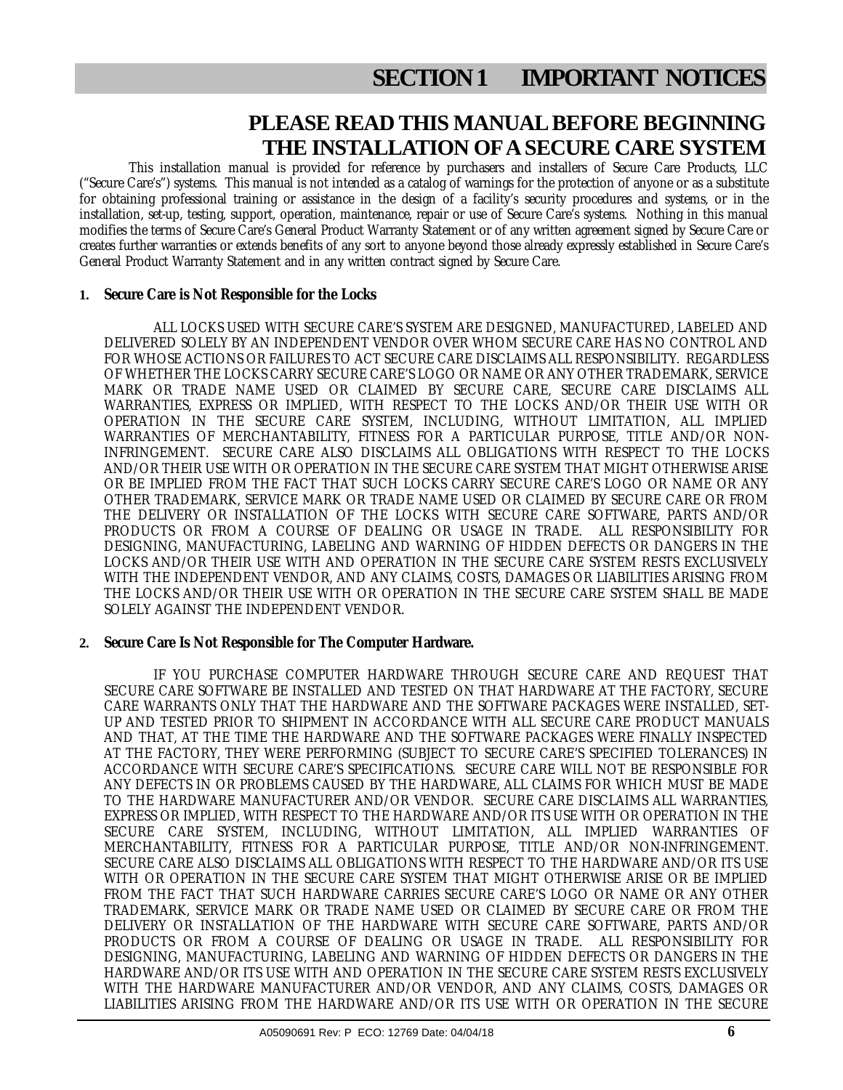## **PLEASE READ THIS MANUAL BEFORE BEGINNING THE INSTALLATION OF A SECURE CARE SYSTEM**

This installation manual is provided for reference by purchasers and installers of Secure Care Products, LLC ("Secure Care's") systems. This manual is not intended as a catalog of warnings for the protection of anyone or as a substitute for obtaining professional training or assistance in the design of a facility's security procedures and systems, or in the installation, set-up, testing, support, operation, maintenance, repair or use of Secure Care's systems. Nothing in this manual modifies the terms of Secure Care's General Product Warranty Statement or of any written agreement signed by Secure Care or creates further warranties or extends benefits of any sort to anyone beyond those already expressly established in Secure Care's General Product Warranty Statement and in any written contract signed by Secure Care.

#### **1. Secure Care is Not Responsible for the Locks**

ALL LOCKS USED WITH SECURE CARE'S SYSTEM ARE DESIGNED, MANUFACTURED, LABELED AND DELIVERED SOLELY BY AN INDEPENDENT VENDOR OVER WHOM SECURE CARE HAS NO CONTROL AND FOR WHOSE ACTIONS OR FAILURES TO ACT SECURE CARE DISCLAIMS ALL RESPONSIBILITY. REGARDLESS OF WHETHER THE LOCKS CARRY SECURE CARE'S LOGO OR NAME OR ANY OTHER TRADEMARK, SERVICE MARK OR TRADE NAME USED OR CLAIMED BY SECURE CARE, SECURE CARE DISCLAIMS ALL WARRANTIES, EXPRESS OR IMPLIED, WITH RESPECT TO THE LOCKS AND/OR THEIR USE WITH OR OPERATION IN THE SECURE CARE SYSTEM, INCLUDING, WITHOUT LIMITATION, ALL IMPLIED WARRANTIES OF MERCHANTABILITY, FITNESS FOR A PARTICULAR PURPOSE, TITLE AND/OR NON-INFRINGEMENT. SECURE CARE ALSO DISCLAIMS ALL OBLIGATIONS WITH RESPECT TO THE LOCKS AND/OR THEIR USE WITH OR OPERATION IN THE SECURE CARE SYSTEM THAT MIGHT OTHERWISE ARISE OR BE IMPLIED FROM THE FACT THAT SUCH LOCKS CARRY SECURE CARE'S LOGO OR NAME OR ANY OTHER TRADEMARK, SERVICE MARK OR TRADE NAME USED OR CLAIMED BY SECURE CARE OR FROM THE DELIVERY OR INSTALLATION OF THE LOCKS WITH SECURE CARE SOFTWARE, PARTS AND/OR PRODUCTS OR FROM A COURSE OF DEALING OR USAGE IN TRADE. ALL RESPONSIBILITY FOR DESIGNING, MANUFACTURING, LABELING AND WARNING OF HIDDEN DEFECTS OR DANGERS IN THE LOCKS AND/OR THEIR USE WITH AND OPERATION IN THE SECURE CARE SYSTEM RESTS EXCLUSIVELY WITH THE INDEPENDENT VENDOR, AND ANY CLAIMS, COSTS, DAMAGES OR LIABILITIES ARISING FROM THE LOCKS AND/OR THEIR USE WITH OR OPERATION IN THE SECURE CARE SYSTEM SHALL BE MADE SOLELY AGAINST THE INDEPENDENT VENDOR.

#### **2. Secure Care Is Not Responsible for The Computer Hardware.**

IF YOU PURCHASE COMPUTER HARDWARE THROUGH SECURE CARE AND REQUEST THAT SECURE CARE SOFTWARE BE INSTALLED AND TESTED ON THAT HARDWARE AT THE FACTORY, SECURE CARE WARRANTS ONLY THAT THE HARDWARE AND THE SOFTWARE PACKAGES WERE INSTALLED, SET-UP AND TESTED PRIOR TO SHIPMENT IN ACCORDANCE WITH ALL SECURE CARE PRODUCT MANUALS AND THAT, AT THE TIME THE HARDWARE AND THE SOFTWARE PACKAGES WERE FINALLY INSPECTED AT THE FACTORY, THEY WERE PERFORMING (SUBJECT TO SECURE CARE'S SPECIFIED TOLERANCES) IN ACCORDANCE WITH SECURE CARE'S SPECIFICATIONS. SECURE CARE WILL NOT BE RESPONSIBLE FOR ANY DEFECTS IN OR PROBLEMS CAUSED BY THE HARDWARE, ALL CLAIMS FOR WHICH MUST BE MADE TO THE HARDWARE MANUFACTURER AND/OR VENDOR. SECURE CARE DISCLAIMS ALL WARRANTIES, EXPRESS OR IMPLIED, WITH RESPECT TO THE HARDWARE AND/OR ITS USE WITH OR OPERATION IN THE SECURE CARE SYSTEM, INCLUDING, WITHOUT LIMITATION, ALL IMPLIED WARRANTIES OF MERCHANTABILITY, FITNESS FOR A PARTICULAR PURPOSE, TITLE AND/OR NON-INFRINGEMENT. SECURE CARE ALSO DISCLAIMS ALL OBLIGATIONS WITH RESPECT TO THE HARDWARE AND/OR ITS USE WITH OR OPERATION IN THE SECURE CARE SYSTEM THAT MIGHT OTHERWISE ARISE OR BE IMPLIED FROM THE FACT THAT SUCH HARDWARE CARRIES SECURE CARE'S LOGO OR NAME OR ANY OTHER TRADEMARK, SERVICE MARK OR TRADE NAME USED OR CLAIMED BY SECURE CARE OR FROM THE DELIVERY OR INSTALLATION OF THE HARDWARE WITH SECURE CARE SOFTWARE, PARTS AND/OR PRODUCTS OR FROM A COURSE OF DEALING OR USAGE IN TRADE. ALL RESPONSIBILITY FOR DESIGNING, MANUFACTURING, LABELING AND WARNING OF HIDDEN DEFECTS OR DANGERS IN THE HARDWARE AND/OR ITS USE WITH AND OPERATION IN THE SECURE CARE SYSTEM RESTS EXCLUSIVELY WITH THE HARDWARE MANUFACTURER AND/OR VENDOR, AND ANY CLAIMS, COSTS, DAMAGES OR LIABILITIES ARISING FROM THE HARDWARE AND/OR ITS USE WITH OR OPERATION IN THE SECURE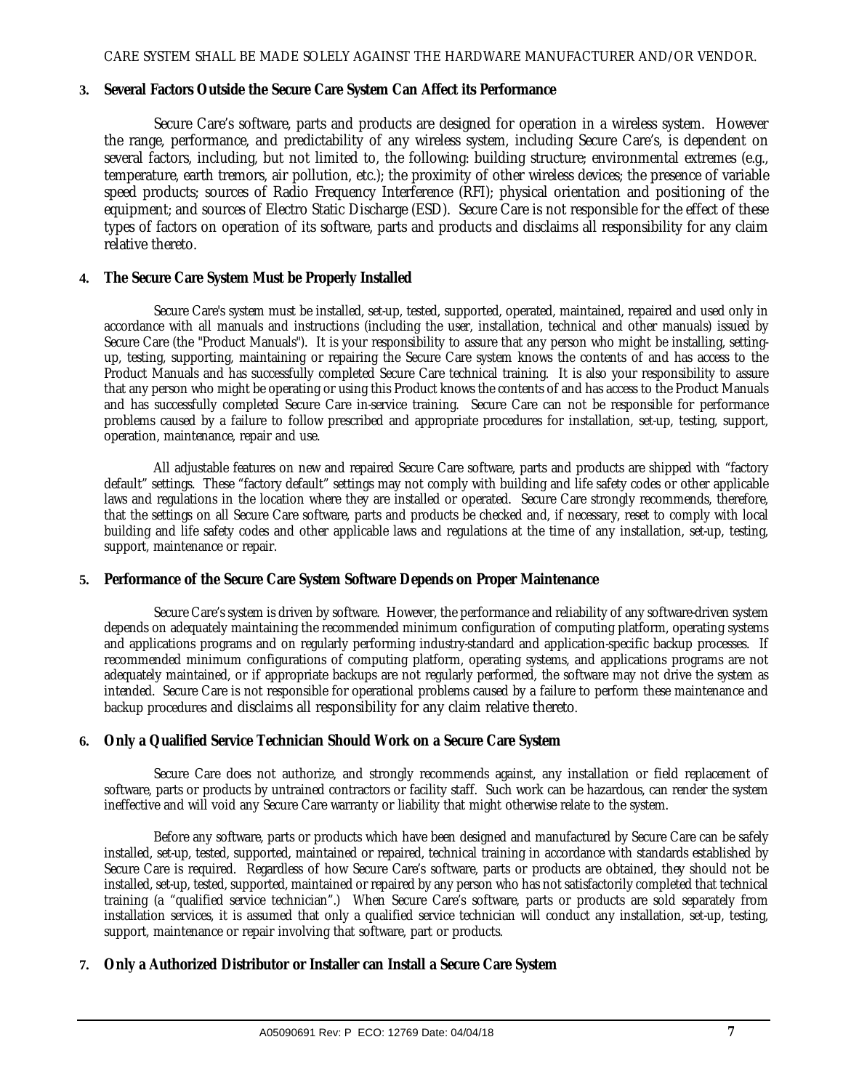#### **3. Several Factors Outside the Secure Care System Can Affect its Performance**

Secure Care's software, parts and products are designed for operation in a wireless system. However the range, performance, and predictability of any wireless system, including Secure Care's, is dependent on several factors, including, but not limited to, the following: building structure; environmental extremes (e.g., temperature, earth tremors, air pollution, etc.); the proximity of other wireless devices; the presence of variable speed products; sources of Radio Frequency Interference (RFI); physical orientation and positioning of the equipment; and sources of Electro Static Discharge (ESD). Secure Care is not responsible for the effect of these types of factors on operation of its software, parts and products and disclaims all responsibility for any claim relative thereto.

#### **4. The Secure Care System Must be Properly Installed**

Secure Care's system must be installed, set-up, tested, supported, operated, maintained, repaired and used only in accordance with all manuals and instructions (including the user, installation, technical and other manuals) issued by Secure Care (the "Product Manuals"). It is your responsibility to assure that any person who might be installing, settingup, testing, supporting, maintaining or repairing the Secure Care system knows the contents of and has access to the Product Manuals and has successfully completed Secure Care technical training. It is also your responsibility to assure that any person who might be operating or using this Product knows the contents of and has access to the Product Manuals and has successfully completed Secure Care in-service training. Secure Care can not be responsible for performance problems caused by a failure to follow prescribed and appropriate procedures for installation, set-up, testing, support, operation, maintenance, repair and use.

All adjustable features on new and repaired Secure Care software, parts and products are shipped with "factory default" settings. These "factory default" settings may not comply with building and life safety codes or other applicable laws and regulations in the location where they are installed or operated. Secure Care strongly recommends, therefore, that the settings on all Secure Care software, parts and products be checked and, if necessary, reset to comply with local building and life safety codes and other applicable laws and regulations at the time of any installation, set-up, testing, support, maintenance or repair.

#### **5. Performance of the Secure Care System Software Depends on Proper Maintenance**

Secure Care's system is driven by software. However, the performance and reliability of any software-driven system depends on adequately maintaining the recommended minimum configuration of computing platform, operating systems and applications programs and on regularly performing industry-standard and application-specific backup processes. If recommended minimum configurations of computing platform, operating systems, and applications programs are not adequately maintained, or if appropriate backups are not regularly performed, the software may not drive the system as intended. Secure Care is not responsible for operational problems caused by a failure to perform these maintenance and backup procedures and disclaims all responsibility for any claim relative thereto.

#### **6. Only a Qualified Service Technician Should Work on a Secure Care System**

Secure Care does not authorize, and strongly recommends against, any installation or field replacement of software, parts or products by untrained contractors or facility staff. Such work can be hazardous, can render the system ineffective and will void any Secure Care warranty or liability that might otherwise relate to the system.

Before any software, parts or products which have been designed and manufactured by Secure Care can be safely installed, set-up, tested, supported, maintained or repaired, technical training in accordance with standards established by Secure Care is required. Regardless of how Secure Care's software, parts or products are obtained, they should not be installed, set-up, tested, supported, maintained or repaired by any person who has not satisfactorily completed that technical training (a "qualified service technician".) When Secure Care's software, parts or products are sold separately from installation services, it is assumed that only a qualified service technician will conduct any installation, set-up, testing, support, maintenance or repair involving that software, part or products.

#### **7. Only a Authorized Distributor or Installer can Install a Secure Care System**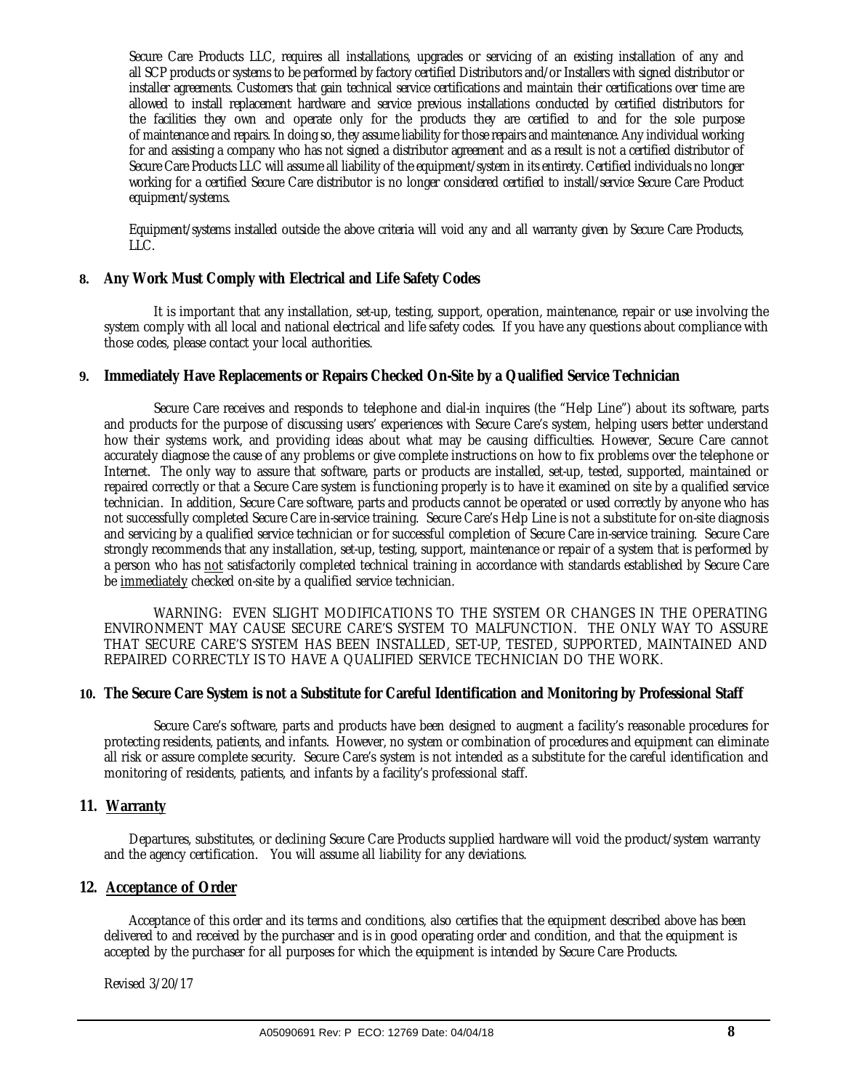Secure Care Products LLC, requires all installations, upgrades or servicing of an existing installation of any and all SCP products or systems to be performed by factory certified Distributors and/or Installers with signed distributor or installer agreements. Customers that gain technical service certifications and maintain their certifications over time are allowed to install replacement hardware and service previous installations conducted by certified distributors for the facilities they own and operate only for the products they are certified to and for the sole purpose of maintenance and repairs. In doing so, they assume liability for those repairs and maintenance. Any individual working for and assisting a company who has not signed a distributor agreement and as a result is not a certified distributor of Secure Care Products LLC will assume all liability of the equipment/system in its entirety. Certified individuals no longer working for a certified Secure Care distributor is no longer considered certified to install/service Secure Care Product equipment/systems.

Equipment/systems installed outside the above criteria will void any and all warranty given by Secure Care Products, LLC.

#### **8. Any Work Must Comply with Electrical and Life Safety Codes**

It is important that any installation, set-up, testing, support, operation, maintenance, repair or use involving the system comply with all local and national electrical and life safety codes. If you have any questions about compliance with those codes, please contact your local authorities.

#### **9. Immediately Have Replacements or Repairs Checked On-Site by a Qualified Service Technician**

Secure Care receives and responds to telephone and dial-in inquires (the "Help Line") about its software, parts and products for the purpose of discussing users' experiences with Secure Care's system, helping users better understand how their systems work, and providing ideas about what may be causing difficulties. However, Secure Care cannot accurately diagnose the cause of any problems or give complete instructions on how to fix problems over the telephone or Internet. The only way to assure that software, parts or products are installed, set-up, tested, supported, maintained or repaired correctly or that a Secure Care system is functioning properly is to have it examined on site by a qualified service technician. In addition, Secure Care software, parts and products cannot be operated or used correctly by anyone who has not successfully completed Secure Care in-service training. Secure Care's Help Line is not a substitute for on-site diagnosis and servicing by a qualified service technician or for successful completion of Secure Care in-service training. Secure Care strongly recommends that any installation, set-up, testing, support, maintenance or repair of a system that is performed by a person who has not satisfactorily completed technical training in accordance with standards established by Secure Care be immediately checked on-site by a qualified service technician.

WARNING: EVEN SLIGHT MODIFICATIONS TO THE SYSTEM OR CHANGES IN THE OPERATING ENVIRONMENT MAY CAUSE SECURE CARE'S SYSTEM TO MALFUNCTION. THE ONLY WAY TO ASSURE THAT SECURE CARE'S SYSTEM HAS BEEN INSTALLED, SET-UP, TESTED, SUPPORTED, MAINTAINED AND REPAIRED CORRECTLY IS TO HAVE A QUALIFIED SERVICE TECHNICIAN DO THE WORK.

#### **10. The Secure Care System is not a Substitute for Careful Identification and Monitoring by Professional Staff**

Secure Care's software, parts and products have been designed to augment a facility's reasonable procedures for protecting residents, patients, and infants. However, no system or combination of procedures and equipment can eliminate all risk or assure complete security. Secure Care's system is not intended as a substitute for the careful identification and monitoring of residents, patients, and infants by a facility's professional staff.

#### **11. Warranty**

Departures, substitutes, or declining Secure Care Products supplied hardware will void the product/system warranty and the agency certification. You will assume all liability for any deviations.

#### **12. Acceptance of Order**

Acceptance of this order and its terms and conditions, also certifies that the equipment described above has been delivered to and received by the purchaser and is in good operating order and condition, and that the equipment is accepted by the purchaser for all purposes for which the equipment is intended by Secure Care Products.

Revised 3/20/17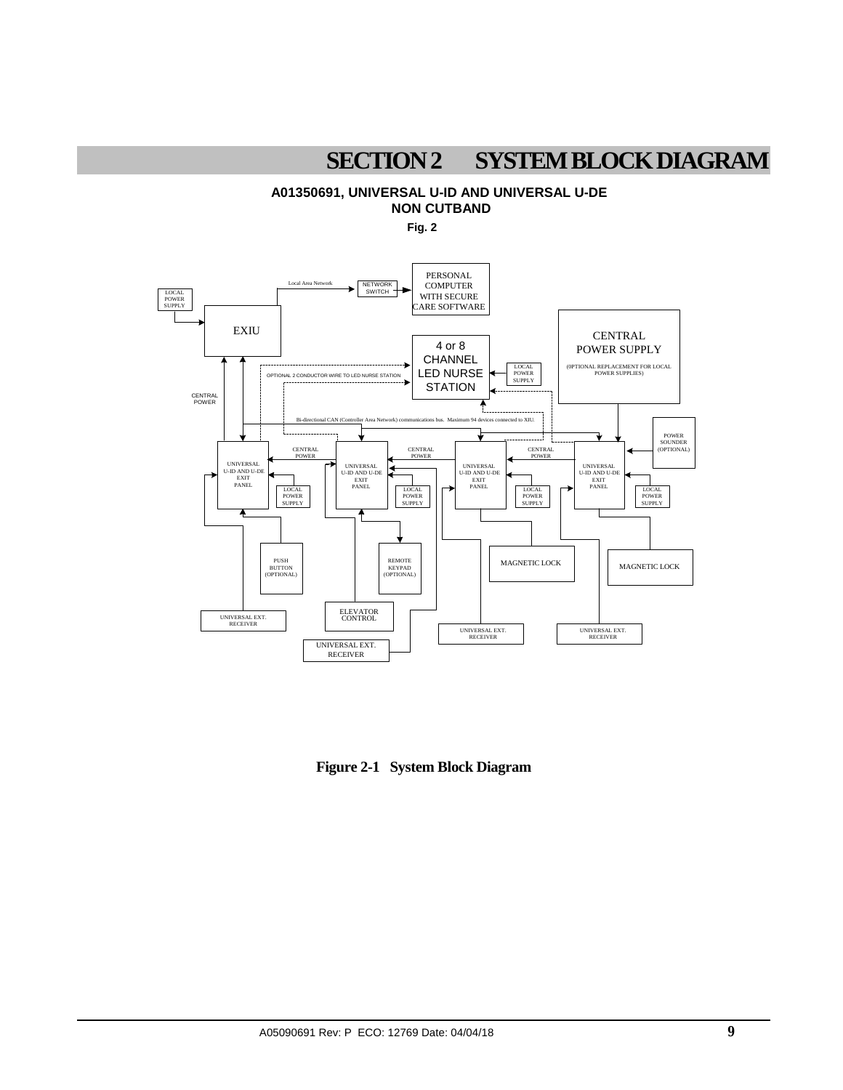## **SECTION 2 SYSTEM BLOCK DIAGRAM**

### **A01350691, UNIVERSAL U-ID AND UNIVERSAL U-DE NON CUTBAND**

**Fig. 2**



**Figure 2-1 System Block Diagram**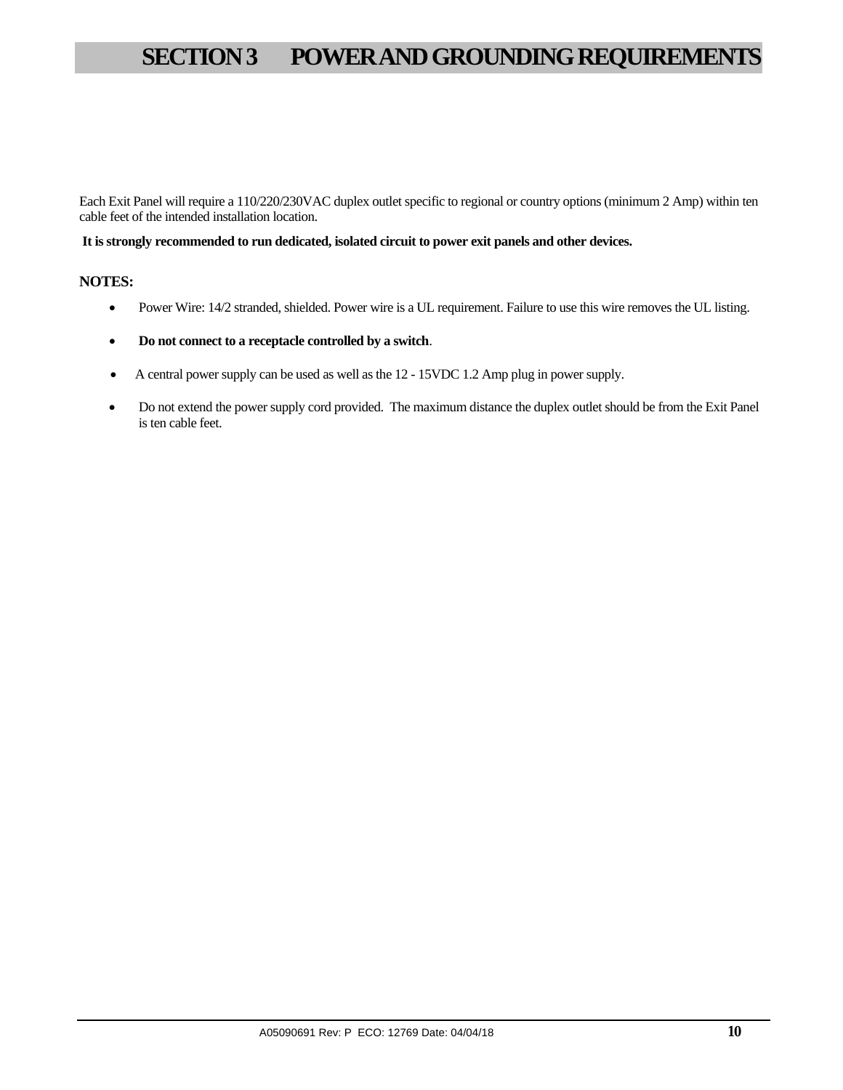# **SECTION 3 POWER AND GROUNDING REQUIREMENTS**

Each Exit Panel will require a 110/220/230VAC duplex outlet specific to regional or country options (minimum 2 Amp) within ten cable feet of the intended installation location.

#### **It is strongly recommended to run dedicated, isolated circuit to power exit panels and other devices.**

#### **NOTES:**

- Power Wire: 14/2 stranded, shielded. Power wire is a UL requirement. Failure to use this wire removes the UL listing.
- **Do not connect to a receptacle controlled by a switch**.
- A central power supply can be used as well as the 12 15VDC 1.2 Amp plug in power supply.
- Do not extend the power supply cord provided. The maximum distance the duplex outlet should be from the Exit Panel is ten cable feet.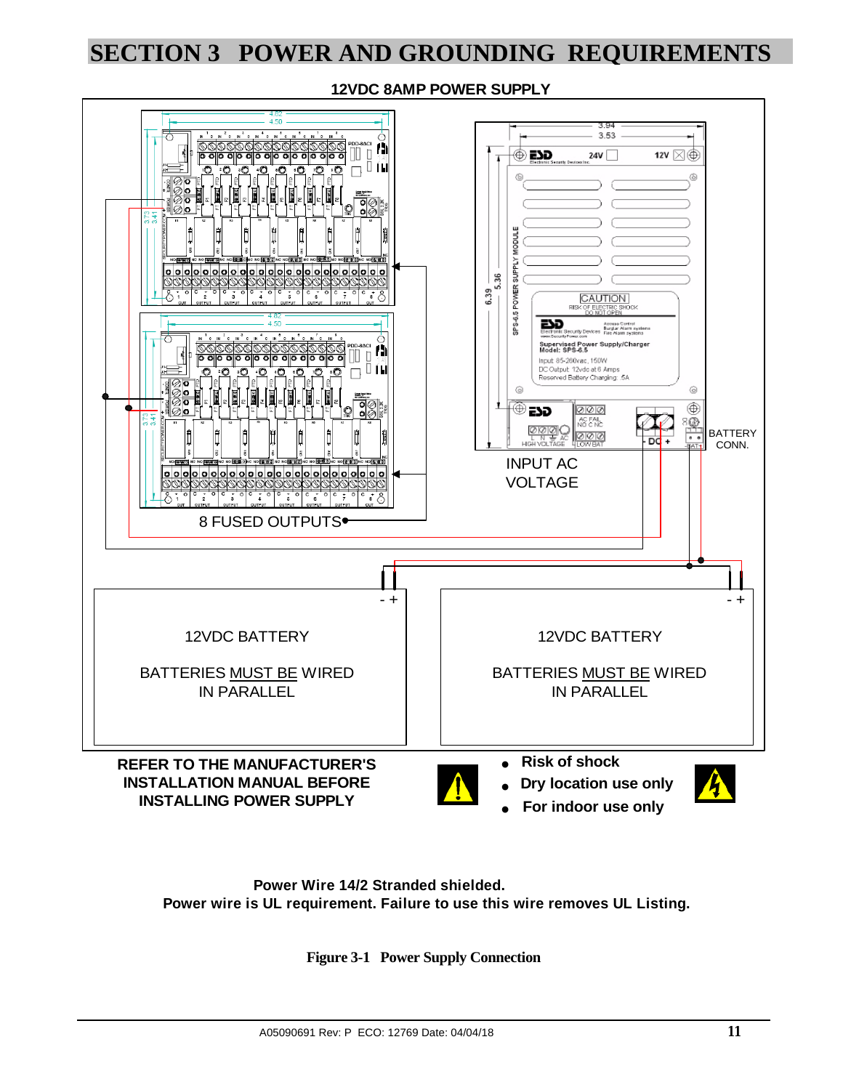# **SECTION 3 POWER AND GROUNDING REQUIREMENTS**

**12VDC 8AMP POWER SUPPLY**



**Power wire is UL requirement. Failure to use this wire removes UL Listing. Power Wire 14/2 Stranded shielded.**

**Figure 3-1 Power Supply Connection**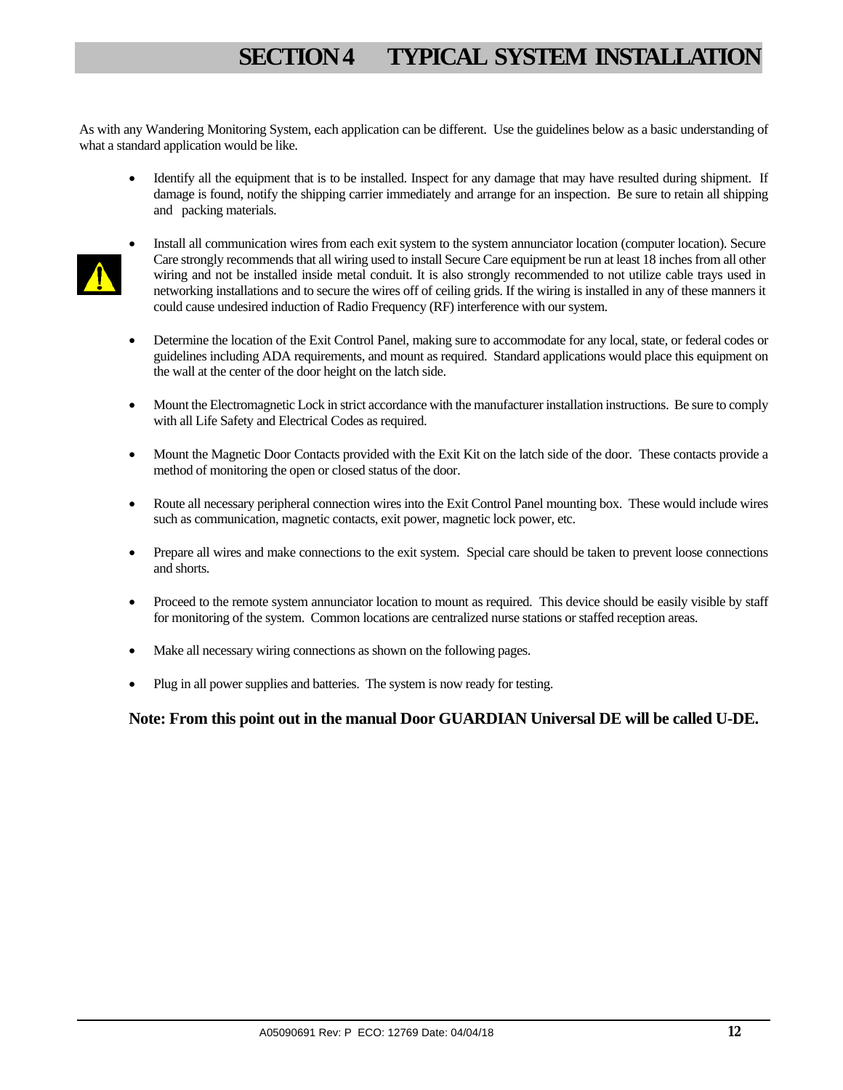# **SECTION 4 TYPICAL SYSTEM INSTALLATION**

As with any Wandering Monitoring System, each application can be different. Use the guidelines below as a basic understanding of what a standard application would be like.

• Identify all the equipment that is to be installed. Inspect for any damage that may have resulted during shipment. If damage is found, notify the shipping carrier immediately and arrange for an inspection. Be sure to retain all shipping and packing materials.



- Install all communication wires from each exit system to the system annunciator location (computer location). Secure Care strongly recommends that all wiring used to install Secure Care equipment be run at least 18 inches from all other wiring and not be installed inside metal conduit. It is also strongly recommended to not utilize cable trays used in networking installations and to secure the wires off of ceiling grids. If the wiring is installed in any of these manners it could cause undesired induction of Radio Frequency (RF) interference with our system.
- Determine the location of the Exit Control Panel, making sure to accommodate for any local, state, or federal codes or guidelines including ADA requirements, and mount as required. Standard applications would place this equipment on the wall at the center of the door height on the latch side.
- Mount the Electromagnetic Lock in strict accordance with the manufacturer installation instructions. Be sure to comply with all Life Safety and Electrical Codes as required.
- Mount the Magnetic Door Contacts provided with the Exit Kit on the latch side of the door. These contacts provide a method of monitoring the open or closed status of the door.
- Route all necessary peripheral connection wires into the Exit Control Panel mounting box. These would include wires such as communication, magnetic contacts, exit power, magnetic lock power, etc.
- Prepare all wires and make connections to the exit system. Special care should be taken to prevent loose connections and shorts.
- Proceed to the remote system annunciator location to mount as required. This device should be easily visible by staff for monitoring of the system. Common locations are centralized nurse stations or staffed reception areas.
- Make all necessary wiring connections as shown on the following pages.
- Plug in all power supplies and batteries. The system is now ready for testing.

#### **Note: From this point out in the manual Door GUARDIAN Universal DE will be called U-DE.**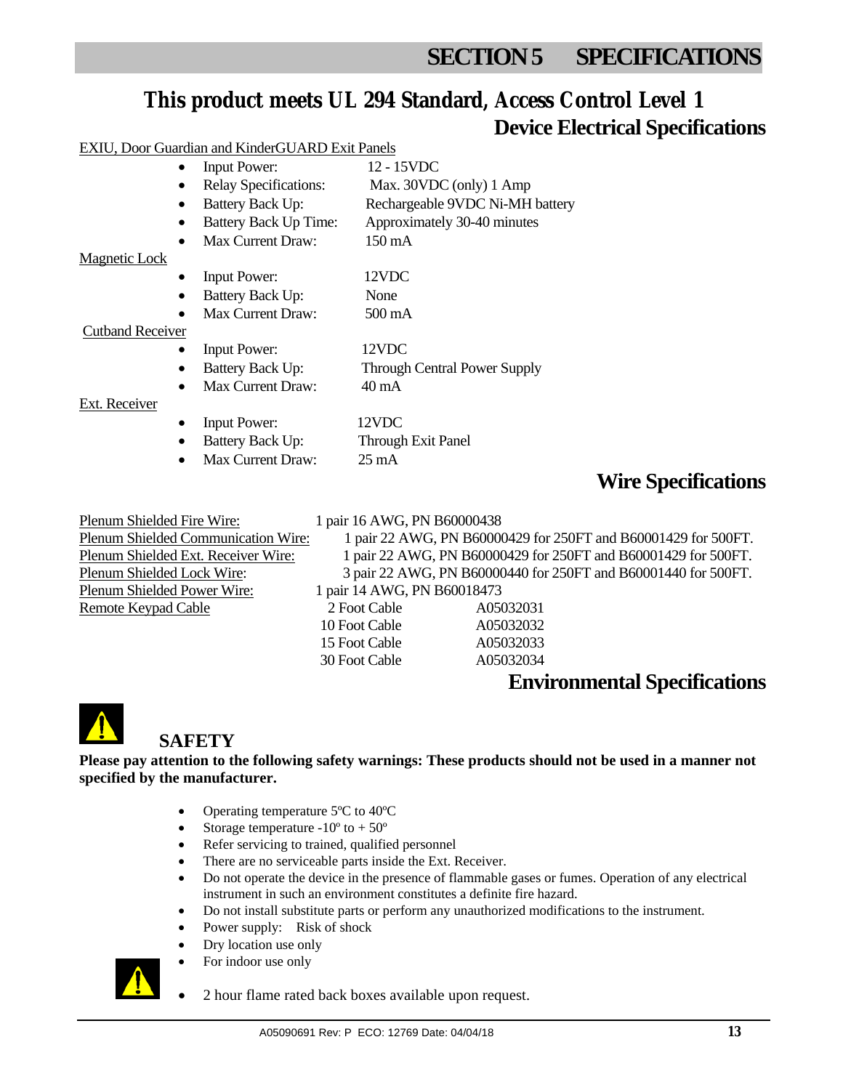# **SECTION 5 SPECIFICATIONS**

### **This product meets UL 294 Standard, Access Control Level 1 Device Electrical Specifications**

#### EXIU, Door Guardian and KinderGUARD Exit Panels

|                         | <b>Input Power:</b>          | 12 - 15VDC                          |
|-------------------------|------------------------------|-------------------------------------|
|                         | <b>Relay Specifications:</b> | Max. 30VDC (only) 1 Amp             |
| ٠                       | <b>Battery Back Up:</b>      | Rechargeable 9VDC Ni-MH battery     |
|                         | <b>Battery Back Up Time:</b> | Approximately 30-40 minutes         |
| $\bullet$               | Max Current Draw:            | $150 \text{ mA}$                    |
| Magnetic Lock           |                              |                                     |
|                         | <b>Input Power:</b>          | 12VDC                               |
| $\bullet$               | Battery Back Up:             | None                                |
|                         | Max Current Draw:            | $500 \text{ mA}$                    |
| <b>Cutband Receiver</b> |                              |                                     |
|                         | <b>Input Power:</b>          | 12VDC                               |
| ٠                       | <b>Battery Back Up:</b>      | <b>Through Central Power Supply</b> |
| $\bullet$               | Max Current Draw:            | 40 mA                               |
| Ext. Receiver           |                              |                                     |
|                         | <b>Input Power:</b>          | 12VDC                               |
|                         | <b>Battery Back Up:</b>      | Through Exit Panel                  |
|                         | Max Current Draw:            | $25 \text{ mA}$                     |

### **Wire Specifications**

Plenum Shielded Fire Wire: 1 pair 16 AWG, PN B60000438 Plenum Shielded Communication Wire: 1 pair 22 AWG, PN B60000429 for 250FT and B60001429 for 500FT. Plenum Shielded Ext. Receiver Wire: 1 pair 22 AWG, PN B60000429 for 250FT and B60001429 for 500FT. Plenum Shielded Lock Wire: 3 pair 22 AWG, PN B60000440 for 250FT and B60001440 for 500FT. Plenum Shielded Power Wire: 1 pair 14 AWG, PN B60018473 Remote Keypad Cable 2 Foot Cable A05032031 10 Foot Cable A05032032

 15 Foot Cable A05032033 30 Foot Cable A05032034

### **Environmental Specifications**



### **SAFETY**

**Please pay attention to the following safety warnings: These products should not be used in a manner not specified by the manufacturer.** 

- Operating temperature 5°C to 40°C
- Storage temperature  $-10^{\circ}$  to  $+50^{\circ}$
- Refer servicing to trained, qualified personnel
- There are no serviceable parts inside the Ext. Receiver.
- Do not operate the device in the presence of flammable gases or fumes. Operation of any electrical instrument in such an environment constitutes a definite fire hazard.
- Do not install substitute parts or perform any unauthorized modifications to the instrument.
- Power supply: Risk of shock
- Dry location use only
- For indoor use only



2 hour flame rated back boxes available upon request.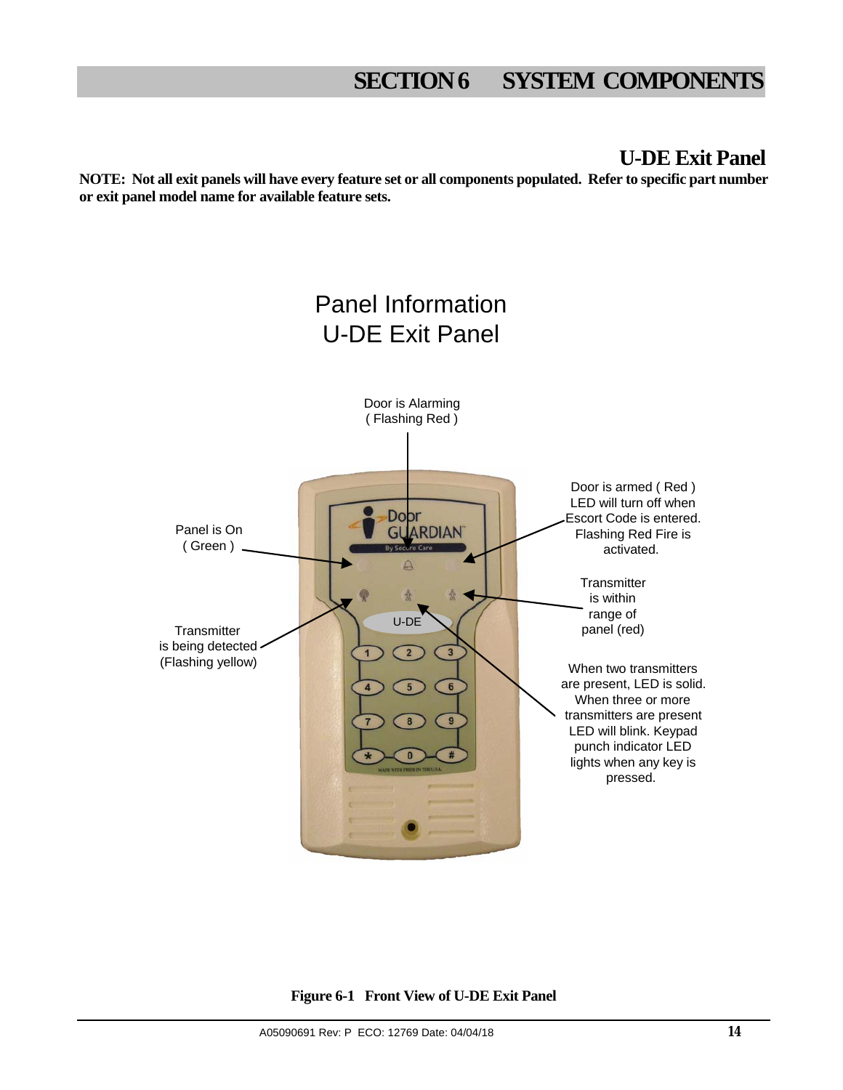### **U-DE Exit Panel**

**NOTE: Not all exit panels will have every feature set or all components populated. Refer to specific part number or exit panel model name for available feature sets.** 



**Figure 6-1 Front View of U-DE Exit Panel**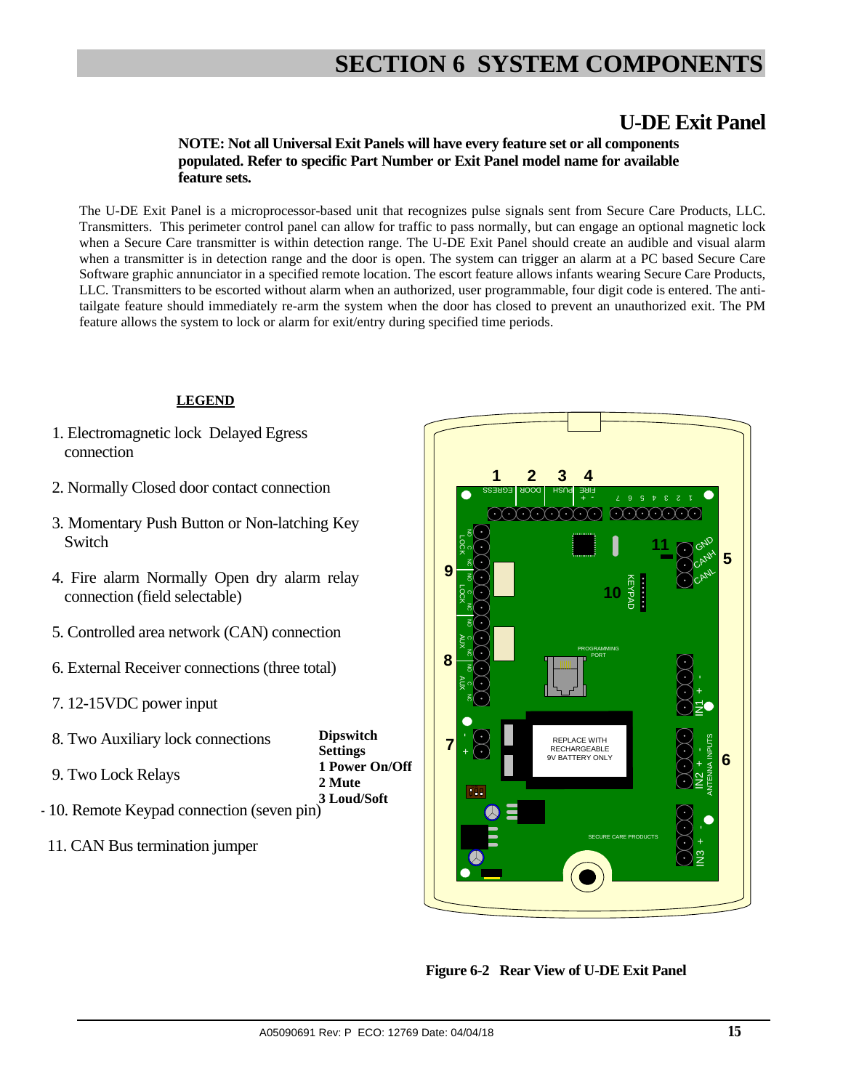### **U-DE Exit Panel**

#### **NOTE: Not all Universal Exit Panels will have every feature set or all components populated. Refer to specific Part Number or Exit Panel model name for available feature sets.**

The U-DE Exit Panel is a microprocessor-based unit that recognizes pulse signals sent from Secure Care Products, LLC. Transmitters. This perimeter control panel can allow for traffic to pass normally, but can engage an optional magnetic lock when a Secure Care transmitter is within detection range. The U-DE Exit Panel should create an audible and visual alarm when a transmitter is in detection range and the door is open. The system can trigger an alarm at a PC based Secure Care Software graphic annunciator in a specified remote location. The escort feature allows infants wearing Secure Care Products, LLC. Transmitters to be escorted without alarm when an authorized, user programmable, four digit code is entered. The antitailgate feature should immediately re-arm the system when the door has closed to prevent an unauthorized exit. The PM feature allows the system to lock or alarm for exit/entry during specified time periods.

#### **LEGEND**

- 1. Electromagnetic lock Delayed Egress connection
- 2. Normally Closed door contact connection
- 3. Momentary Push Button or Non-latching Key Switch
- 4. Fire alarm Normally Open dry alarm relay connection (field selectable)
- 5. Controlled area network (CAN) connection
- 6. External Receiver connections (three total)
- 7. 12-15VDC power input

| 8. Two Auxiliary lock connections                      | <b>Dipswitch</b> |
|--------------------------------------------------------|------------------|
|                                                        | <b>Settings</b>  |
| 9. Two Lock Relays                                     | 1 Power On/Off   |
|                                                        | 2 Mute           |
| - 10. Remote Keypad connection (seven pin) 3 Loud/Soft |                  |
|                                                        |                  |

11. CAN Bus termination jumper



 **Figure 6-2 Rear View of U-DE Exit Panel**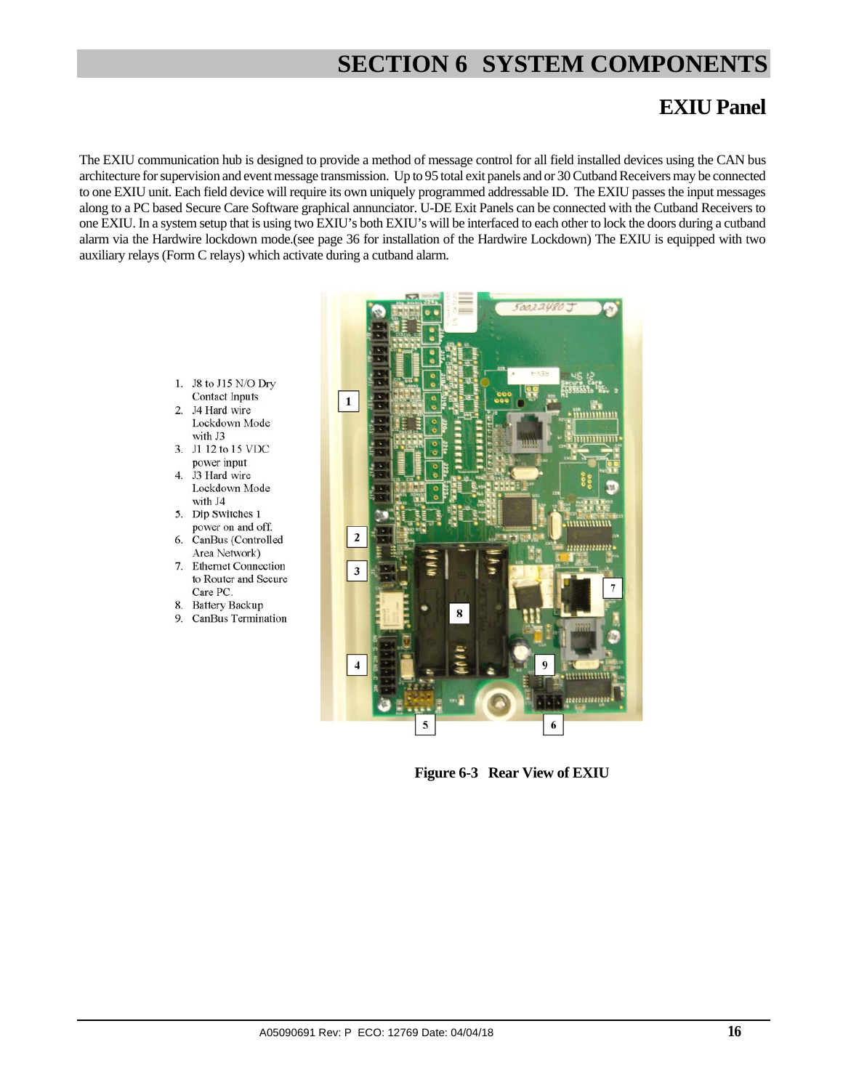### **EXIU Panel**

The EXIU communication hub is designed to provide a method of message control for all field installed devices using the CAN bus architecture for supervision and event message transmission. Up to 95 total exit panels and or 30 Cutband Receivers may be connected to one EXIU unit. Each field device will require its own uniquely programmed addressable ID. The EXIU passes the input messages along to a PC based Secure Care Software graphical annunciator. U-DE Exit Panels can be connected with the Cutband Receivers to one EXIU. In a system setup that is using two EXIU's both EXIU's will be interfaced to each other to lock the doors during a cutband alarm via the Hardwire lockdown mode.(see page 36 for installation of the Hardwire Lockdown) The EXIU is equipped with two auxiliary relays (Form C relays) which activate during a cutband alarm.

- 1. J8 to J15 N/O Dry **Contact Inputs**
- 2. J4 Hard wire Lockdown Mode with J3
- 3. J1 12 to 15 VDC power input
- $\overline{4}$ . J3 Hard wire Lockdown Mode with J4
- 5. Dip Switches 1 power on and off.
- 6. CanBus (Controlled Area Network)
- 7. Ethernet Connection to Router and Secure Care PC.
- 8. Battery Backup
- $Q$ CanBus Termination



 **Figure 6-3 Rear View of EXIU**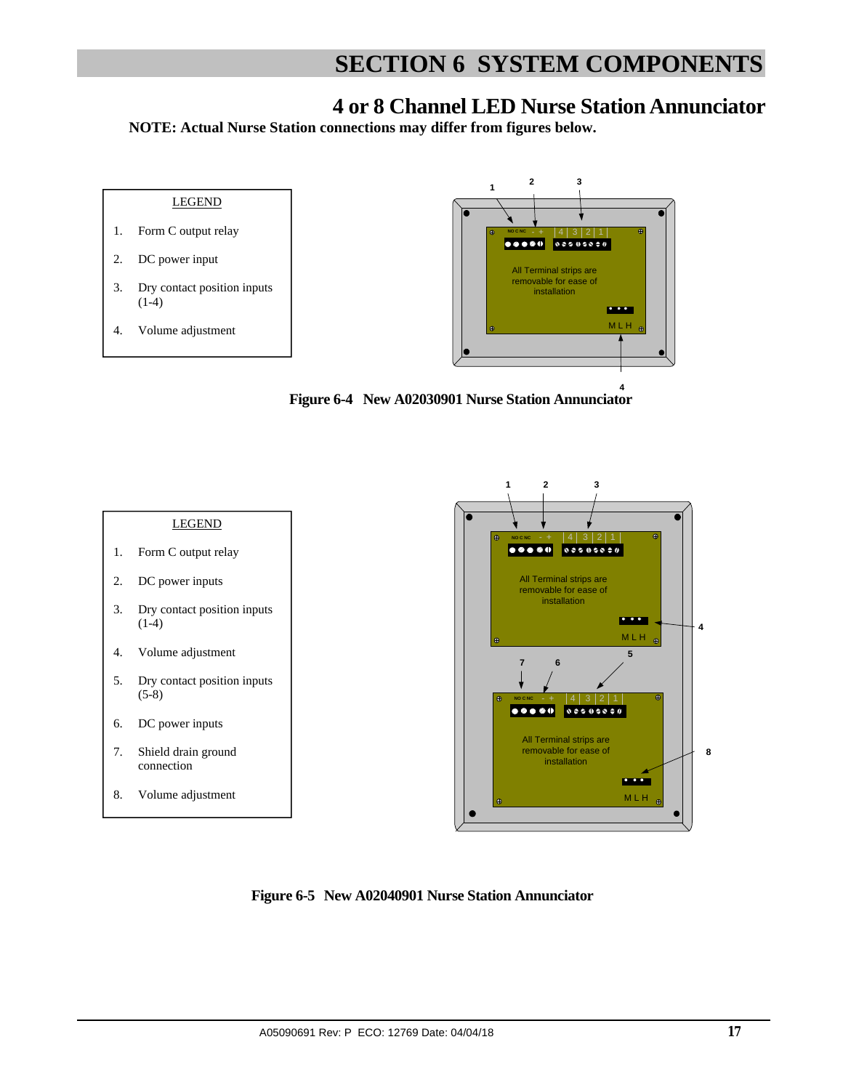### **4 or 8 Channel LED Nurse Station Annunciator**

**NOTE: Actual Nurse Station connections may differ from figures below.** 



 **Figure 6-4 New A02030901 Nurse Station Annunciator 4**





 **Figure 6-5 New A02040901 Nurse Station Annunciator**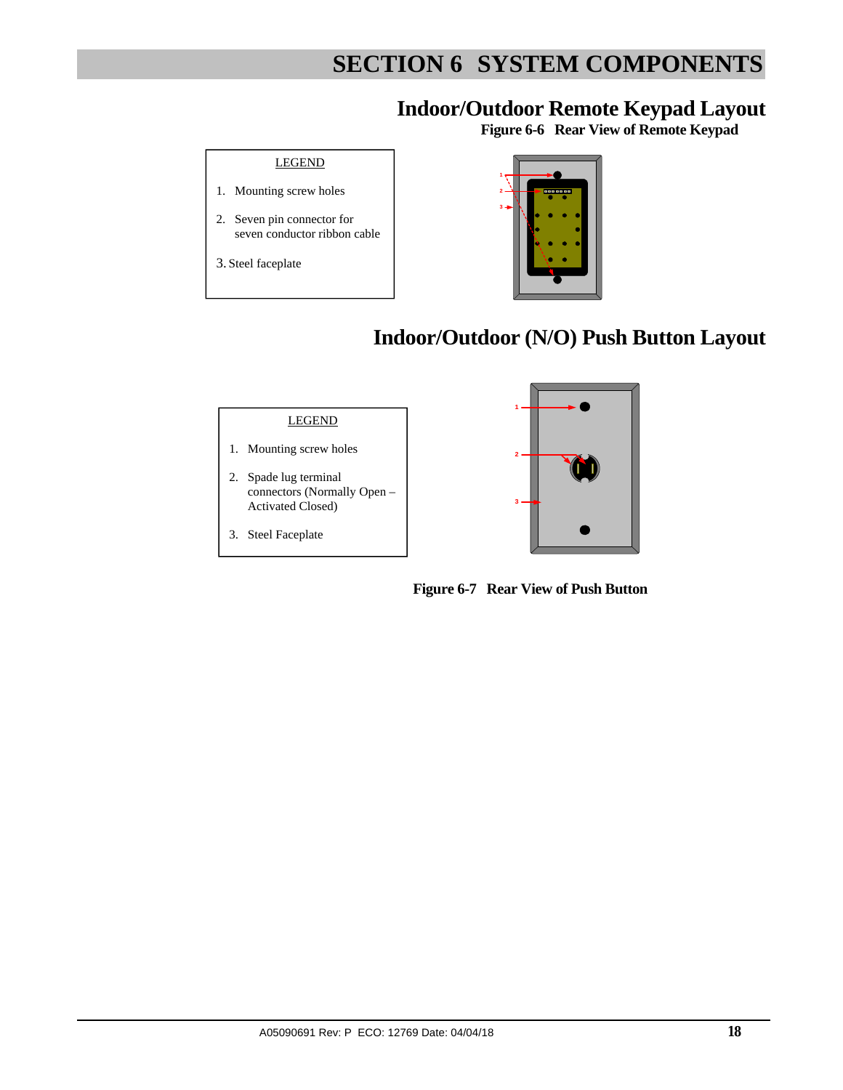# **Indoor/Outdoor Remote Keypad Layout Figure 6-6 Rear View of Remote Keypad**

#### LEGEND

- 1. Mounting screw holes
- 2. Seven pin connector for seven conductor ribbon cable
- 3. Steel faceplate



## **Indoor/Outdoor (N/O) Push Button Layout**

#### LEGEND

- 1. Mounting screw holes
- 2. Spade lug terminal connectors (Normally Open – Activated Closed)
- 3. Steel Faceplate



 **Figure 6-7 Rear View of Push Button**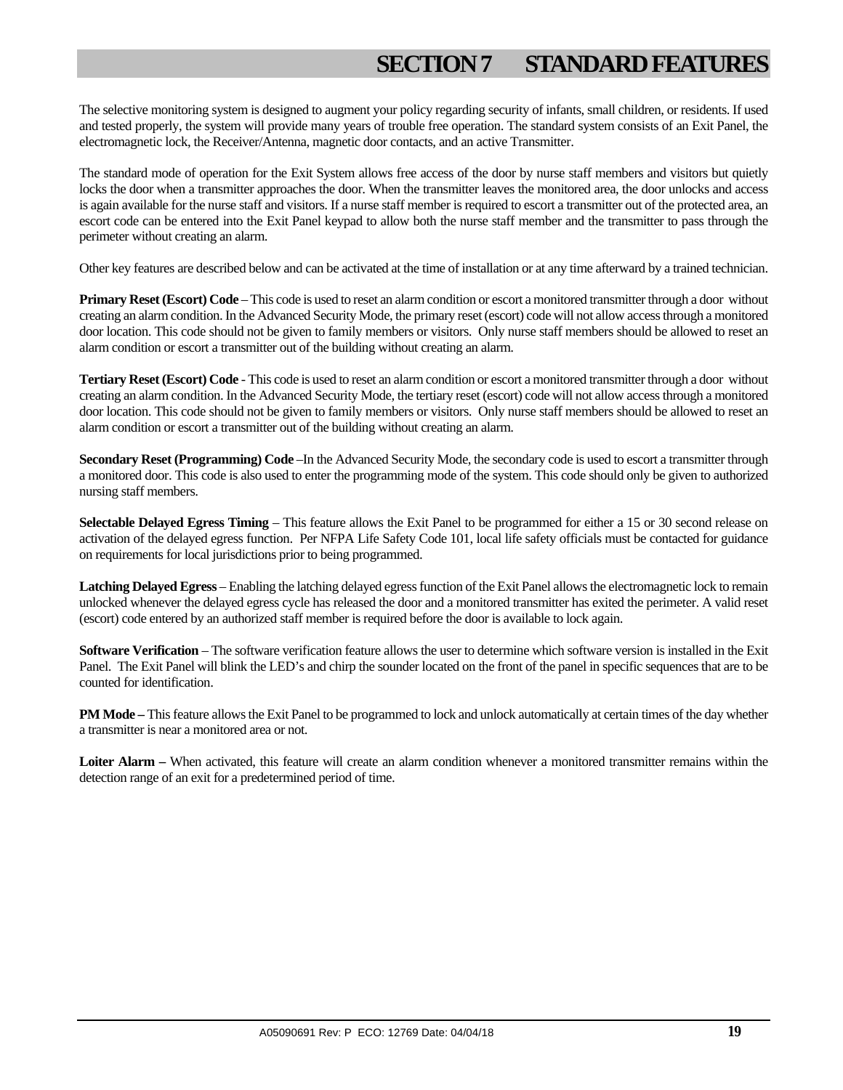# **SECTION 7 STANDARD FEATURES**

The selective monitoring system is designed to augment your policy regarding security of infants, small children, or residents. If used and tested properly, the system will provide many years of trouble free operation. The standard system consists of an Exit Panel, the electromagnetic lock, the Receiver/Antenna, magnetic door contacts, and an active Transmitter.

The standard mode of operation for the Exit System allows free access of the door by nurse staff members and visitors but quietly locks the door when a transmitter approaches the door. When the transmitter leaves the monitored area, the door unlocks and access is again available for the nurse staff and visitors. If a nurse staff member is required to escort a transmitter out of the protected area, an escort code can be entered into the Exit Panel keypad to allow both the nurse staff member and the transmitter to pass through the perimeter without creating an alarm.

Other key features are described below and can be activated at the time of installation or at any time afterward by a trained technician.

**Primary Reset (Escort) Code** – This code is used to reset an alarm condition or escort a monitored transmitter through a door without creating an alarm condition. In the Advanced Security Mode, the primary reset (escort) code will not allow access through a monitored door location. This code should not be given to family members or visitors. Only nurse staff members should be allowed to reset an alarm condition or escort a transmitter out of the building without creating an alarm.

**Tertiary Reset (Escort) Code** - This code is used to reset an alarm condition or escort a monitored transmitter through a door without creating an alarm condition. In the Advanced Security Mode, the tertiary reset (escort) code will not allow access through a monitored door location. This code should not be given to family members or visitors. Only nurse staff members should be allowed to reset an alarm condition or escort a transmitter out of the building without creating an alarm.

**Secondary Reset (Programming) Code** –In the Advanced Security Mode, the secondary code is used to escort a transmitter through a monitored door. This code is also used to enter the programming mode of the system. This code should only be given to authorized nursing staff members.

**Selectable Delayed Egress Timing** – This feature allows the Exit Panel to be programmed for either a 15 or 30 second release on activation of the delayed egress function. Per NFPA Life Safety Code 101, local life safety officials must be contacted for guidance on requirements for local jurisdictions prior to being programmed.

**Latching Delayed Egress** – Enabling the latching delayed egress function of the Exit Panel allows the electromagnetic lock to remain unlocked whenever the delayed egress cycle has released the door and a monitored transmitter has exited the perimeter. A valid reset (escort) code entered by an authorized staff member is required before the door is available to lock again.

**Software Verification** – The software verification feature allows the user to determine which software version is installed in the Exit Panel. The Exit Panel will blink the LED's and chirp the sounder located on the front of the panel in specific sequences that are to be counted for identification.

**PM Mode –** This feature allows the Exit Panel to be programmed to lock and unlock automatically at certain times of the day whether a transmitter is near a monitored area or not.

**Loiter Alarm –** When activated, this feature will create an alarm condition whenever a monitored transmitter remains within the detection range of an exit for a predetermined period of time.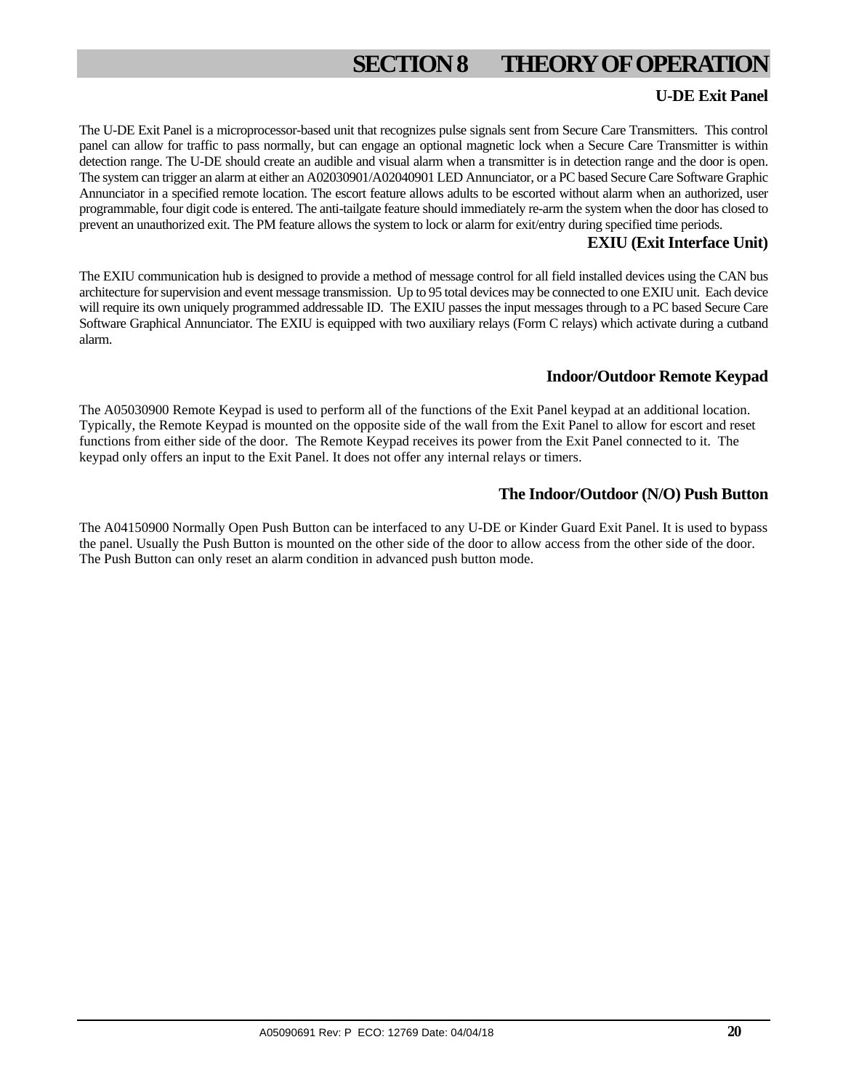# **SECTION 8 THEORY OF OPERATION**

#### **U-DE Exit Panel**

The U-DE Exit Panel is a microprocessor-based unit that recognizes pulse signals sent from Secure Care Transmitters. This control panel can allow for traffic to pass normally, but can engage an optional magnetic lock when a Secure Care Transmitter is within detection range. The U-DE should create an audible and visual alarm when a transmitter is in detection range and the door is open. The system can trigger an alarm at either an A02030901/A02040901 LED Annunciator, or a PC based Secure Care Software Graphic Annunciator in a specified remote location. The escort feature allows adults to be escorted without alarm when an authorized, user programmable, four digit code is entered. The anti-tailgate feature should immediately re-arm the system when the door has closed to prevent an unauthorized exit. The PM feature allows the system to lock or alarm for exit/entry during specified time periods.

#### **EXIU (Exit Interface Unit)**

The EXIU communication hub is designed to provide a method of message control for all field installed devices using the CAN bus architecture for supervision and event message transmission. Up to 95 total devices may be connected to one EXIU unit. Each device will require its own uniquely programmed addressable ID. The EXIU passes the input messages through to a PC based Secure Care Software Graphical Annunciator. The EXIU is equipped with two auxiliary relays (Form C relays) which activate during a cutband alarm.

#### **Indoor/Outdoor Remote Keypad**

The A05030900 Remote Keypad is used to perform all of the functions of the Exit Panel keypad at an additional location. Typically, the Remote Keypad is mounted on the opposite side of the wall from the Exit Panel to allow for escort and reset functions from either side of the door. The Remote Keypad receives its power from the Exit Panel connected to it. The keypad only offers an input to the Exit Panel. It does not offer any internal relays or timers.

#### **The Indoor/Outdoor (N/O) Push Button**

The A04150900 Normally Open Push Button can be interfaced to any U-DE or Kinder Guard Exit Panel. It is used to bypass the panel. Usually the Push Button is mounted on the other side of the door to allow access from the other side of the door. The Push Button can only reset an alarm condition in advanced push button mode.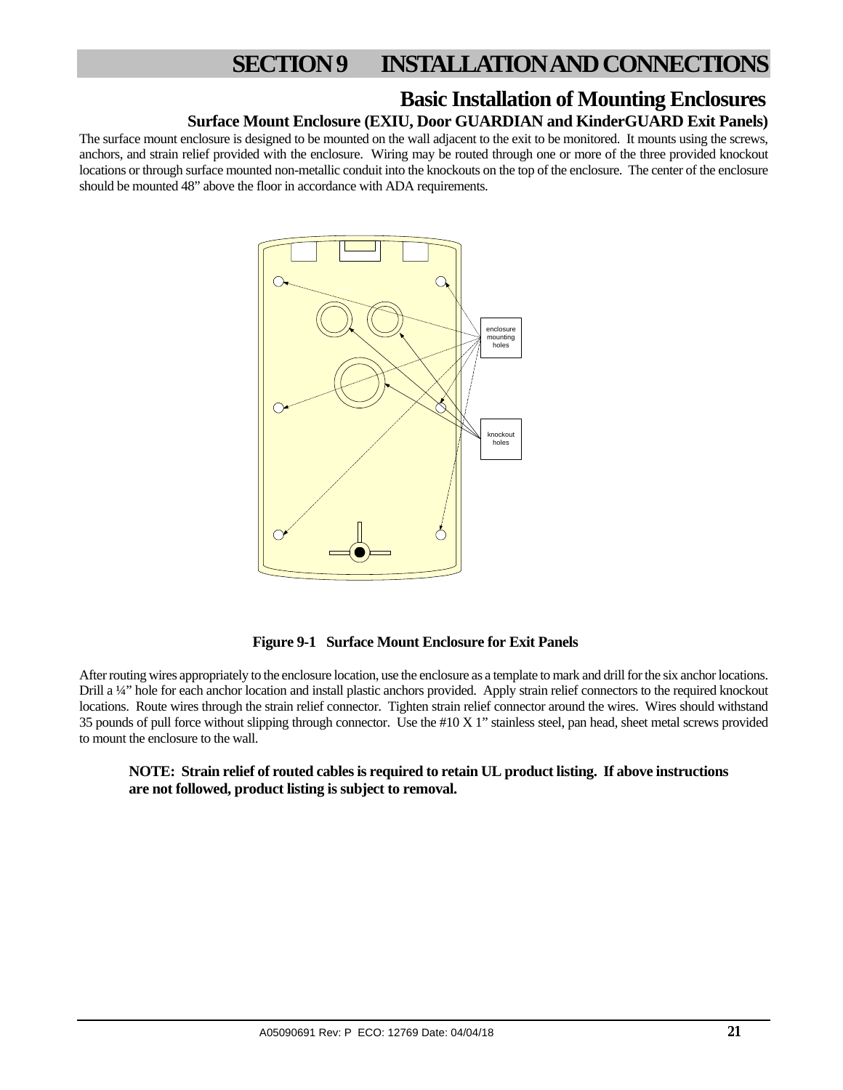### **Basic Installation of Mounting Enclosures**

### **Surface Mount Enclosure (EXIU, Door GUARDIAN and KinderGUARD Exit Panels)**

The surface mount enclosure is designed to be mounted on the wall adjacent to the exit to be monitored. It mounts using the screws, anchors, and strain relief provided with the enclosure. Wiring may be routed through one or more of the three provided knockout locations or through surface mounted non-metallic conduit into the knockouts on the top of the enclosure. The center of the enclosure should be mounted 48" above the floor in accordance with ADA requirements.



 **Figure 9-1 Surface Mount Enclosure for Exit Panels** 

After routing wires appropriately to the enclosure location, use the enclosure as a template to mark and drill for the six anchor locations. Drill a ¼" hole for each anchor location and install plastic anchors provided. Apply strain relief connectors to the required knockout locations. Route wires through the strain relief connector. Tighten strain relief connector around the wires. Wires should withstand 35 pounds of pull force without slipping through connector. Use the #10 X 1" stainless steel, pan head, sheet metal screws provided to mount the enclosure to the wall.

#### **NOTE: Strain relief of routed cables is required to retain UL product listing. If above instructions are not followed, product listing is subject to removal.**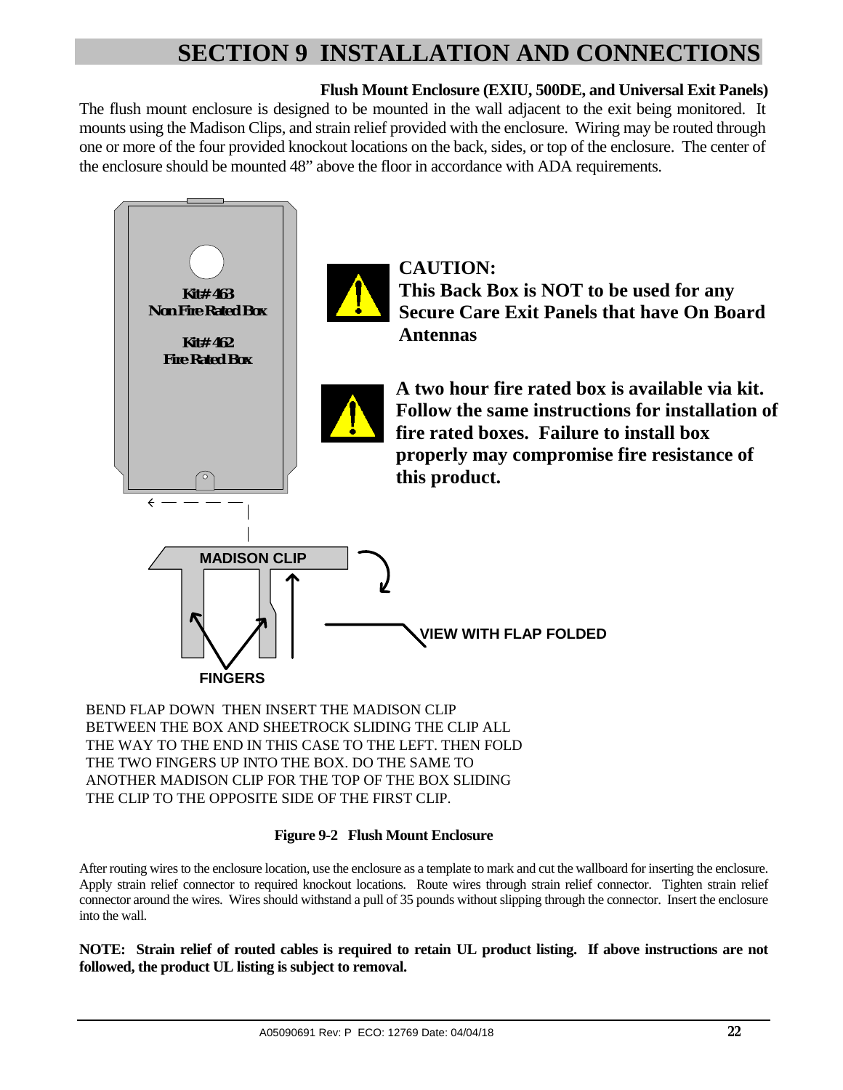### **Flush Mount Enclosure (EXIU, 500DE, and Universal Exit Panels)**

The flush mount enclosure is designed to be mounted in the wall adjacent to the exit being monitored. It mounts using the Madison Clips, and strain relief provided with the enclosure. Wiring may be routed through one or more of the four provided knockout locations on the back, sides, or top of the enclosure. The center of the enclosure should be mounted 48" above the floor in accordance with ADA requirements.



BEND FLAP DOWN THEN INSERT THE MADISON CLIP BETWEEN THE BOX AND SHEETROCK SLIDING THE CLIP ALL THE WAY TO THE END IN THIS CASE TO THE LEFT. THEN FOLD THE TWO FINGERS UP INTO THE BOX. DO THE SAME TO ANOTHER MADISON CLIP FOR THE TOP OF THE BOX SLIDING THE CLIP TO THE OPPOSITE SIDE OF THE FIRST CLIP.

#### **Figure 9-2 Flush Mount Enclosure**

After routing wires to the enclosure location, use the enclosure as a template to mark and cut the wallboard for inserting the enclosure. Apply strain relief connector to required knockout locations. Route wires through strain relief connector. Tighten strain relief connector around the wires. Wires should withstand a pull of 35 pounds without slipping through the connector. Insert the enclosure into the wall.

**NOTE: Strain relief of routed cables is required to retain UL product listing. If above instructions are not followed, the product UL listing is subject to removal.**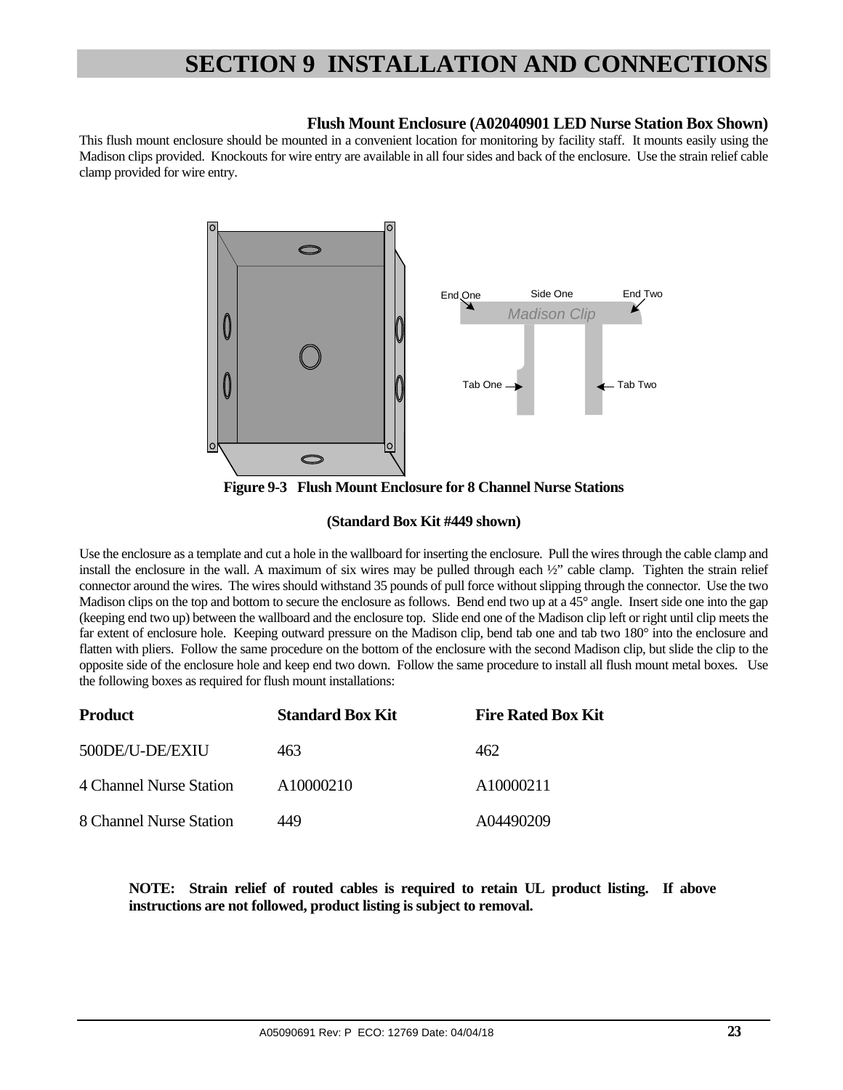#### **Flush Mount Enclosure (A02040901 LED Nurse Station Box Shown)**

This flush mount enclosure should be mounted in a convenient location for monitoring by facility staff. It mounts easily using the Madison clips provided. Knockouts for wire entry are available in all four sides and back of the enclosure. Use the strain relief cable clamp provided for wire entry.



**Figure 9-3 Flush Mount Enclosure for 8 Channel Nurse Stations** 

#### **(Standard Box Kit #449 shown)**

Use the enclosure as a template and cut a hole in the wallboard for inserting the enclosure. Pull the wires through the cable clamp and install the enclosure in the wall. A maximum of six wires may be pulled through each ½" cable clamp. Tighten the strain relief connector around the wires. The wires should withstand 35 pounds of pull force without slipping through the connector. Use the two Madison clips on the top and bottom to secure the enclosure as follows. Bend end two up at a 45° angle. Insert side one into the gap (keeping end two up) between the wallboard and the enclosure top. Slide end one of the Madison clip left or right until clip meets the far extent of enclosure hole. Keeping outward pressure on the Madison clip, bend tab one and tab two 180° into the enclosure and flatten with pliers. Follow the same procedure on the bottom of the enclosure with the second Madison clip, but slide the clip to the opposite side of the enclosure hole and keep end two down. Follow the same procedure to install all flush mount metal boxes. Use the following boxes as required for flush mount installations:

| <b>Product</b>          | <b>Standard Box Kit</b> | <b>Fire Rated Box Kit</b> |
|-------------------------|-------------------------|---------------------------|
| 500DE/U-DE/EXIU         | 463                     | 462                       |
| 4 Channel Nurse Station | A10000210               | A10000211                 |
| 8 Channel Nurse Station | 449                     | A04490209                 |

**NOTE: Strain relief of routed cables is required to retain UL product listing. If above instructions are not followed, product listing is subject to removal.**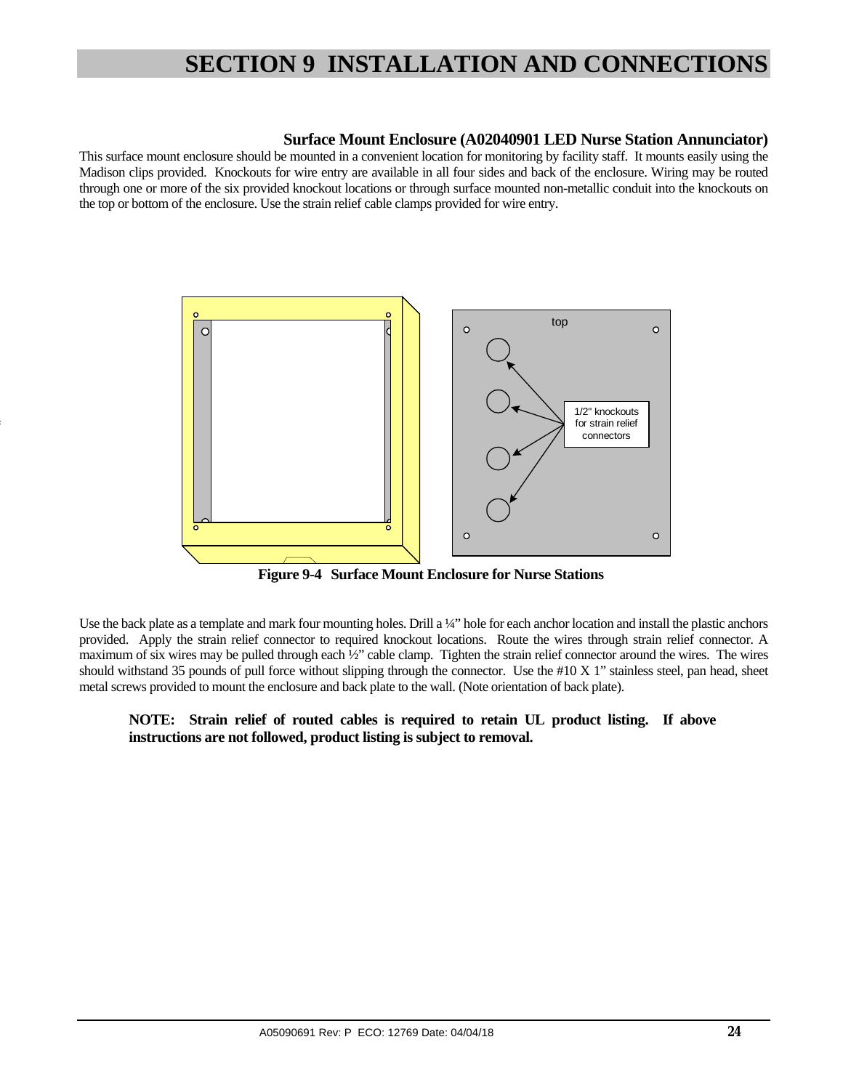#### **Surface Mount Enclosure (A02040901 LED Nurse Station Annunciator)**

This surface mount enclosure should be mounted in a convenient location for monitoring by facility staff. It mounts easily using the Madison clips provided. Knockouts for wire entry are available in all four sides and back of the enclosure. Wiring may be routed through one or more of the six provided knockout locations or through surface mounted non-metallic conduit into the knockouts on the top or bottom of the enclosure. Use the strain relief cable clamps provided for wire entry.



4

 **Figure 9-4 Surface Mount Enclosure for Nurse Stations** 

Use the back plate as a template and mark four mounting holes. Drill a ¼" hole for each anchor location and install the plastic anchors provided. Apply the strain relief connector to required knockout locations. Route the wires through strain relief connector. A maximum of six wires may be pulled through each  $\frac{1}{2}$ " cable clamp. Tighten the strain relief connector around the wires. The wires should withstand 35 pounds of pull force without slipping through the connector. Use the #10 X 1" stainless steel, pan head, sheet metal screws provided to mount the enclosure and back plate to the wall. (Note orientation of back plate).

#### **NOTE: Strain relief of routed cables is required to retain UL product listing. If above instructions are not followed, product listing is subject to removal.**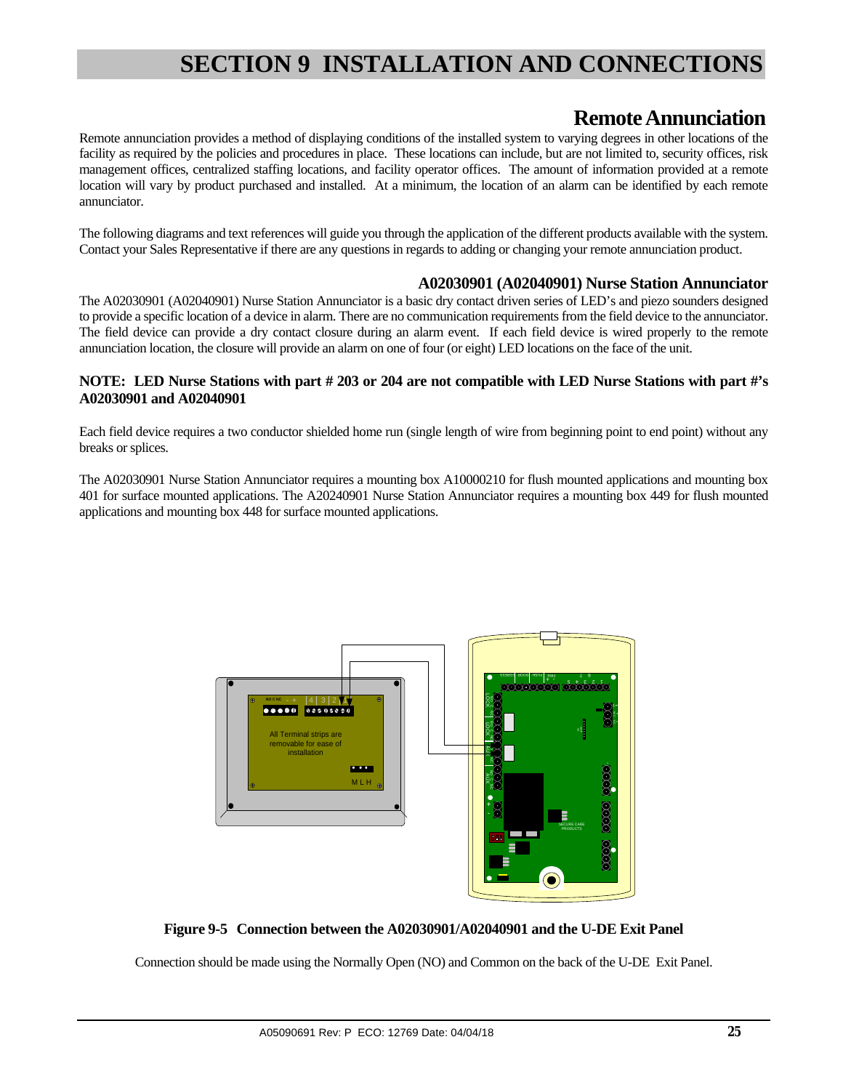### **Remote Annunciation**

Remote annunciation provides a method of displaying conditions of the installed system to varying degrees in other locations of the facility as required by the policies and procedures in place. These locations can include, but are not limited to, security offices, risk management offices, centralized staffing locations, and facility operator offices. The amount of information provided at a remote location will vary by product purchased and installed. At a minimum, the location of an alarm can be identified by each remote annunciator.

The following diagrams and text references will guide you through the application of the different products available with the system. Contact your Sales Representative if there are any questions in regards to adding or changing your remote annunciation product.

#### **A02030901 (A02040901) Nurse Station Annunciator**

The A02030901 (A02040901) Nurse Station Annunciator is a basic dry contact driven series of LED's and piezo sounders designed to provide a specific location of a device in alarm. There are no communication requirements from the field device to the annunciator. The field device can provide a dry contact closure during an alarm event. If each field device is wired properly to the remote annunciation location, the closure will provide an alarm on one of four (or eight) LED locations on the face of the unit.

#### **NOTE: LED Nurse Stations with part # 203 or 204 are not compatible with LED Nurse Stations with part #'s A02030901 and A02040901**

Each field device requires a two conductor shielded home run (single length of wire from beginning point to end point) without any breaks or splices.

The A02030901 Nurse Station Annunciator requires a mounting box A10000210 for flush mounted applications and mounting box 401 for surface mounted applications. The A20240901 Nurse Station Annunciator requires a mounting box 449 for flush mounted applications and mounting box 448 for surface mounted applications.



**Figure 9-5 Connection between the A02030901/A02040901 and the U-DE Exit Panel** 

Connection should be made using the Normally Open (NO) and Common on the back of the U-DE Exit Panel.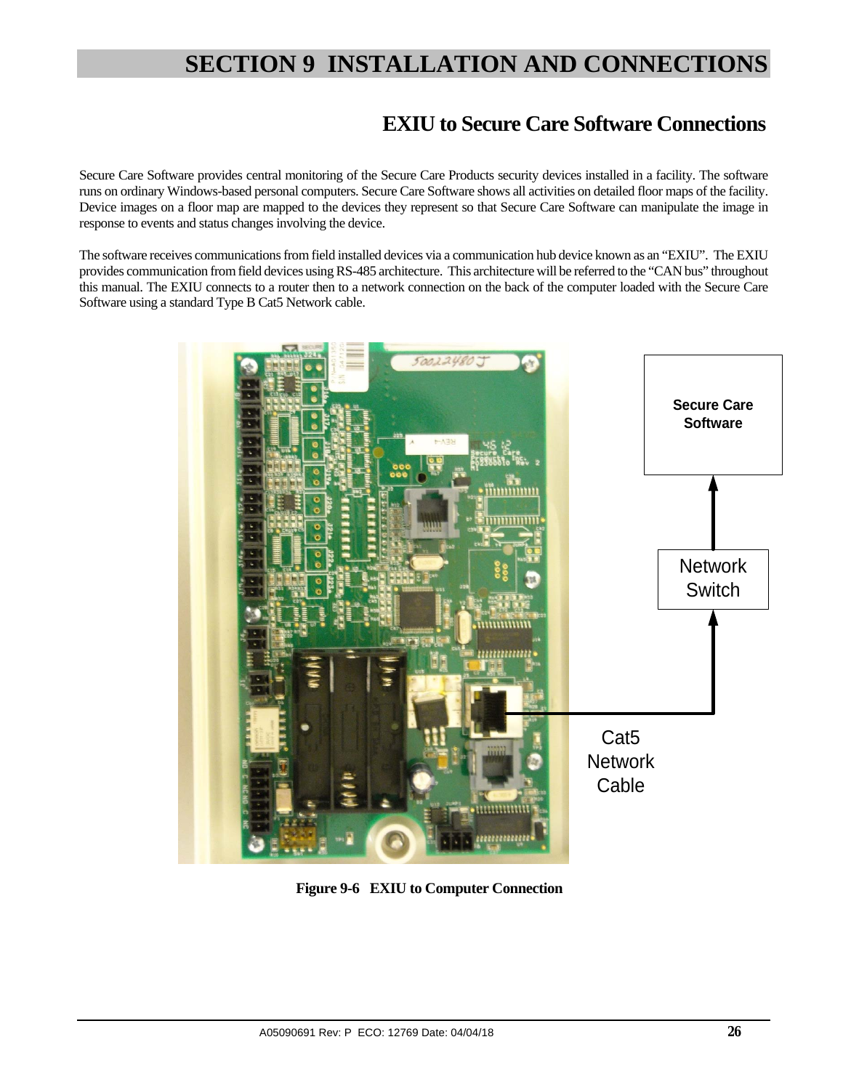### **EXIU to Secure Care Software Connections**

Secure Care Software provides central monitoring of the Secure Care Products security devices installed in a facility. The software runs on ordinary Windows-based personal computers. Secure Care Software shows all activities on detailed floor maps of the facility. Device images on a floor map are mapped to the devices they represent so that Secure Care Software can manipulate the image in response to events and status changes involving the device.

The software receives communications from field installed devices via a communication hub device known as an "EXIU". The EXIU provides communication from field devices using RS-485 architecture. This architecture will be referred to the "CAN bus" throughout this manual. The EXIU connects to a router then to a network connection on the back of the computer loaded with the Secure Care Software using a standard Type B Cat5 Network cable.



**Figure 9-6 EXIU to Computer Connection**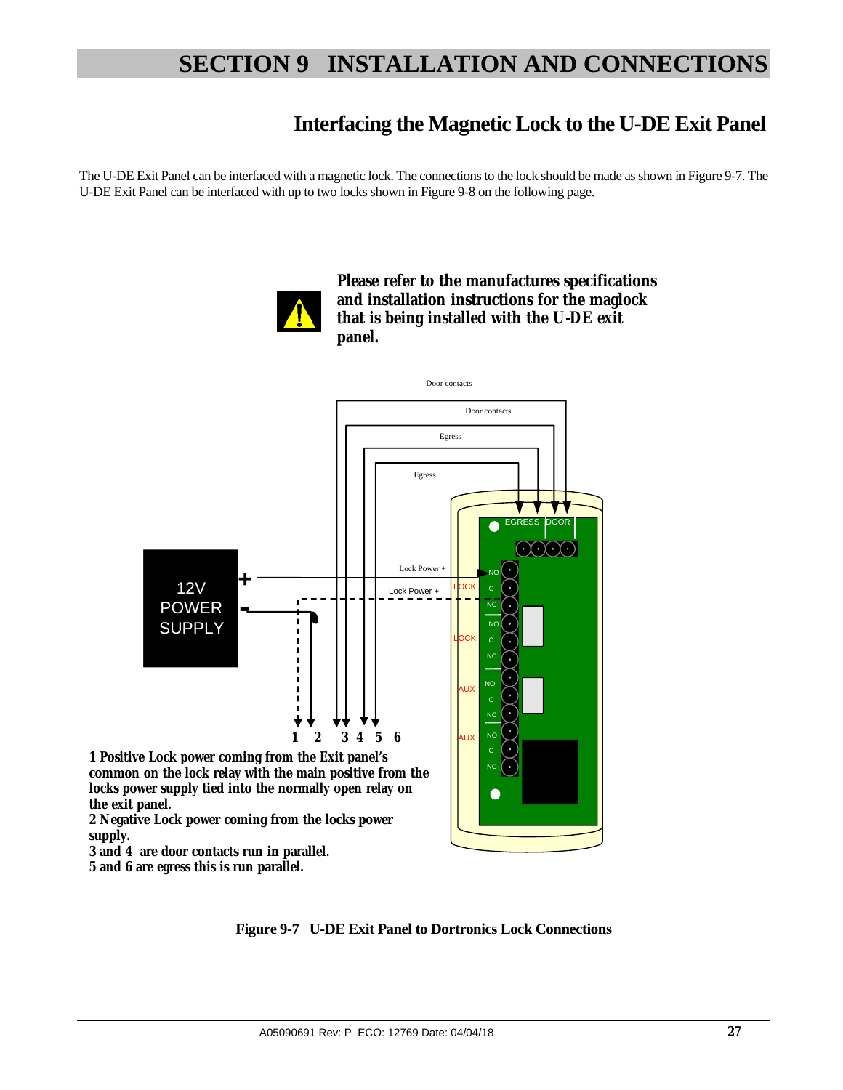### **Interfacing the Magnetic Lock to the U-DE Exit Panel**

The U-DE Exit Panel can be interfaced with a magnetic lock. The connections to the lock should be made as shown in Figure 9-7. The U-DE Exit Panel can be interfaced with up to two locks shown in Figure 9-8 on the following page.



**Please refer to the manufactures specifications and installation instructions for the maglock that is being installed with the U-DE exit panel.** 



**5 and 6 are egress this is run parallel.** 

**Figure 9-7 U-DE Exit Panel to Dortronics Lock Connections**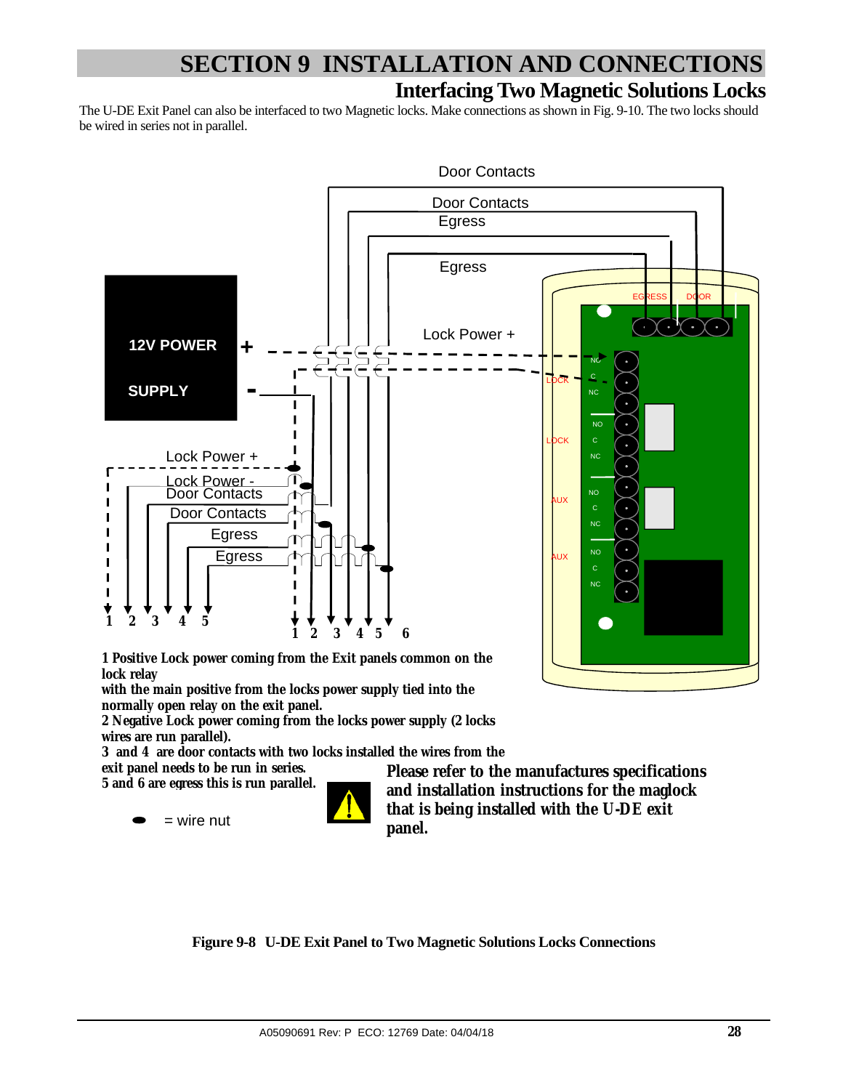# **Interfacing Two Magnetic Solutions Locks SECTION 9 INSTALLATION AND CONNECTIONS**

The U-DE Exit Panel can also be interfaced to two Magnetic locks. Make connections as shown in Fig. 9-10. The two locks should be wired in series not in parallel.



**1 Positive Lock power coming from the Exit panels common on the lock relay** 

**with the main positive from the locks power supply tied into the normally open relay on the exit panel.** 

**2 Negative Lock power coming from the locks power supply (2 locks wires are run parallel).** 

**3 and 4 are door contacts with two locks installed the wires from the** 

**exit panel needs to be run in series.** 

 $=$  wire nut



**5 and 6 are egress this is run parallel. Please refer to the manufactures specifications and installation instructions for the maglock that is being installed with the U-DE exit panel.** 

**Figure 9-8 U-DE Exit Panel to Two Magnetic Solutions Locks Connections**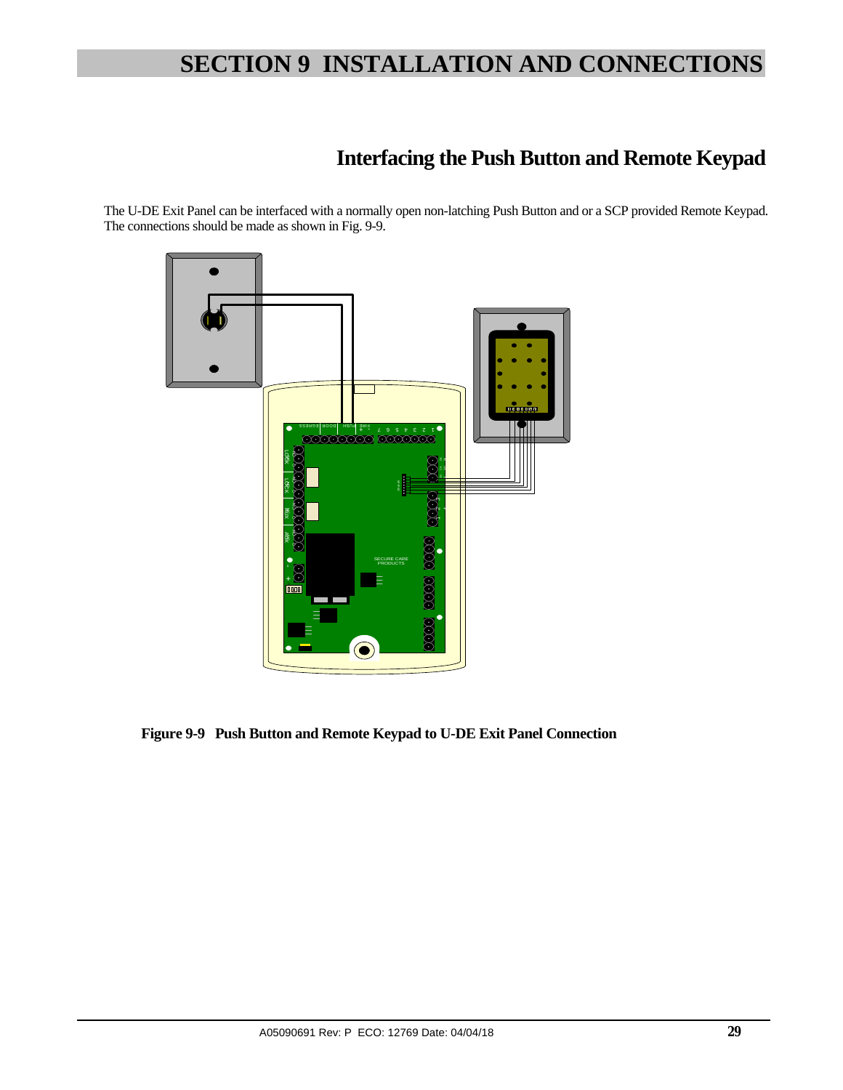# **Interfacing the Push Button and Remote Keypad**

The U-DE Exit Panel can be interfaced with a normally open non-latching Push Button and or a SCP provided Remote Keypad. The connections should be made as shown in Fig. 9-9.



 **Figure 9-9 Push Button and Remote Keypad to U-DE Exit Panel Connection**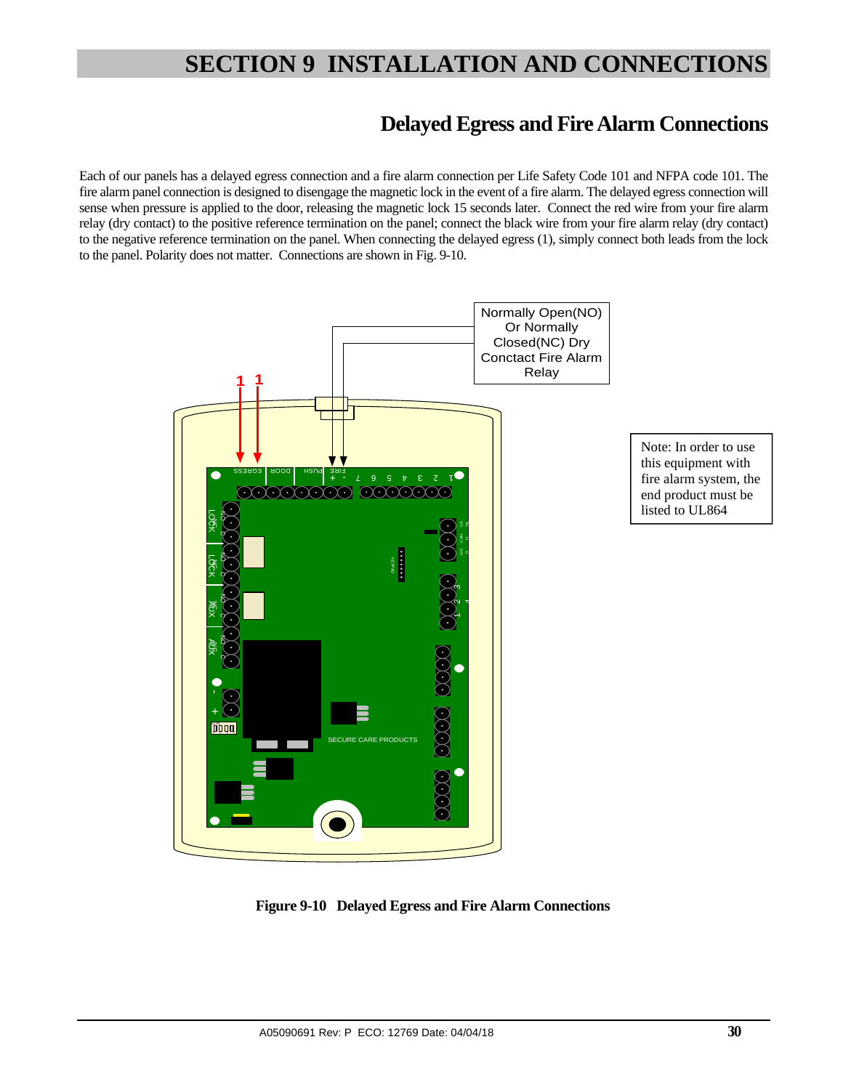### **Delayed Egress and Fire Alarm Connections**

Each of our panels has a delayed egress connection and a fire alarm connection per Life Safety Code 101 and NFPA code 101. The fire alarm panel connection is designed to disengage the magnetic lock in the event of a fire alarm. The delayed egress connection will sense when pressure is applied to the door, releasing the magnetic lock 15 seconds later. Connect the red wire from your fire alarm relay (dry contact) to the positive reference termination on the panel; connect the black wire from your fire alarm relay (dry contact) to the negative reference termination on the panel. When connecting the delayed egress (1), simply connect both leads from the lock to the panel. Polarity does not matter. Connections are shown in Fig. 9-10.



 **Figure 9-10 Delayed Egress and Fire Alarm Connections**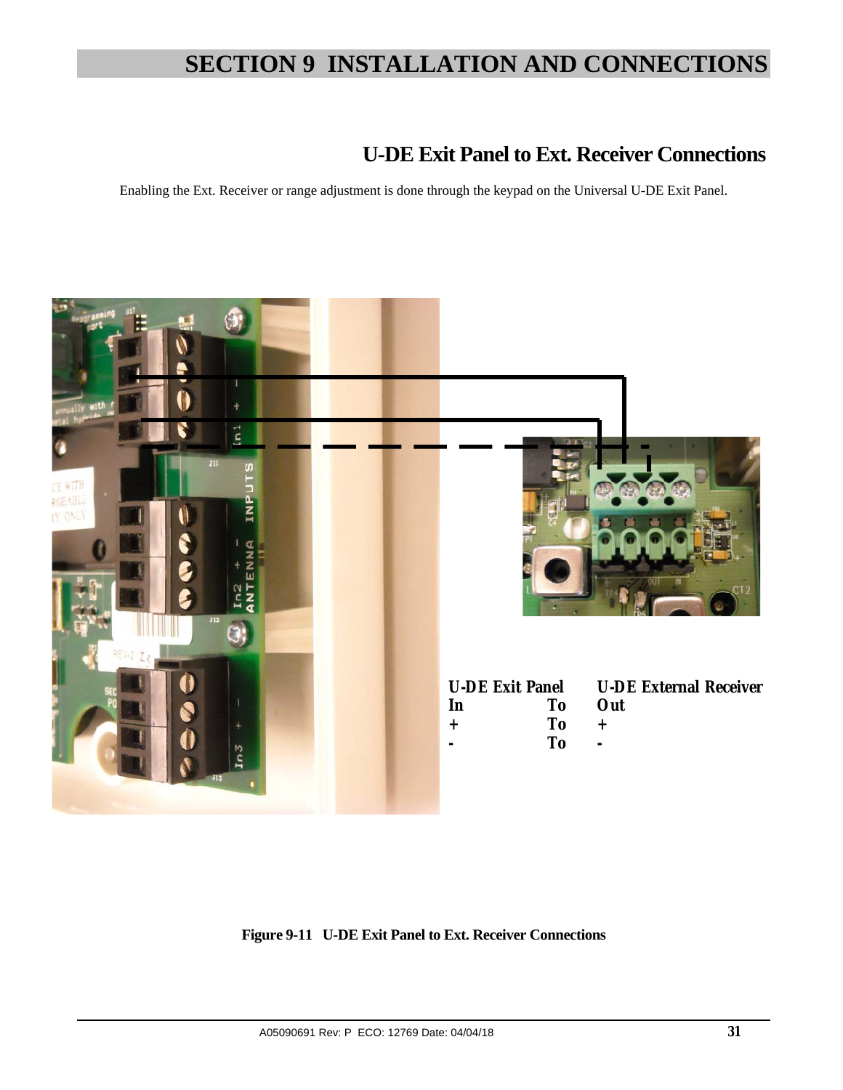### **U-DE Exit Panel to Ext. Receiver Connections**

Enabling the Ext. Receiver or range adjustment is done through the keypad on the Universal U-DE Exit Panel.



**Figure 9-11 U-DE Exit Panel to Ext. Receiver Connections**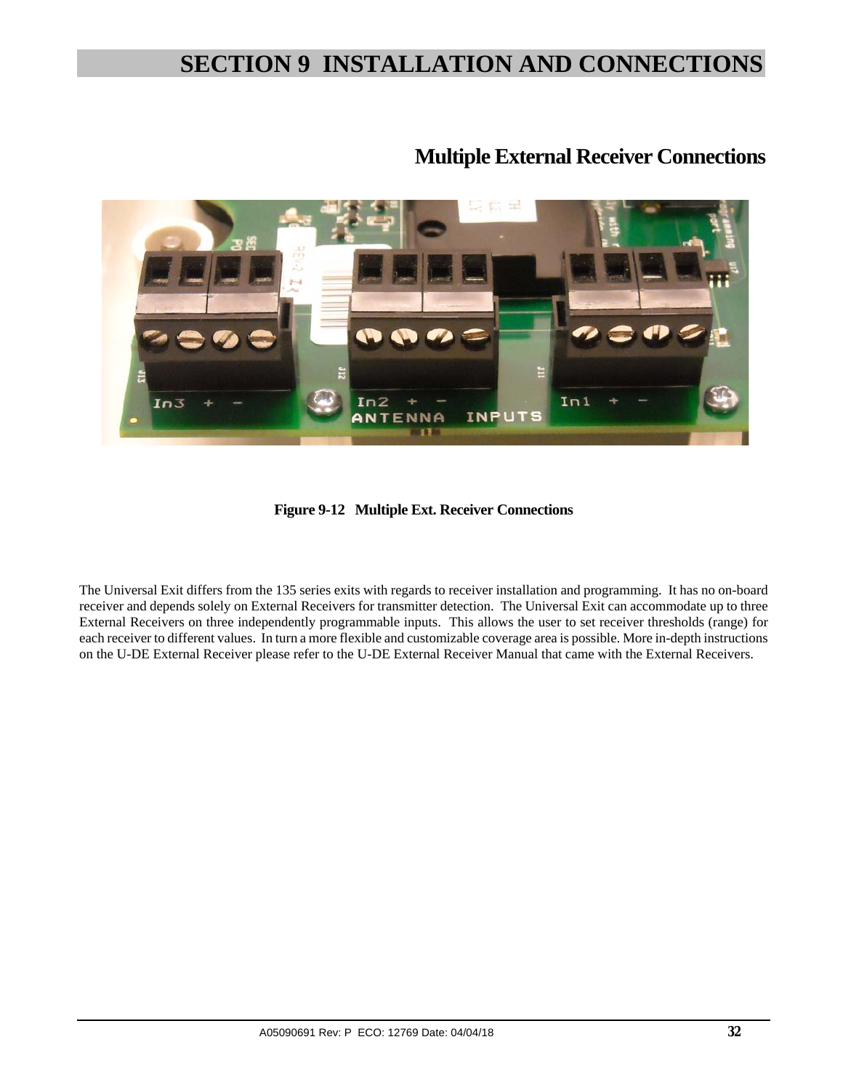

### **Multiple External Receiver Connections**

**Figure 9-12 Multiple Ext. Receiver Connections** 

The Universal Exit differs from the 135 series exits with regards to receiver installation and programming. It has no on-board receiver and depends solely on External Receivers for transmitter detection. The Universal Exit can accommodate up to three External Receivers on three independently programmable inputs. This allows the user to set receiver thresholds (range) for each receiver to different values. In turn a more flexible and customizable coverage area is possible. More in-depth instructions on the U-DE External Receiver please refer to the U-DE External Receiver Manual that came with the External Receivers.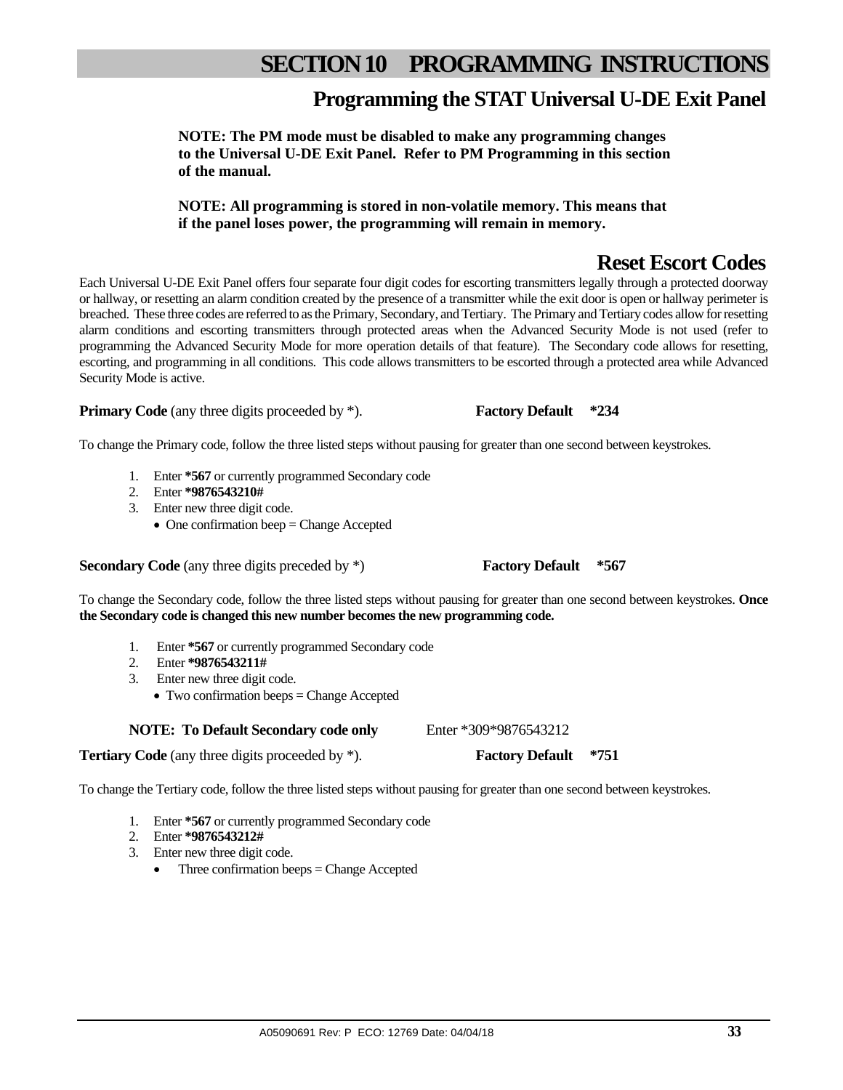## **SECTION 10 PROGRAMMING INSTRUCTIONS**

### **Programming the STAT Universal U-DE Exit Panel**

**NOTE: The PM mode must be disabled to make any programming changes to the Universal U-DE Exit Panel. Refer to PM Programming in this section of the manual.** 

**NOTE: All programming is stored in non-volatile memory. This means that if the panel loses power, the programming will remain in memory.** 

### **Reset Escort Codes**

Each Universal U-DE Exit Panel offers four separate four digit codes for escorting transmitters legally through a protected doorway or hallway, or resetting an alarm condition created by the presence of a transmitter while the exit door is open or hallway perimeter is breached. These three codes are referred to as the Primary, Secondary, and Tertiary. The Primary and Tertiary codes allow for resetting alarm conditions and escorting transmitters through protected areas when the Advanced Security Mode is not used (refer to programming the Advanced Security Mode for more operation details of that feature). The Secondary code allows for resetting, escorting, and programming in all conditions. This code allows transmitters to be escorted through a protected area while Advanced Security Mode is active.

**Primary Code** (any three digits proceeded by \*). **Factory Default** \*234

#### To change the Primary code, follow the three listed steps without pausing for greater than one second between keystrokes.

- 1. Enter **\*567** or currently programmed Secondary code
- 2. Enter **\*9876543210#**
- 3. Enter new three digit code.
	- $\bullet$  One confirmation beep = Change Accepted

**Secondary Code** (any three digits preceded by \*) **Factory Default \*567** 

To change the Secondary code, follow the three listed steps without pausing for greater than one second between keystrokes. **Once the Secondary code is changed this new number becomes the new programming code.** 

- 1. Enter **\*567** or currently programmed Secondary code
- 2. Enter **\*9876543211#**
- 3. Enter new three digit code.
	- Two confirmation beeps = Change Accepted

**NOTE:** To Default Secondary code only Enter \*309\*9876543212

**Tertiary Code** (any three digits proceeded by \*). **Factory Default \*751** 

To change the Tertiary code, follow the three listed steps without pausing for greater than one second between keystrokes.

- 1. Enter **\*567** or currently programmed Secondary code
- 2. Enter **\*9876543212#**
- 3. Enter new three digit code.
	- Three confirmation beeps = Change Accepted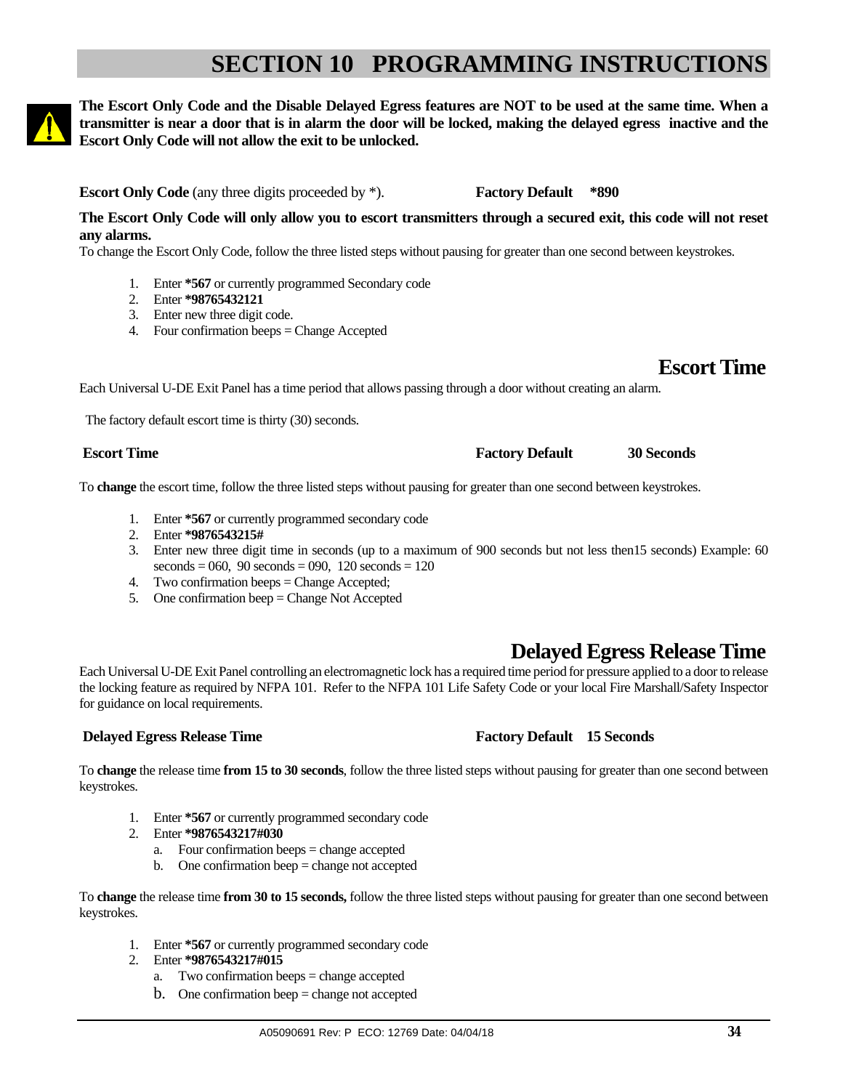# **SECTION 10 PROGRAMMING INSTRUCTIONS**

**The Escort Only Code and the Disable Delayed Egress features are NOT to be used at the same time. When a transmitter is near a door that is in alarm the door will be locked, making the delayed egress inactive and the Escort Only Code will not allow the exit to be unlocked.**

**Escort Only Code** (any three digits proceeded by \*). **Factory Default** \*890

**The Escort Only Code will only allow you to escort transmitters through a secured exit, this code will not reset any alarms.** 

To change the Escort Only Code, follow the three listed steps without pausing for greater than one second between keystrokes.

- 1. Enter **\*567** or currently programmed Secondary code
- 2. Enter **\*98765432121**
- 3. Enter new three digit code.
- 4. Four confirmation beeps = Change Accepted

**Escort Time** 

Each Universal U-DE Exit Panel has a time period that allows passing through a door without creating an alarm.

The factory default escort time is thirty (30) seconds.

To **change** the escort time, follow the three listed steps without pausing for greater than one second between keystrokes.

- 1. Enter **\*567** or currently programmed secondary code
- 2. Enter **\*9876543215#**
- 3. Enter new three digit time in seconds (up to a maximum of 900 seconds but not less then15 seconds) Example: 60  $seconds = 060, 90 seconds = 090, 120 seconds = 120$
- 4. Two confirmation beeps = Change Accepted;
- 5. One confirmation beep = Change Not Accepted

### **Delayed Egress Release Time**

Each Universal U-DE Exit Panel controlling an electromagnetic lock has a required time period for pressure applied to a door to release the locking feature as required by NFPA 101. Refer to the NFPA 101 Life Safety Code or your local Fire Marshall/Safety Inspector for guidance on local requirements.

#### **Delayed Egress Release Time Factory Default 15 Seconds**

To **change** the release time **from 15 to 30 seconds**, follow the three listed steps without pausing for greater than one second between keystrokes.

- 1. Enter **\*567** or currently programmed secondary code
- 2. Enter **\*9876543217#030**
	- a. Four confirmation beeps = change accepted
	- b. One confirmation beep = change not accepted

To **change** the release time **from 30 to 15 seconds,** follow the three listed steps without pausing for greater than one second between keystrokes.

- 1. Enter **\*567** or currently programmed secondary code
- 2. Enter **\*9876543217#015**
	- a. Two confirmation beeps = change accepted
	- b. One confirmation beep  $=$  change not accepted

#### **Factory Default 30 Seconds Factory Default** 30 Seconds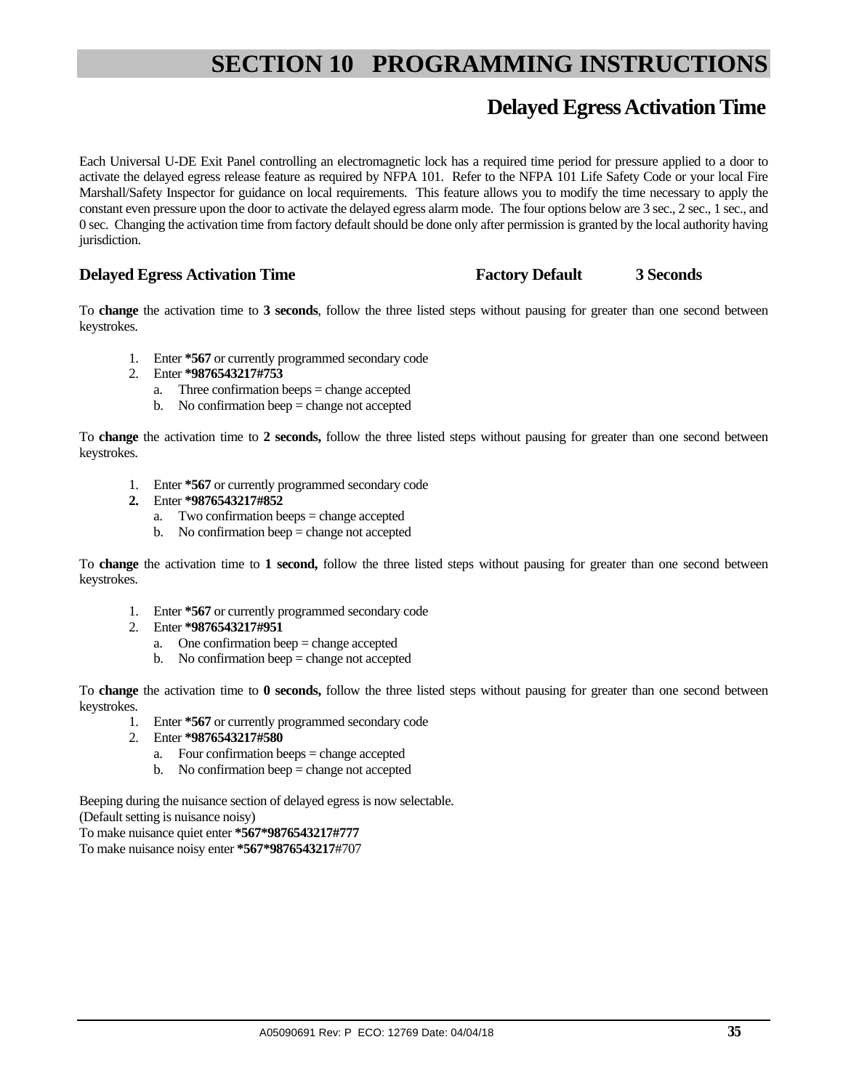# **SECTION 10 PROGRAMMING INSTRUCTIONS**

### **Delayed Egress Activation Time**

Each Universal U-DE Exit Panel controlling an electromagnetic lock has a required time period for pressure applied to a door to activate the delayed egress release feature as required by NFPA 101. Refer to the NFPA 101 Life Safety Code or your local Fire Marshall/Safety Inspector for guidance on local requirements. This feature allows you to modify the time necessary to apply the constant even pressure upon the door to activate the delayed egress alarm mode. The four options below are 3 sec., 2 sec., 1 sec., and 0 sec. Changing the activation time from factory default should be done only after permission is granted by the local authority having jurisdiction.

#### **Delayed Egress Activation Time Factory Default 3 Seconds**

To **change** the activation time to **3 seconds**, follow the three listed steps without pausing for greater than one second between keystrokes.

- 1. Enter **\*567** or currently programmed secondary code
- 2. Enter **\*9876543217#753**
	- a. Three confirmation beeps = change accepted
	- b. No confirmation beep  $=$  change not accepted

To **change** the activation time to **2 seconds,** follow the three listed steps without pausing for greater than one second between keystrokes.

- 1. Enter **\*567** or currently programmed secondary code
- **2.** Enter **\*9876543217#852** 
	- a. Two confirmation beeps = change accepted
	- b. No confirmation beep  $=$  change not accepted

To **change** the activation time to **1 second,** follow the three listed steps without pausing for greater than one second between keystrokes.

- 1. Enter **\*567** or currently programmed secondary code
- 2. Enter **\*9876543217#951**
	- a. One confirmation beep = change accepted
	- b. No confirmation beep = change not accepted

To **change** the activation time to **0 seconds,** follow the three listed steps without pausing for greater than one second between keystrokes.

- 1. Enter **\*567** or currently programmed secondary code
- 2. Enter **\*9876543217#580**
	- a. Four confirmation beeps = change accepted
	- b. No confirmation beep  $=$  change not accepted

Beeping during the nuisance section of delayed egress is now selectable. (Default setting is nuisance noisy) To make nuisance quiet enter **\*567\*9876543217#777** 

To make nuisance noisy enter **\*567\*9876543217**#707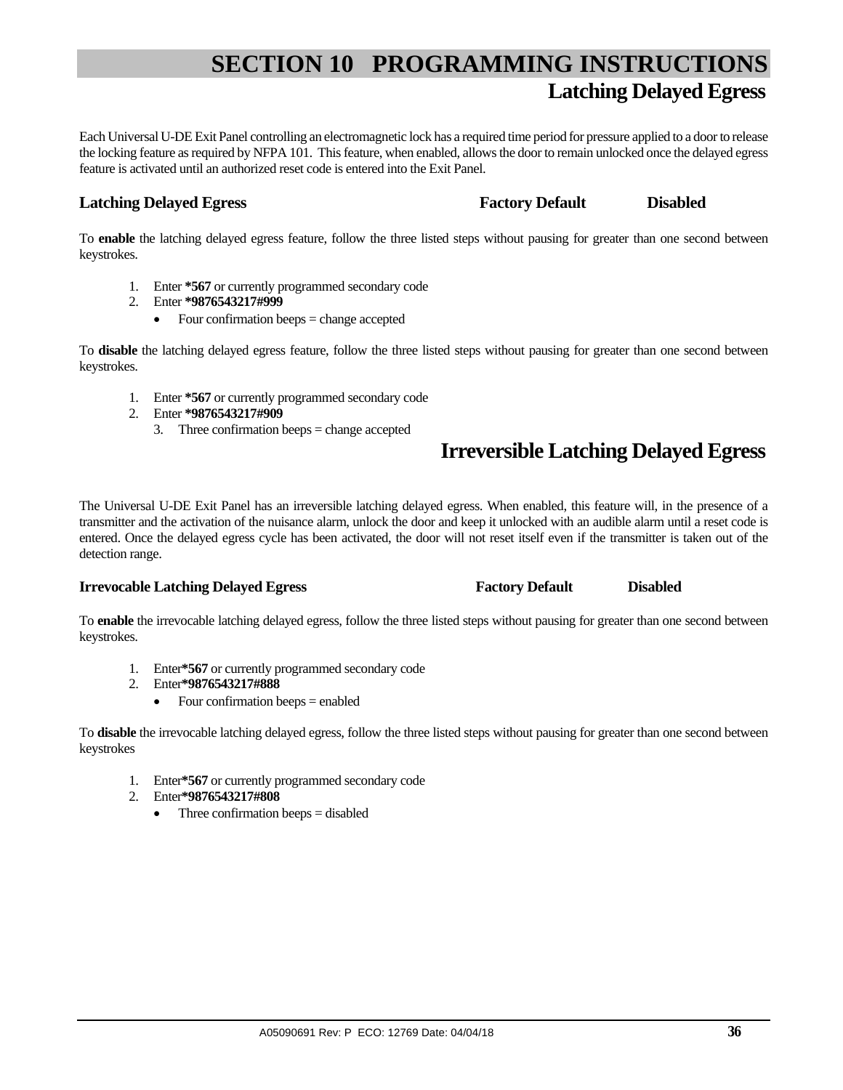# **SECTION 10 PROGRAMMING INSTRUCTIONS Latching Delayed Egress**

Each Universal U-DE Exit Panel controlling an electromagnetic lock has a required time period for pressure applied to a door to release the locking feature as required by NFPA 101. This feature, when enabled, allows the door to remain unlocked once the delayed egress feature is activated until an authorized reset code is entered into the Exit Panel.

#### **Latching Delayed Egress Factory Default** Disabled

To **enable** the latching delayed egress feature, follow the three listed steps without pausing for greater than one second between keystrokes.

- 1. Enter **\*567** or currently programmed secondary code
- 2. Enter **\*9876543217#999**
	- $\bullet$  Four confirmation beeps = change accepted

To **disable** the latching delayed egress feature, follow the three listed steps without pausing for greater than one second between keystrokes.

- 1. Enter **\*567** or currently programmed secondary code
- 2. Enter **\*9876543217#909**
	- 3. Three confirmation beeps = change accepted

## **Irreversible Latching Delayed Egress**

The Universal U-DE Exit Panel has an irreversible latching delayed egress. When enabled, this feature will, in the presence of a transmitter and the activation of the nuisance alarm, unlock the door and keep it unlocked with an audible alarm until a reset code is entered. Once the delayed egress cycle has been activated, the door will not reset itself even if the transmitter is taken out of the detection range.

#### **Irrevocable Latching Delayed Egress Factory Default Bisabled Constant Disabled Constant Intervocable Latching Delayed Egress**

To **enable** the irrevocable latching delayed egress, follow the three listed steps without pausing for greater than one second between keystrokes.

- 1. Enter**\*567** or currently programmed secondary code
- 2. Enter**\*9876543217#888**
	- Four confirmation beeps  $=$  enabled

To **disable** the irrevocable latching delayed egress, follow the three listed steps without pausing for greater than one second between keystrokes

- 1. Enter**\*567** or currently programmed secondary code
- 2. Enter**\*9876543217#808**
	- Three confirmation beeps = disabled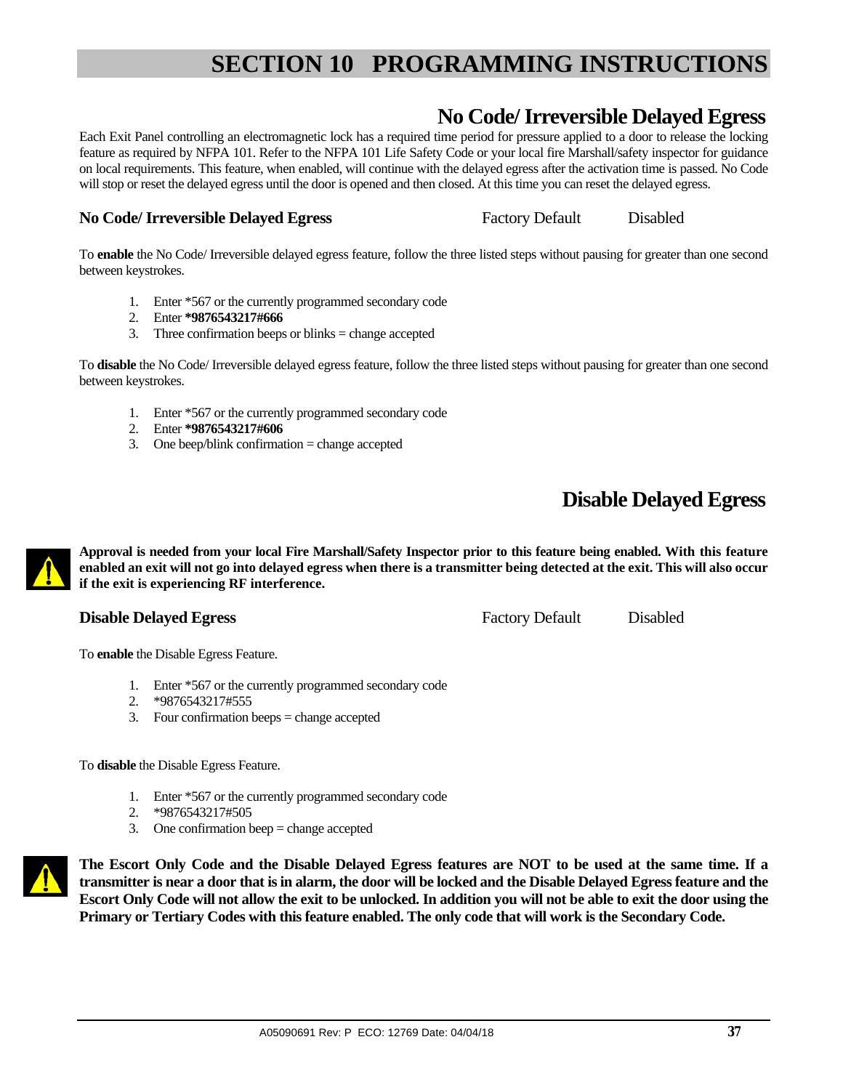## **No Code/ Irreversible Delayed Egress**

Each Exit Panel controlling an electromagnetic lock has a required time period for pressure applied to a door to release the locking feature as required by NFPA 101. Refer to the NFPA 101 Life Safety Code or your local fire Marshall/safety inspector for guidance on local requirements. This feature, when enabled, will continue with the delayed egress after the activation time is passed. No Code will stop or reset the delayed egress until the door is opened and then closed. At this time you can reset the delayed egress.

### **No Code/ Irreversible Delayed Egress** Factory Default Disabled

To **enable** the No Code/ Irreversible delayed egress feature, follow the three listed steps without pausing for greater than one second between keystrokes.

- 1. Enter \*567 or the currently programmed secondary code
- 2. Enter **\*9876543217#666**
- 3. Three confirmation beeps or blinks = change accepted

To **disable** the No Code/ Irreversible delayed egress feature, follow the three listed steps without pausing for greater than one second between keystrokes.

- 1. Enter \*567 or the currently programmed secondary code
- 2. Enter **\*9876543217#606**
- 3. One beep/blink confirmation = change accepted

## **Disable Delayed Egress**

**Approval is needed from your local Fire Marshall/Safety Inspector prior to this feature being enabled. With this feature enabled an exit will not go into delayed egress when there is a transmitter being detected at the exit. This will also occur if the exit is experiencing RF interference.** 

## **Disable Delayed Egress Factory Default** Disabled

To **enable** the Disable Egress Feature.

- 1. Enter \*567 or the currently programmed secondary code
- 2. \*9876543217#555
- 3. Four confirmation beeps = change accepted

To **disable** the Disable Egress Feature.

- 1. Enter \*567 or the currently programmed secondary code
- 2. \*9876543217#505
- 3. One confirmation beep = change accepted



**The Escort Only Code and the Disable Delayed Egress features are NOT to be used at the same time. If a transmitter is near a door that is in alarm, the door will be locked and the Disable Delayed Egress feature and the Escort Only Code will not allow the exit to be unlocked. In addition you will not be able to exit the door using the Primary or Tertiary Codes with this feature enabled. The only code that will work is the Secondary Code.**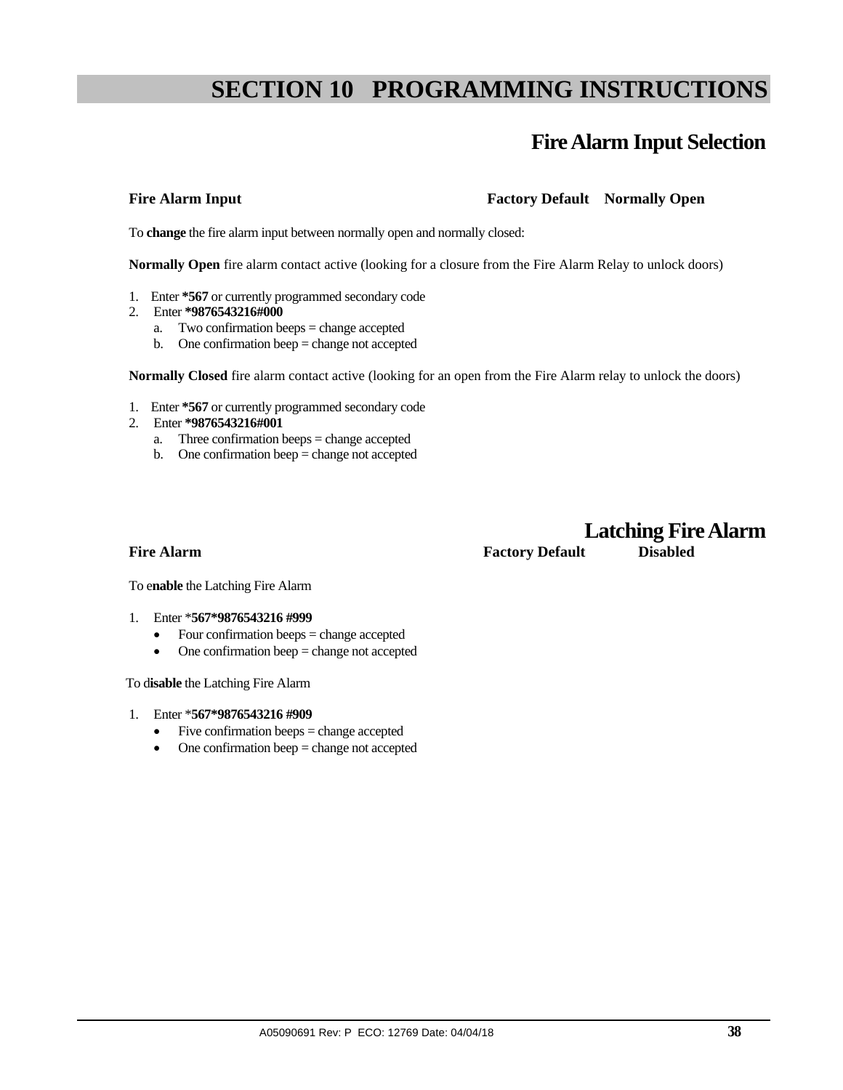## **Fire Alarm Input Selection**

## Fire Alarm Input **Factory Pactory Default** Normally Open

To **change** the fire alarm input between normally open and normally closed:

**Normally Open** fire alarm contact active (looking for a closure from the Fire Alarm Relay to unlock doors)

- 1. Enter **\*567** or currently programmed secondary code
- 2. Enter **\*9876543216#000**
	- a. Two confirmation beeps = change accepted
	- b. One confirmation beep = change not accepted

**Normally Closed** fire alarm contact active (looking for an open from the Fire Alarm relay to unlock the doors)

- 1. Enter **\*567** or currently programmed secondary code
- 2. Enter **\*9876543216#001** 
	- a. Three confirmation beeps = change accepted
	- b. One confirmation beep = change not accepted

## **Latching Fire Alarm Fire Alarm Factory Default Disabled**

To e**nable** the Latching Fire Alarm

- 1. Enter \***567\*9876543216 #999**
	- Four confirmation beeps = change accepted
	- One confirmation beep = change not accepted

To d**isable** the Latching Fire Alarm

- 1. Enter \***567\*9876543216 #909** 
	- Five confirmation beeps = change accepted
	- One confirmation beep = change not accepted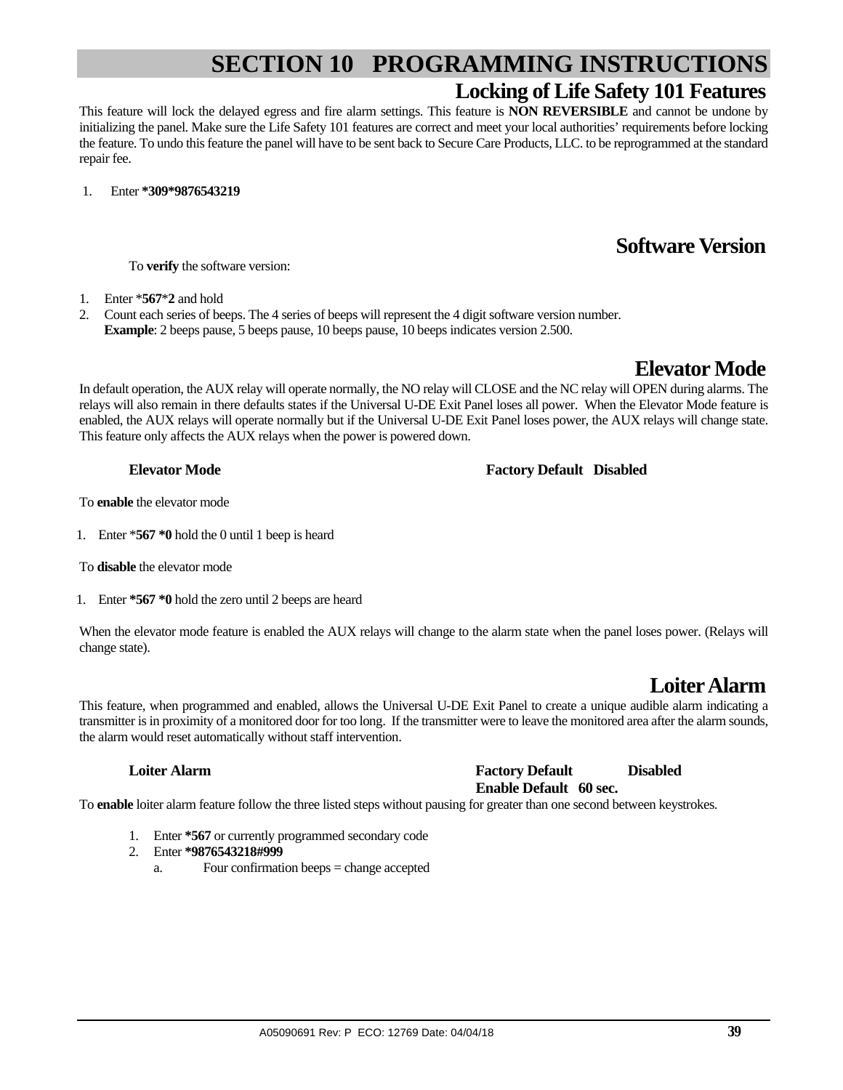## **SECTION 10 PROGRAMMING INSTRUCTIONS Locking of Life Safety 101 Features**

This feature will lock the delayed egress and fire alarm settings. This feature is **NON REVERSIBLE** and cannot be undone by initializing the panel. Make sure the Life Safety 101 features are correct and meet your local authorities' requirements before locking the feature. To undo this feature the panel will have to be sent back to Secure Care Products, LLC. to be reprogrammed at the standard repair fee.

1. Enter **\*309\*9876543219**

## **Software Version**

To **verify** the software version:

- 1. Enter \***567**\***2** and hold
- 2. Count each series of beeps. The 4 series of beeps will represent the 4 digit software version number. **Example**: 2 beeps pause, 5 beeps pause, 10 beeps pause, 10 beeps indicates version 2.500.

## **Elevator Mode**

In default operation, the AUX relay will operate normally, the NO relay will CLOSE and the NC relay will OPEN during alarms. The relays will also remain in there defaults states if the Universal U-DE Exit Panel loses all power. When the Elevator Mode feature is enabled, the AUX relays will operate normally but if the Universal U-DE Exit Panel loses power, the AUX relays will change state. This feature only affects the AUX relays when the power is powered down.

#### **Elevator Mode Factory Default Disabled**

To **enable** the elevator mode

1. Enter \***567 \*0** hold the 0 until 1 beep is heard

To **disable** the elevator mode

1. Enter **\*567 \*0** hold the zero until 2 beeps are heard

When the elevator mode feature is enabled the AUX relays will change to the alarm state when the panel loses power. (Relays will change state).

## **Loiter Alarm**

This feature, when programmed and enabled, allows the Universal U-DE Exit Panel to create a unique audible alarm indicating a transmitter is in proximity of a monitored door for too long. If the transmitter were to leave the monitored area after the alarm sounds, the alarm would reset automatically without staff intervention.

#### **Loiter Alarm Community Community Community Pactory Default Community Disabled Enable Default 60 sec.**

To **enable** loiter alarm feature follow the three listed steps without pausing for greater than one second between keystrokes.

- 1. Enter **\*567** or currently programmed secondary code
- 2. Enter **\*9876543218#999**
	- a. Four confirmation beeps = change accepted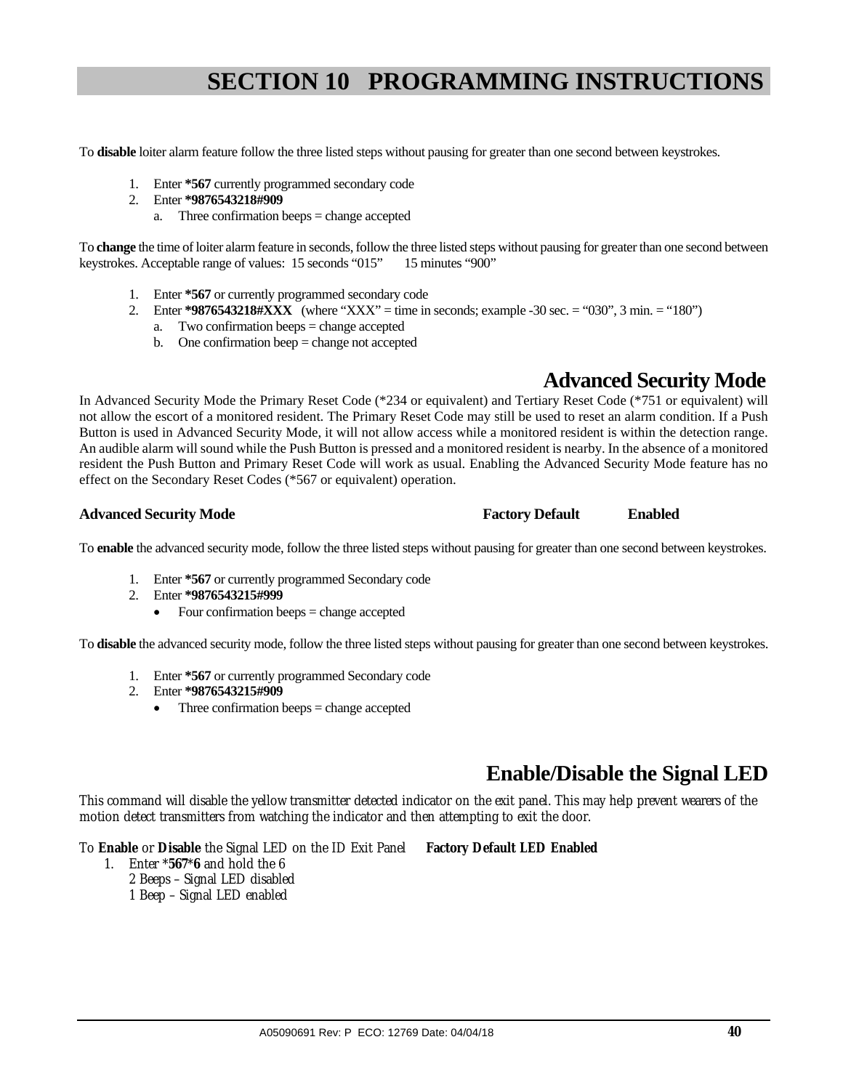To **disable** loiter alarm feature follow the three listed steps without pausing for greater than one second between keystrokes.

- 1. Enter **\*567** currently programmed secondary code
- 2. Enter **\*9876543218#909**
	- a. Three confirmation beeps = change accepted

To **change** the time of loiter alarm feature in seconds, follow the three listed steps without pausing for greater than one second between keystrokes. Acceptable range of values: 15 seconds "015" 15 minutes "900"

- 1. Enter **\*567** or currently programmed secondary code
- 2. Enter **\*9876543218#XXX** (where "XXX" = time in seconds; example -30 sec. = "030", 3 min. = "180")
	- a. Two confirmation beeps = change accepted
	- b. One confirmation beep = change not accepted

## **Advanced Security Mode**

In Advanced Security Mode the Primary Reset Code (\*234 or equivalent) and Tertiary Reset Code (\*751 or equivalent) will not allow the escort of a monitored resident. The Primary Reset Code may still be used to reset an alarm condition. If a Push Button is used in Advanced Security Mode, it will not allow access while a monitored resident is within the detection range. An audible alarm will sound while the Push Button is pressed and a monitored resident is nearby. In the absence of a monitored resident the Push Button and Primary Reset Code will work as usual. Enabling the Advanced Security Mode feature has no effect on the Secondary Reset Codes (\*567 or equivalent) operation.

#### **Advanced Security Mode Factory Default Enabled**

To **enable** the advanced security mode, follow the three listed steps without pausing for greater than one second between keystrokes.

- 1. Enter **\*567** or currently programmed Secondary code
- 2. Enter **\*9876543215#999**
	- Four confirmation beeps = change accepted

To **disable** the advanced security mode, follow the three listed steps without pausing for greater than one second between keystrokes.

- 1. Enter **\*567** or currently programmed Secondary code
- 2. Enter **\*9876543215#909**
	- Three confirmation beeps = change accepted

## **Enable/Disable the Signal LED**

This command will disable the yellow transmitter detected indicator on the exit panel. This may help prevent wearers of the motion detect transmitters from watching the indicator and then attempting to exit the door.

To **Enable** or **Disable** the Signal LED on the ID Exit Panel **Factory Default LED Enabled**

- 1. Enter \***567**\***6** and hold the 6
	- 2 Beeps Signal LED disabled
	- 1 Beep Signal LED enabled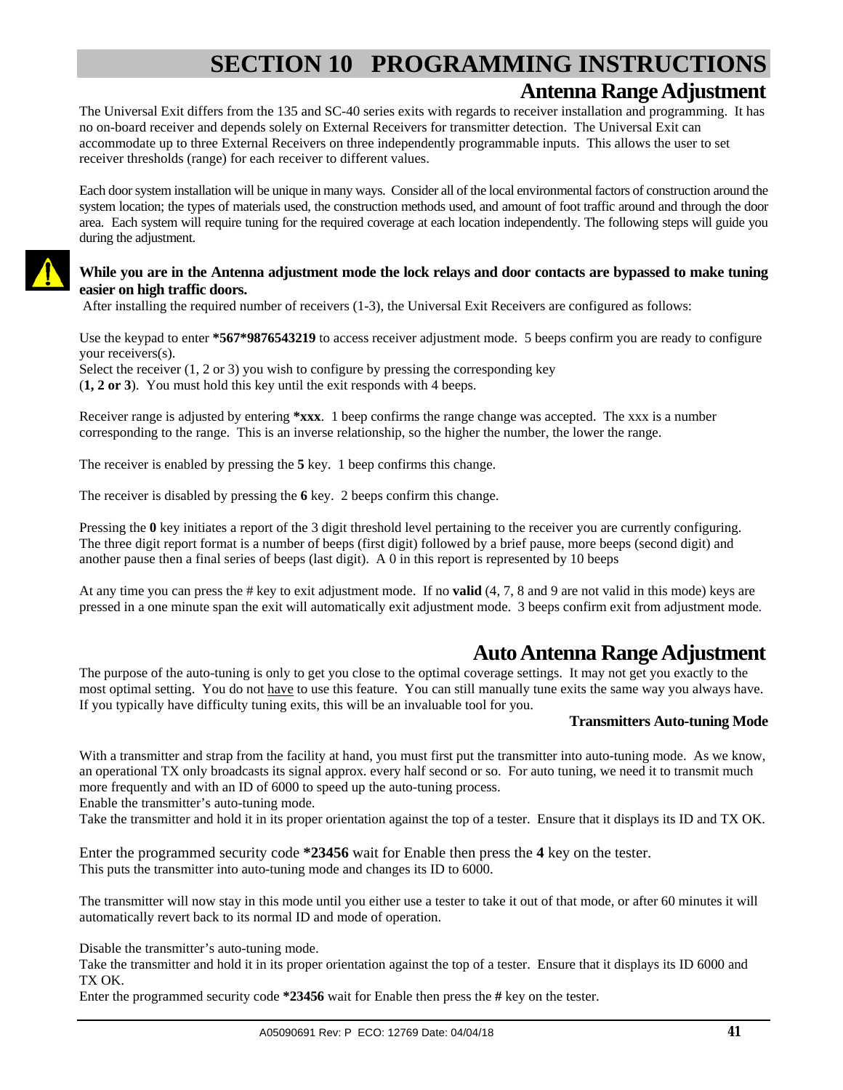## **SECTION 10 PROGRAMMING INSTRUCTIONS Antenna Range Adjustment**

The Universal Exit differs from the 135 and SC-40 series exits with regards to receiver installation and programming. It has no on-board receiver and depends solely on External Receivers for transmitter detection. The Universal Exit can accommodate up to three External Receivers on three independently programmable inputs. This allows the user to set receiver thresholds (range) for each receiver to different values.

Each door system installation will be unique in many ways. Consider all of the local environmental factors of construction around the system location; the types of materials used, the construction methods used, and amount of foot traffic around and through the door area. Each system will require tuning for the required coverage at each location independently. The following steps will guide you during the adjustment.

#### **While you are in the Antenna adjustment mode the lock relays and door contacts are bypassed to make tuning easier on high traffic doors.**

After installing the required number of receivers (1-3), the Universal Exit Receivers are configured as follows:

Use the keypad to enter **\*567\*9876543219** to access receiver adjustment mode. 5 beeps confirm you are ready to configure your receivers(s).

Select the receiver (1, 2 or 3) you wish to configure by pressing the corresponding key (**1, 2 or 3**). You must hold this key until the exit responds with 4 beeps.

Receiver range is adjusted by entering **\*xxx**. 1 beep confirms the range change was accepted. The xxx is a number corresponding to the range. This is an inverse relationship, so the higher the number, the lower the range.

The receiver is enabled by pressing the **5** key. 1 beep confirms this change.

The receiver is disabled by pressing the **6** key. 2 beeps confirm this change.

Pressing the 0 key initiates a report of the 3 digit threshold level pertaining to the receiver you are currently configuring. The three digit report format is a number of beeps (first digit) followed by a brief pause, more beeps (second digit) and another pause then a final series of beeps (last digit). A 0 in this report is represented by 10 beeps

At any time you can press the # key to exit adjustment mode. If no **valid** (4, 7, 8 and 9 are not valid in this mode) keys are pressed in a one minute span the exit will automatically exit adjustment mode. 3 beeps confirm exit from adjustment mode.

## **Auto Antenna Range Adjustment**

The purpose of the auto-tuning is only to get you close to the optimal coverage settings. It may not get you exactly to the most optimal setting. You do not have to use this feature. You can still manually tune exits the same way you always have. If you typically have difficulty tuning exits, this will be an invaluable tool for you.

#### **Transmitters Auto-tuning Mode**

With a transmitter and strap from the facility at hand, you must first put the transmitter into auto-tuning mode. As we know, an operational TX only broadcasts its signal approx. every half second or so. For auto tuning, we need it to transmit much more frequently and with an ID of 6000 to speed up the auto-tuning process.

Enable the transmitter's auto-tuning mode.

Take the transmitter and hold it in its proper orientation against the top of a tester. Ensure that it displays its ID and TX OK.

Enter the programmed security code **\*23456** wait for Enable then press the **4** key on the tester. This puts the transmitter into auto-tuning mode and changes its ID to 6000.

The transmitter will now stay in this mode until you either use a tester to take it out of that mode, or after 60 minutes it will automatically revert back to its normal ID and mode of operation.

Disable the transmitter's auto-tuning mode.

Take the transmitter and hold it in its proper orientation against the top of a tester. Ensure that it displays its ID 6000 and TX OK.

Enter the programmed security code **\*23456** wait for Enable then press the **#** key on the tester.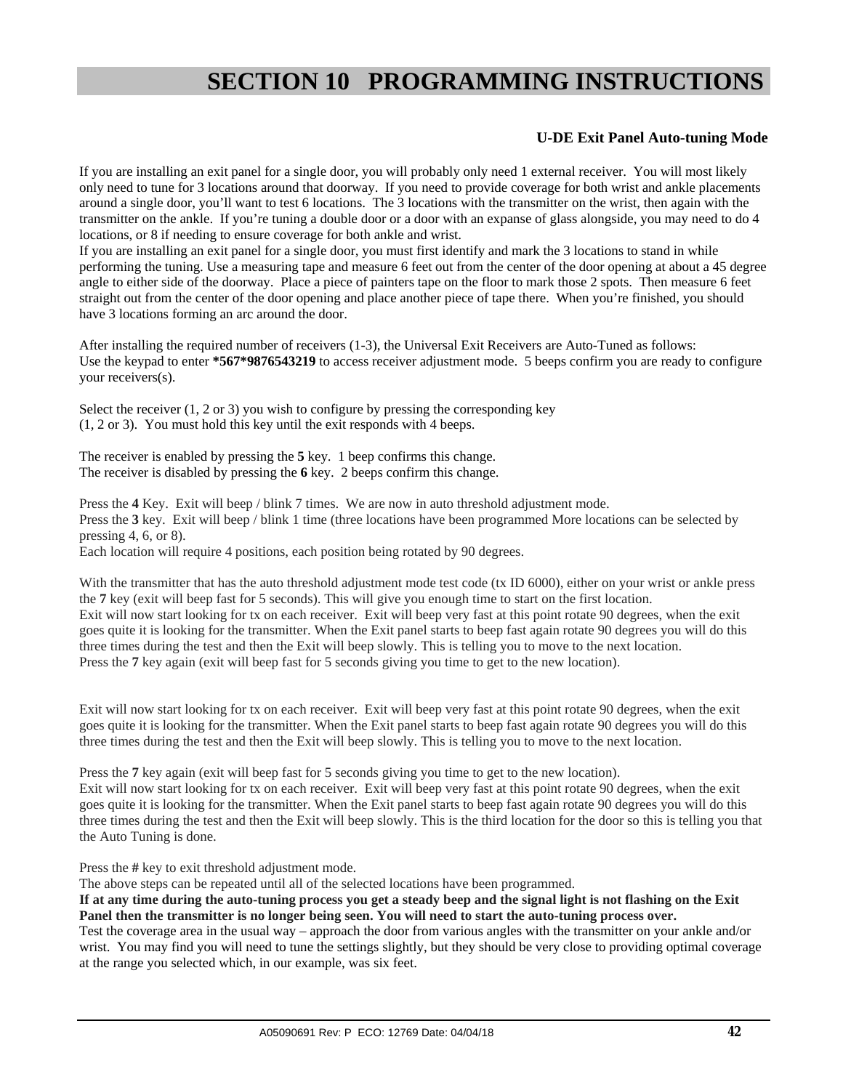#### **U-DE Exit Panel Auto-tuning Mode**

If you are installing an exit panel for a single door, you will probably only need 1 external receiver. You will most likely only need to tune for 3 locations around that doorway. If you need to provide coverage for both wrist and ankle placements around a single door, you'll want to test 6 locations. The 3 locations with the transmitter on the wrist, then again with the transmitter on the ankle. If you're tuning a double door or a door with an expanse of glass alongside, you may need to do 4 locations, or 8 if needing to ensure coverage for both ankle and wrist.

If you are installing an exit panel for a single door, you must first identify and mark the 3 locations to stand in while performing the tuning. Use a measuring tape and measure 6 feet out from the center of the door opening at about a 45 degree angle to either side of the doorway. Place a piece of painters tape on the floor to mark those 2 spots. Then measure 6 feet straight out from the center of the door opening and place another piece of tape there. When you're finished, you should have 3 locations forming an arc around the door.

After installing the required number of receivers (1-3), the Universal Exit Receivers are Auto-Tuned as follows: Use the keypad to enter **\*567\*9876543219** to access receiver adjustment mode. 5 beeps confirm you are ready to configure your receivers(s).

Select the receiver  $(1, 2 \text{ or } 3)$  you wish to configure by pressing the corresponding key (1, 2 or 3). You must hold this key until the exit responds with 4 beeps.

The receiver is enabled by pressing the **5** key. 1 beep confirms this change. The receiver is disabled by pressing the **6** key. 2 beeps confirm this change.

Press the **4** Key. Exit will beep / blink 7 times. We are now in auto threshold adjustment mode. Press the **3** key. Exit will beep / blink 1 time (three locations have been programmed More locations can be selected by pressing 4, 6, or 8).

Each location will require 4 positions, each position being rotated by 90 degrees.

With the transmitter that has the auto threshold adjustment mode test code (tx ID 6000), either on your wrist or ankle press the **7** key (exit will beep fast for 5 seconds). This will give you enough time to start on the first location. Exit will now start looking for tx on each receiver. Exit will beep very fast at this point rotate 90 degrees, when the exit goes quite it is looking for the transmitter. When the Exit panel starts to beep fast again rotate 90 degrees you will do this three times during the test and then the Exit will beep slowly. This is telling you to move to the next location. Press the **7** key again (exit will beep fast for 5 seconds giving you time to get to the new location).

Exit will now start looking for tx on each receiver. Exit will beep very fast at this point rotate 90 degrees, when the exit goes quite it is looking for the transmitter. When the Exit panel starts to beep fast again rotate 90 degrees you will do this three times during the test and then the Exit will beep slowly. This is telling you to move to the next location.

Press the **7** key again (exit will beep fast for 5 seconds giving you time to get to the new location). Exit will now start looking for tx on each receiver. Exit will beep very fast at this point rotate 90 degrees, when the exit goes quite it is looking for the transmitter. When the Exit panel starts to beep fast again rotate 90 degrees you will do this three times during the test and then the Exit will beep slowly. This is the third location for the door so this is telling you that the Auto Tuning is done.

Press the **#** key to exit threshold adjustment mode.

The above steps can be repeated until all of the selected locations have been programmed.

**If at any time during the auto-tuning process you get a steady beep and the signal light is not flashing on the Exit Panel then the transmitter is no longer being seen. You will need to start the auto-tuning process over.** 

Test the coverage area in the usual way – approach the door from various angles with the transmitter on your ankle and/or wrist. You may find you will need to tune the settings slightly, but they should be very close to providing optimal coverage at the range you selected which, in our example, was six feet.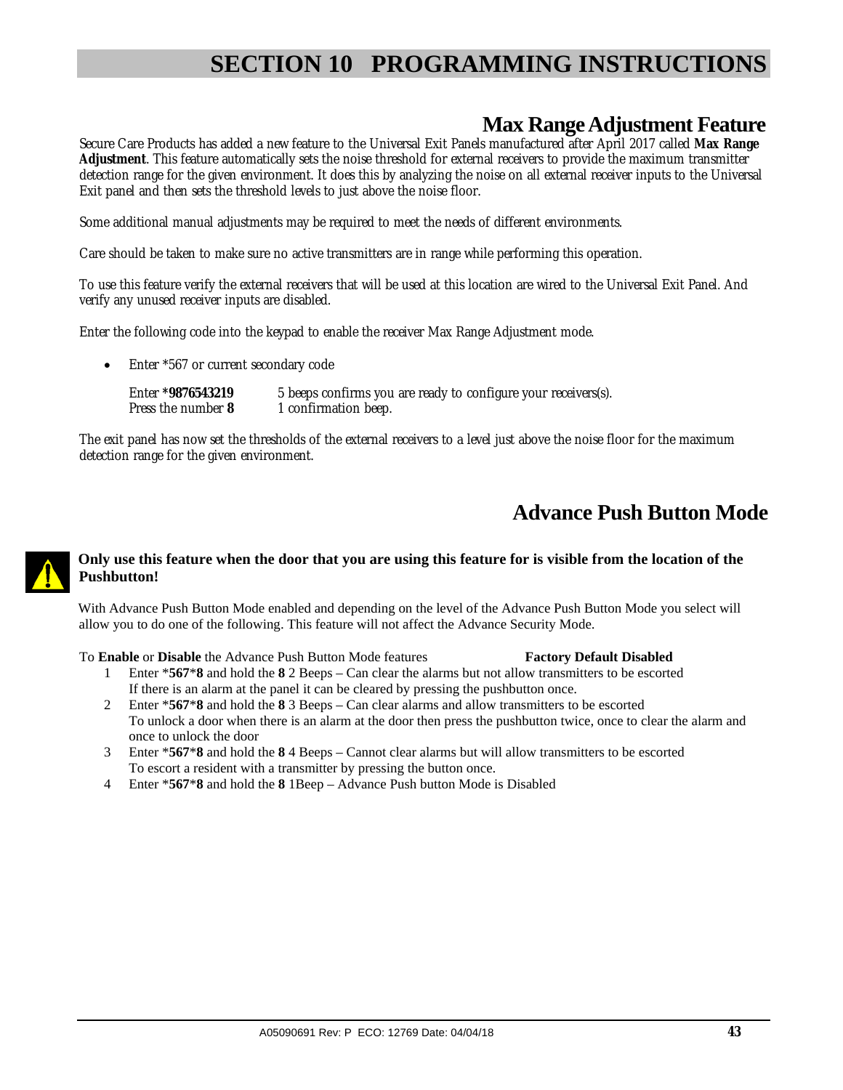## **Max Range Adjustment Feature**

Secure Care Products has added a new feature to the Universal Exit Panels manufactured after April 2017 called **Max Range Adjustment**. This feature automatically sets the noise threshold for external receivers to provide the maximum transmitter detection range for the given environment. It does this by analyzing the noise on all external receiver inputs to the Universal Exit panel and then sets the threshold levels to just above the noise floor.

Some additional manual adjustments may be required to meet the needs of different environments.

Care should be taken to make sure no active transmitters are in range while performing this operation.

To use this feature verify the external receivers that will be used at this location are wired to the Universal Exit Panel. And verify any unused receiver inputs are disabled.

Enter the following code into the keypad to enable the receiver Max Range Adjustment mode.

• Enter \*567 or current secondary code

```
Enter *9876543219 5 beeps confirms you are ready to configure your receivers(s). 
             1 confirmation beep.
```
The exit panel has now set the thresholds of the external receivers to a level just above the noise floor for the maximum detection range for the given environment.

## **Advance Push Button Mode**

#### **Only use this feature when the door that you are using this feature for is visible from the location of the Pushbutton!**

With Advance Push Button Mode enabled and depending on the level of the Advance Push Button Mode you select will allow you to do one of the following. This feature will not affect the Advance Security Mode.

To **Enable** or **Disable** the Advance Push Button Mode features **Factory Default Disabled**

- 1 Enter \***567**\***8** and hold the **8** 2 Beeps Can clear the alarms but not allow transmitters to be escorted If there is an alarm at the panel it can be cleared by pressing the pushbutton once.
- 2 Enter \***567**\***8** and hold the **8** 3 Beeps Can clear alarms and allow transmitters to be escorted To unlock a door when there is an alarm at the door then press the pushbutton twice, once to clear the alarm and once to unlock the door
- 3 Enter \***567**\***8** and hold the **8** 4 Beeps Cannot clear alarms but will allow transmitters to be escorted To escort a resident with a transmitter by pressing the button once.
- 4 Enter \***567**\***8** and hold the **8** 1Beep Advance Push button Mode is Disabled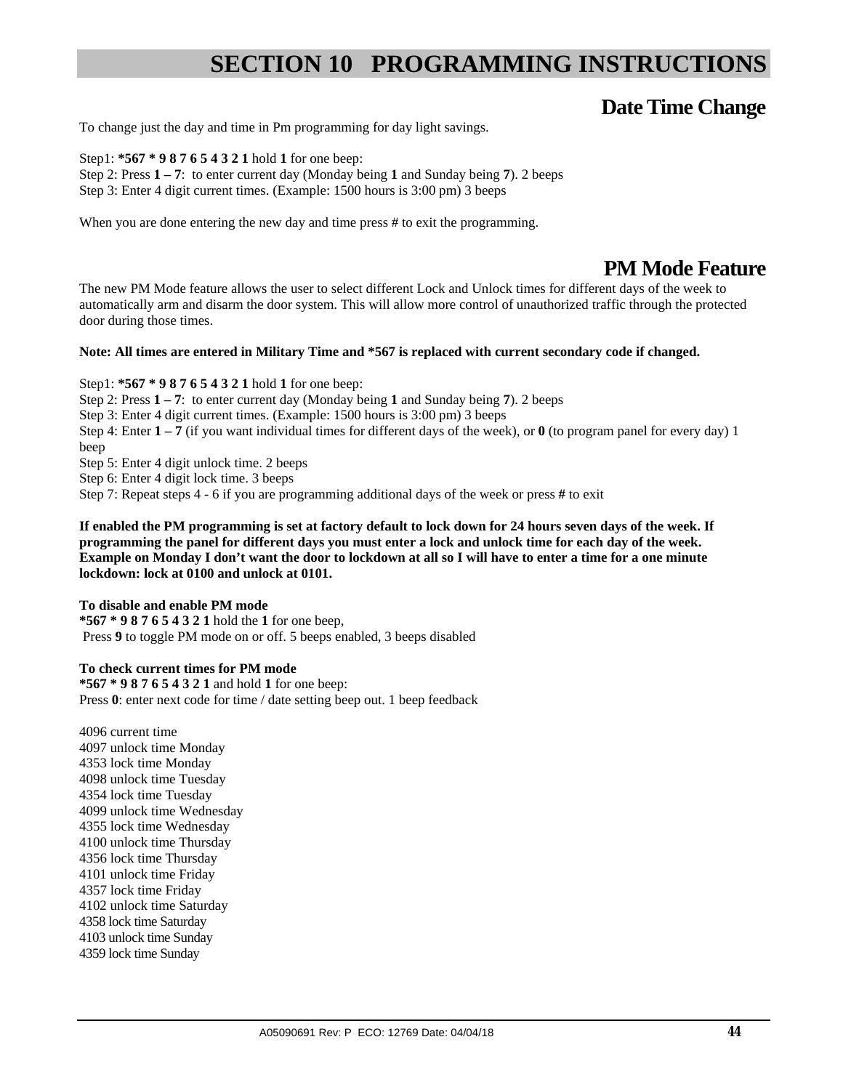## **Date Time Change**

To change just the day and time in Pm programming for day light savings.

Step1: **\*567 \* 9 8 7 6 5 4 3 2 1** hold **1** for one beep: Step 2: Press **1 – 7**: to enter current day (Monday being **1** and Sunday being **7**). 2 beeps Step 3: Enter 4 digit current times. (Example: 1500 hours is 3:00 pm) 3 beeps

When you are done entering the new day and time press # to exit the programming.

## **PM Mode Feature**

The new PM Mode feature allows the user to select different Lock and Unlock times for different days of the week to automatically arm and disarm the door system. This will allow more control of unauthorized traffic through the protected door during those times.

#### **Note: All times are entered in Military Time and \*567 is replaced with current secondary code if changed.**

Step1: **\*567 \* 9 8 7 6 5 4 3 2 1** hold **1** for one beep: Step 2: Press **1 – 7**: to enter current day (Monday being **1** and Sunday being **7**). 2 beeps Step 3: Enter 4 digit current times. (Example: 1500 hours is 3:00 pm) 3 beeps Step 4: Enter  $1 - 7$  (if you want individual times for different days of the week), or  $0$  (to program panel for every day) 1 beep Step 5: Enter 4 digit unlock time. 2 beeps

Step 6: Enter 4 digit lock time. 3 beeps

Step 7: Repeat steps 4 - 6 if you are programming additional days of the week or press **#** to exit

**If enabled the PM programming is set at factory default to lock down for 24 hours seven days of the week. If programming the panel for different days you must enter a lock and unlock time for each day of the week. Example on Monday I don't want the door to lockdown at all so I will have to enter a time for a one minute lockdown: lock at 0100 and unlock at 0101.** 

#### **To disable and enable PM mode**

**\*567 \* 9 8 7 6 5 4 3 2 1** hold the **1** for one beep, Press **9** to toggle PM mode on or off. 5 beeps enabled, 3 beeps disabled

#### **To check current times for PM mode**

**\*567 \* 9 8 7 6 5 4 3 2 1** and hold **1** for one beep: Press 0: enter next code for time / date setting beep out. 1 beep feedback

4096 current time 4097 unlock time Monday 4353 lock time Monday 4098 unlock time Tuesday 4354 lock time Tuesday 4099 unlock time Wednesday 4355 lock time Wednesday 4100 unlock time Thursday 4356 lock time Thursday 4101 unlock time Friday 4357 lock time Friday 4102 unlock time Saturday 4358 lock time Saturday 4103 unlock time Sunday 4359 lock time Sunday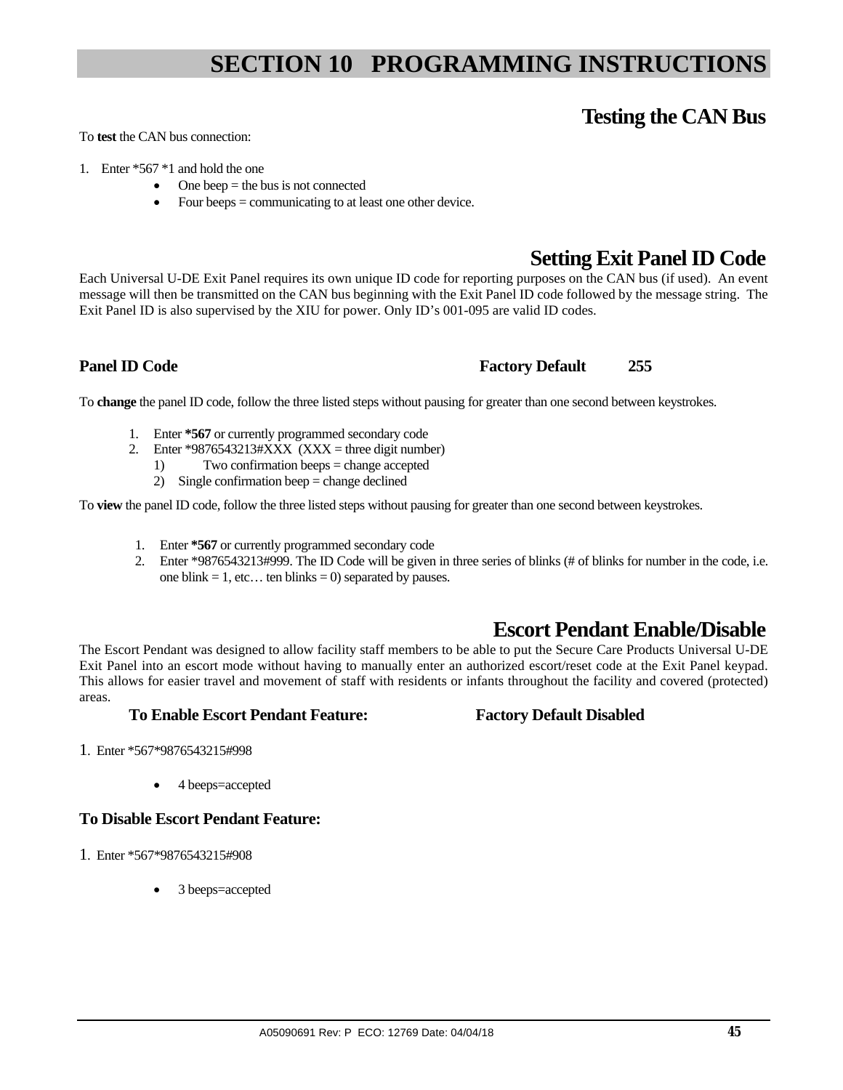## **Testing the CAN Bus**

To **test** the CAN bus connection:

- 1. Enter \*567 \*1 and hold the one
	- $\bullet$  One beep = the bus is not connected
		- Four beeps = communicating to at least one other device.

## **Setting Exit Panel ID Code**

Each Universal U-DE Exit Panel requires its own unique ID code for reporting purposes on the CAN bus (if used). An event message will then be transmitted on the CAN bus beginning with the Exit Panel ID code followed by the message string. The Exit Panel ID is also supervised by the XIU for power. Only ID's 001-095 are valid ID codes.

#### **Panel ID Code Factory Default** 255

To **change** the panel ID code, follow the three listed steps without pausing for greater than one second between keystrokes.

- 1. Enter **\*567** or currently programmed secondary code
- 2. Enter \*9876543213# $\angle$ XXX (XXX = three digit number)
	- 1) Two confirmation beeps = change accepted
	- 2) Single confirmation beep = change declined

To **view** the panel ID code, follow the three listed steps without pausing for greater than one second between keystrokes.

- 1. Enter **\*567** or currently programmed secondary code
- 2. Enter \*9876543213#999. The ID Code will be given in three series of blinks (# of blinks for number in the code, i.e. one blink  $= 1$ , etc... ten blinks  $= 0$ ) separated by pauses.

## **Escort Pendant Enable/Disable**

The Escort Pendant was designed to allow facility staff members to be able to put the Secure Care Products Universal U-DE Exit Panel into an escort mode without having to manually enter an authorized escort/reset code at the Exit Panel keypad. This allows for easier travel and movement of staff with residents or infants throughout the facility and covered (protected) areas.

#### **To Enable Escort Pendant Feature: Factory Default Disabled**

- 1. Enter \*567\*9876543215#998
	- 4 beeps=accepted

## **To Disable Escort Pendant Feature:**

- 1. Enter \*567\*9876543215#908
	- 3 beeps=accepted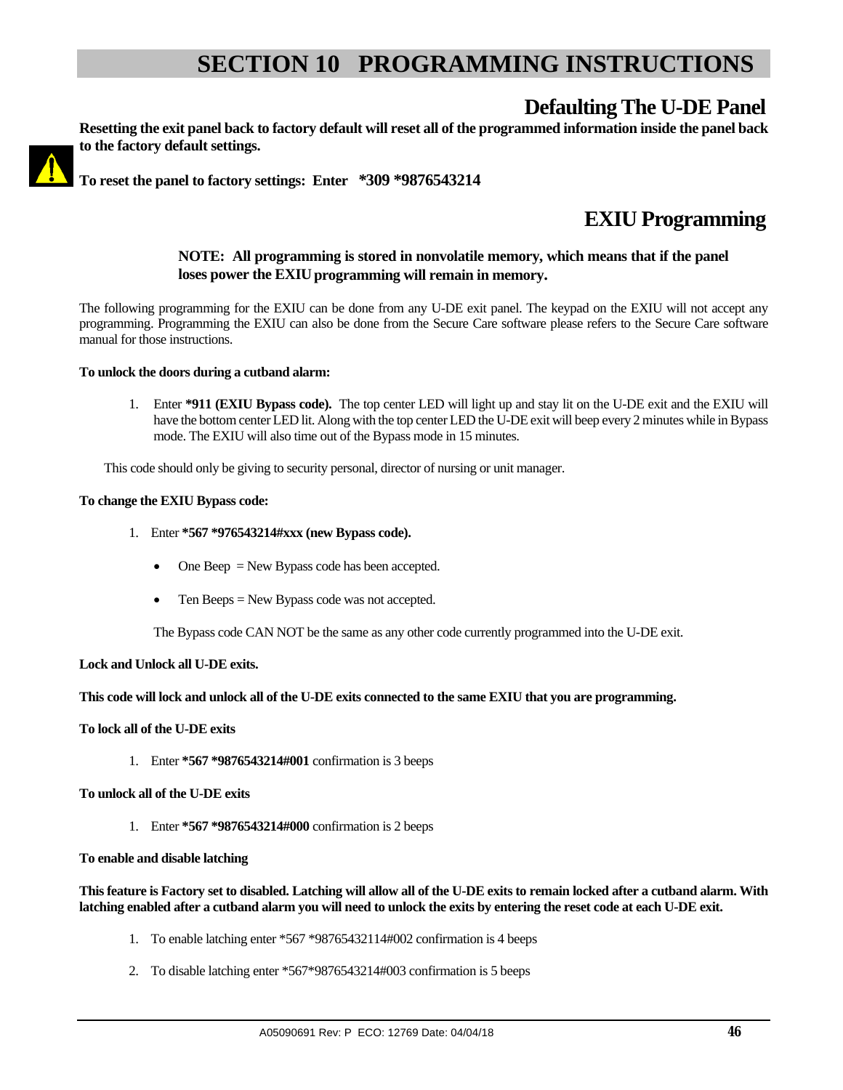## **Defaulting The U-DE Panel**



**Resetting the exit panel back to factory default will reset all of the programmed information inside the panel back to the factory default settings.**

**To reset the panel to factory settings: Enter** *\****309 \*9876543214**

## **EXIU Programming**

#### **NOTE: All programming is stored in nonvolatile memory, which means that if the panel**  loses power the EXIU programming will remain in memory.

The following programming for the EXIU can be done from any U-DE exit panel. The keypad on the EXIU will not accept any programming. Programming the EXIU can also be done from the Secure Care software please refers to the Secure Care software manual for those instructions.

#### **To unlock the doors during a cutband alarm:**

1. Enter **\*911 (EXIU Bypass code).** The top center LED will light up and stay lit on the U-DE exit and the EXIU will have the bottom center LED lit. Along with the top center LED the U-DE exit will beep every 2 minutes while in Bypass mode. The EXIU will also time out of the Bypass mode in 15 minutes.

This code should only be giving to security personal, director of nursing or unit manager.

#### **To change the EXIU Bypass code:**

- 1. Enter **\*567 \*976543214#xxx (new Bypass code).**
	- $\bullet$  One Beep = New Bypass code has been accepted.
	- Ten Beeps = New Bypass code was not accepted.

The Bypass code CAN NOT be the same as any other code currently programmed into the U-DE exit.

**Lock and Unlock all U-DE exits.** 

**This code will lock and unlock all of the U-DE exits connected to the same EXIU that you are programming.** 

**To lock all of the U-DE exits**

1. Enter **\*567 \*9876543214#001** confirmation is 3 beeps

**To unlock all of the U-DE exits** 

1. Enter **\*567 \*9876543214#000** confirmation is 2 beeps

#### **To enable and disable latching**

**This feature is Factory set to disabled. Latching will allow all of the U-DE exits to remain locked after a cutband alarm. With latching enabled after a cutband alarm you will need to unlock the exits by entering the reset code at each U-DE exit.** 

- 1. To enable latching enter \*567 \*98765432114#002 confirmation is 4 beeps
- 2. To disable latching enter \*567\*9876543214#003 confirmation is 5 beeps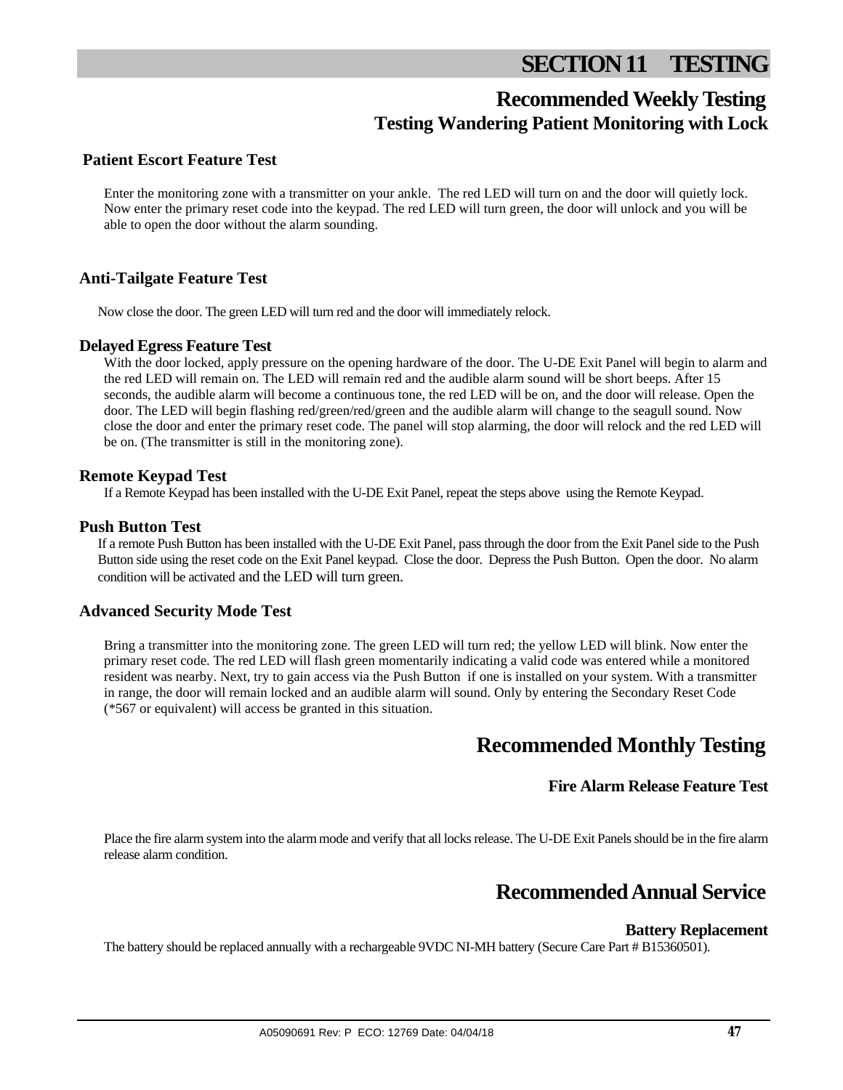## **SECTION 11 TESTING**

## **Recommended Weekly Testing Testing Wandering Patient Monitoring with Lock**

## **Patient Escort Feature Test**

Enter the monitoring zone with a transmitter on your ankle. The red LED will turn on and the door will quietly lock. Now enter the primary reset code into the keypad. The red LED will turn green, the door will unlock and you will be able to open the door without the alarm sounding.

### **Anti-Tailgate Feature Test**

Now close the door. The green LED will turn red and the door will immediately relock.

#### **Delayed Egress Feature Test**

With the door locked, apply pressure on the opening hardware of the door. The U-DE Exit Panel will begin to alarm and the red LED will remain on. The LED will remain red and the audible alarm sound will be short beeps. After 15 seconds, the audible alarm will become a continuous tone, the red LED will be on, and the door will release. Open the door. The LED will begin flashing red/green/red/green and the audible alarm will change to the seagull sound. Now close the door and enter the primary reset code. The panel will stop alarming, the door will relock and the red LED will be on. (The transmitter is still in the monitoring zone).

#### **Remote Keypad Test**

If a Remote Keypad has been installed with the U-DE Exit Panel, repeat the steps above using the Remote Keypad.

#### **Push Button Test**

If a remote Push Button has been installed with the U-DE Exit Panel, pass through the door from the Exit Panel side to the Push Button side using the reset code on the Exit Panel keypad. Close the door. Depress the Push Button. Open the door. No alarm condition will be activated and the LED will turn green.

#### **Advanced Security Mode Test**

Bring a transmitter into the monitoring zone. The green LED will turn red; the yellow LED will blink. Now enter the primary reset code. The red LED will flash green momentarily indicating a valid code was entered while a monitored resident was nearby. Next, try to gain access via the Push Button if one is installed on your system. With a transmitter in range, the door will remain locked and an audible alarm will sound. Only by entering the Secondary Reset Code (\*567 or equivalent) will access be granted in this situation.

## **Recommended Monthly Testing**

#### **Fire Alarm Release Feature Test**

Place the fire alarm system into the alarm mode and verify that all locks release. The U-DE Exit Panels should be in the fire alarm release alarm condition.

## **Recommended Annual Service**

#### **Battery Replacement**

The battery should be replaced annually with a rechargeable 9VDC NI-MH battery (Secure Care Part # B15360501).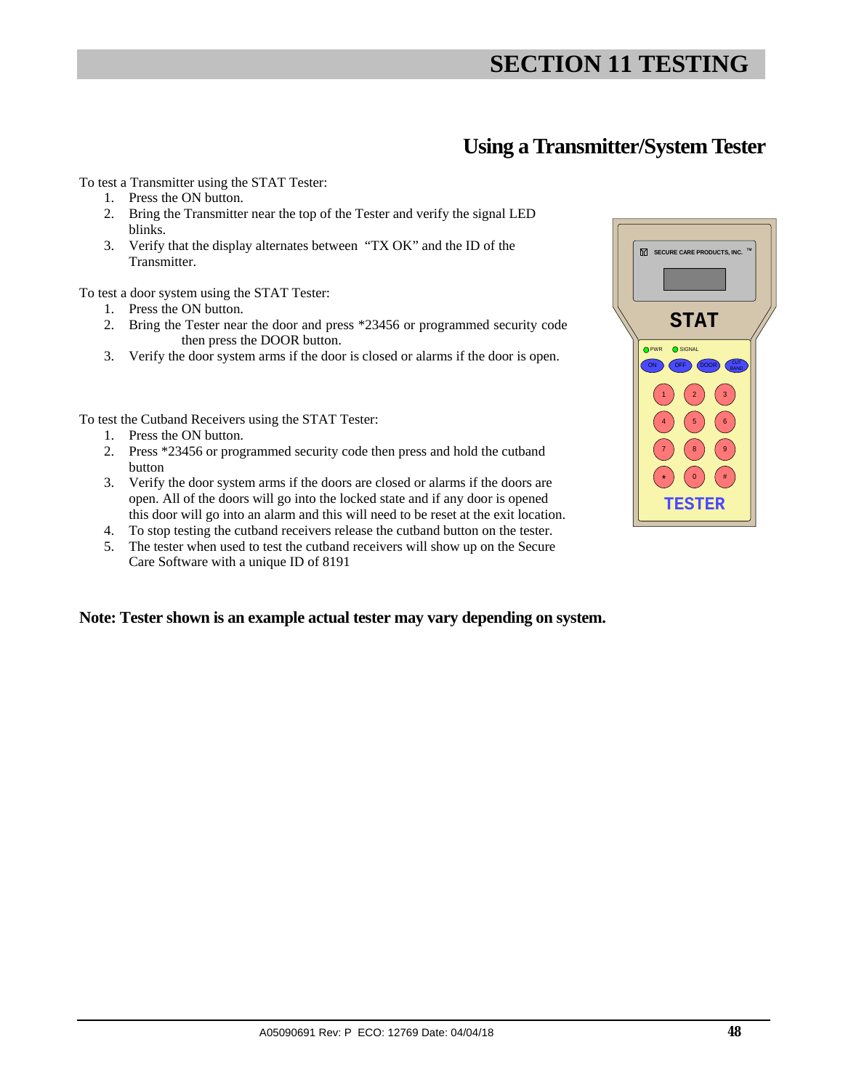## **SECTION 11 TESTING**

## **Using a Transmitter/System Tester**

To test a Transmitter using the STAT Tester:

- 1. Press the ON button.
- 2. Bring the Transmitter near the top of the Tester and verify the signal LED blinks.
- 3. Verify that the display alternates between "TX OK" and the ID of the Transmitter.

To test a door system using the STAT Tester:

- 1. Press the ON button.
- 2. Bring the Tester near the door and press \*23456 or programmed security code then press the DOOR button.
- 3. Verify the door system arms if the door is closed or alarms if the door is open.

To test the Cutband Receivers using the STAT Tester:

- 1. Press the ON button.
- 2. Press \*23456 or programmed security code then press and hold the cutband button
- 3. Verify the door system arms if the doors are closed or alarms if the doors are open. All of the doors will go into the locked state and if any door is opened this door will go into an alarm and this will need to be reset at the exit location.
- 4. To stop testing the cutband receivers release the cutband button on the tester.
- 5. The tester when used to test the cutband receivers will show up on the Secure Care Software with a unique ID of 8191

#### **Note: Tester shown is an example actual tester may vary depending on system.**

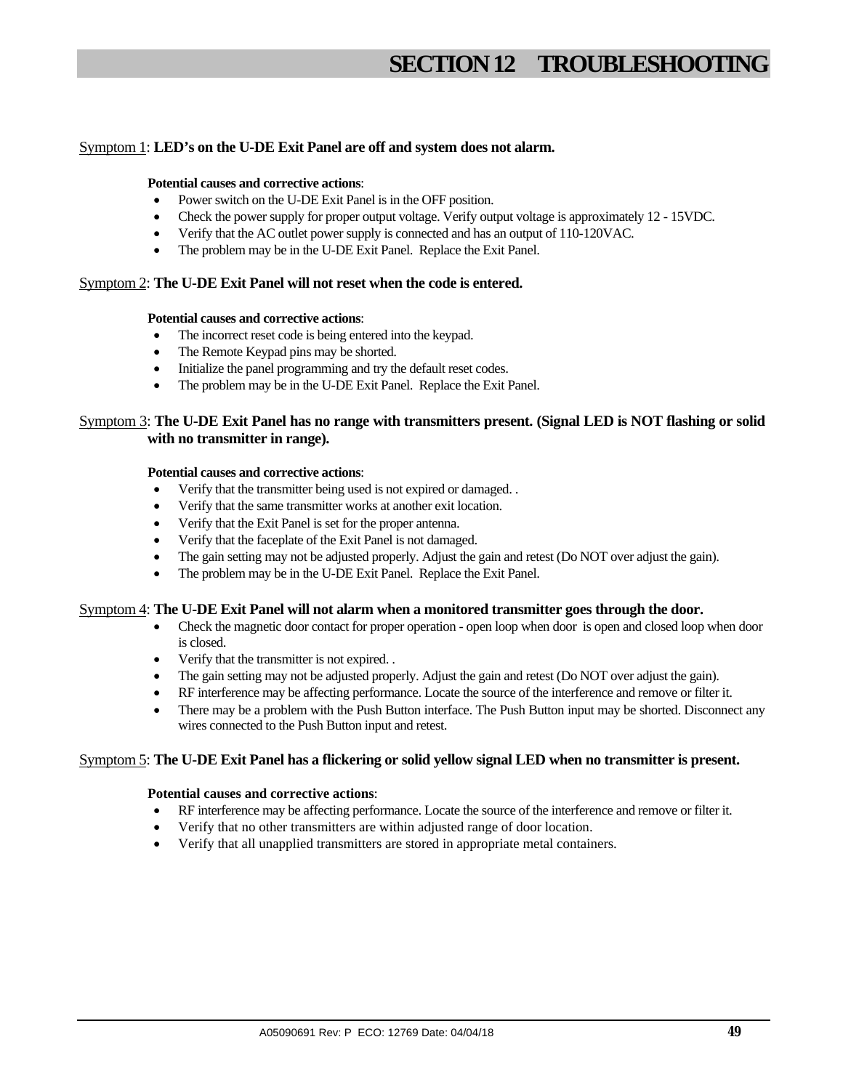## **SECTION 12 TROUBLESHOOTING**

#### Symptom 1: **LED's on the U-DE Exit Panel are off and system does not alarm.**

#### **Potential causes and corrective actions**:

- Power switch on the U-DE Exit Panel is in the OFF position.
- Check the power supply for proper output voltage. Verify output voltage is approximately 12 15VDC.
- Verify that the AC outlet power supply is connected and has an output of 110-120VAC.
- The problem may be in the U-DE Exit Panel. Replace the Exit Panel.

#### Symptom 2: **The U-DE Exit Panel will not reset when the code is entered.**

#### **Potential causes and corrective actions**:

- The incorrect reset code is being entered into the keypad.
- The Remote Keypad pins may be shorted.
- Initialize the panel programming and try the default reset codes.
- The problem may be in the U-DE Exit Panel. Replace the Exit Panel.

#### Symptom 3: **The U-DE Exit Panel has no range with transmitters present. (Signal LED is NOT flashing or solid with no transmitter in range).**

#### **Potential causes and corrective actions**:

- Verify that the transmitter being used is not expired or damaged. .
- Verify that the same transmitter works at another exit location.
- Verify that the Exit Panel is set for the proper antenna.
- Verify that the faceplate of the Exit Panel is not damaged.
- The gain setting may not be adjusted properly. Adjust the gain and retest (Do NOT over adjust the gain).
- The problem may be in the U-DE Exit Panel. Replace the Exit Panel.

#### Symptom 4: **The U-DE Exit Panel will not alarm when a monitored transmitter goes through the door.**

- Check the magnetic door contact for proper operation open loop when door is open and closed loop when door is closed.
- Verify that the transmitter is not expired. .
- The gain setting may not be adjusted properly. Adjust the gain and retest (Do NOT over adjust the gain).
- RF interference may be affecting performance. Locate the source of the interference and remove or filter it.
- There may be a problem with the Push Button interface. The Push Button input may be shorted. Disconnect any wires connected to the Push Button input and retest.

#### Symptom 5: **The U-DE Exit Panel has a flickering or solid yellow signal LED when no transmitter is present.**

#### **Potential causes and corrective actions**:

- RF interference may be affecting performance. Locate the source of the interference and remove or filter it.
- Verify that no other transmitters are within adjusted range of door location.
- Verify that all unapplied transmitters are stored in appropriate metal containers.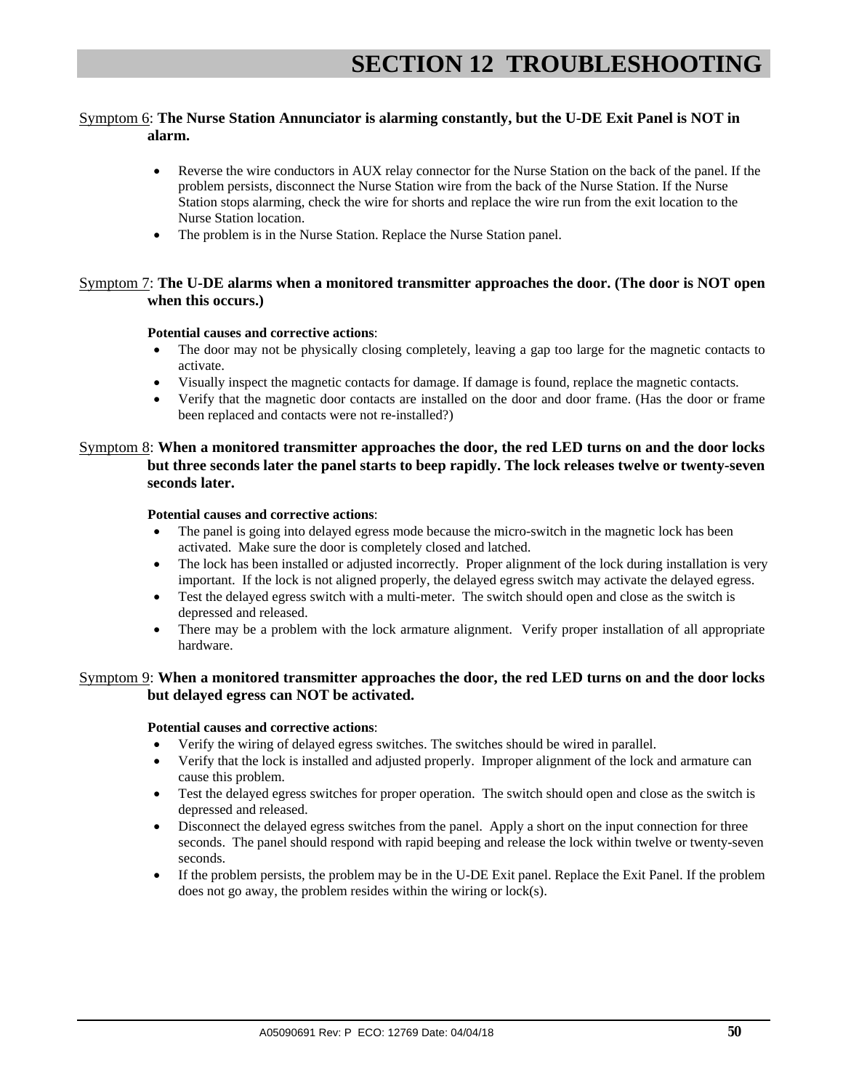#### Symptom 6: **The Nurse Station Annunciator is alarming constantly, but the U-DE Exit Panel is NOT in alarm.**

- Reverse the wire conductors in AUX relay connector for the Nurse Station on the back of the panel. If the problem persists, disconnect the Nurse Station wire from the back of the Nurse Station. If the Nurse Station stops alarming, check the wire for shorts and replace the wire run from the exit location to the Nurse Station location.
- The problem is in the Nurse Station. Replace the Nurse Station panel.

#### Symptom 7: **The U-DE alarms when a monitored transmitter approaches the door. (The door is NOT open when this occurs.)**

#### **Potential causes and corrective actions**:

- The door may not be physically closing completely, leaving a gap too large for the magnetic contacts to activate.
- Visually inspect the magnetic contacts for damage. If damage is found, replace the magnetic contacts.
- Verify that the magnetic door contacts are installed on the door and door frame. (Has the door or frame been replaced and contacts were not re-installed?)

#### Symptom 8: **When a monitored transmitter approaches the door, the red LED turns on and the door locks but three seconds later the panel starts to beep rapidly. The lock releases twelve or twenty-seven seconds later.**

#### **Potential causes and corrective actions**:

- The panel is going into delayed egress mode because the micro-switch in the magnetic lock has been activated. Make sure the door is completely closed and latched.
- The lock has been installed or adjusted incorrectly. Proper alignment of the lock during installation is very important. If the lock is not aligned properly, the delayed egress switch may activate the delayed egress.
- Test the delayed egress switch with a multi-meter. The switch should open and close as the switch is depressed and released.
- There may be a problem with the lock armature alignment. Verify proper installation of all appropriate hardware.

#### Symptom 9: **When a monitored transmitter approaches the door, the red LED turns on and the door locks but delayed egress can NOT be activated.**

#### **Potential causes and corrective actions**:

- Verify the wiring of delayed egress switches. The switches should be wired in parallel.
- Verify that the lock is installed and adjusted properly. Improper alignment of the lock and armature can cause this problem.
- Test the delayed egress switches for proper operation. The switch should open and close as the switch is depressed and released.
- Disconnect the delayed egress switches from the panel. Apply a short on the input connection for three seconds. The panel should respond with rapid beeping and release the lock within twelve or twenty-seven seconds.
- If the problem persists, the problem may be in the U-DE Exit panel. Replace the Exit Panel. If the problem does not go away, the problem resides within the wiring or lock(s).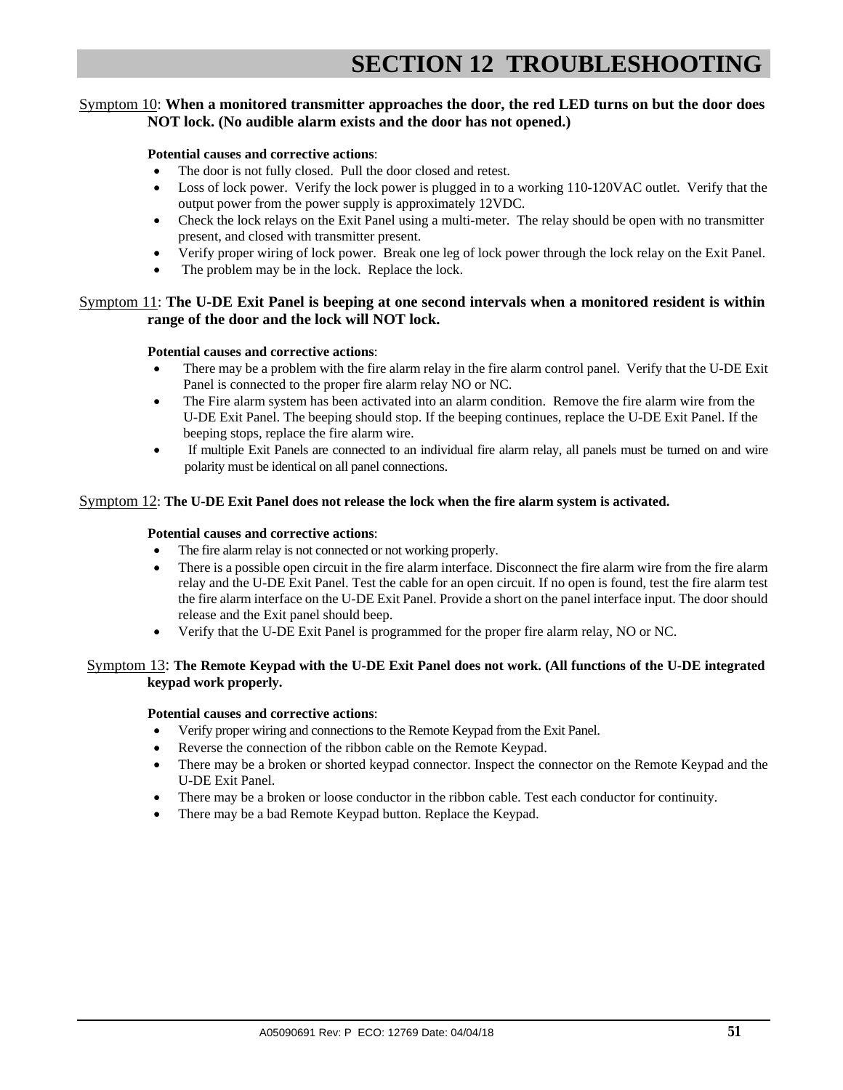#### Symptom 10: **When a monitored transmitter approaches the door, the red LED turns on but the door does NOT lock. (No audible alarm exists and the door has not opened.)**

#### **Potential causes and corrective actions**:

- The door is not fully closed. Pull the door closed and retest.
- Loss of lock power. Verify the lock power is plugged in to a working 110-120VAC outlet. Verify that the output power from the power supply is approximately 12VDC.
- Check the lock relays on the Exit Panel using a multi-meter. The relay should be open with no transmitter present, and closed with transmitter present.
- Verify proper wiring of lock power. Break one leg of lock power through the lock relay on the Exit Panel.
- The problem may be in the lock. Replace the lock.

#### Symptom 11: **The U-DE Exit Panel is beeping at one second intervals when a monitored resident is within range of the door and the lock will NOT lock.**

#### **Potential causes and corrective actions**:

- There may be a problem with the fire alarm relay in the fire alarm control panel. Verify that the U-DE Exit Panel is connected to the proper fire alarm relay NO or NC.
- The Fire alarm system has been activated into an alarm condition. Remove the fire alarm wire from the U-DE Exit Panel. The beeping should stop. If the beeping continues, replace the U-DE Exit Panel. If the beeping stops, replace the fire alarm wire.
- If multiple Exit Panels are connected to an individual fire alarm relay, all panels must be turned on and wire polarity must be identical on all panel connections.

#### Symptom 12: **The U-DE Exit Panel does not release the lock when the fire alarm system is activated.**

#### **Potential causes and corrective actions**:

- The fire alarm relay is not connected or not working properly.
- There is a possible open circuit in the fire alarm interface. Disconnect the fire alarm wire from the fire alarm relay and the U-DE Exit Panel. Test the cable for an open circuit. If no open is found, test the fire alarm test the fire alarm interface on the U-DE Exit Panel. Provide a short on the panel interface input. The door should release and the Exit panel should beep.
- Verify that the U-DE Exit Panel is programmed for the proper fire alarm relay, NO or NC.

#### Symptom 13: **The Remote Keypad with the U-DE Exit Panel does not work. (All functions of the U-DE integrated keypad work properly.**

#### **Potential causes and corrective actions**:

- Verify proper wiring and connections to the Remote Keypad from the Exit Panel.
- Reverse the connection of the ribbon cable on the Remote Keypad.
- There may be a broken or shorted keypad connector. Inspect the connector on the Remote Keypad and the U-DE Exit Panel.
- There may be a broken or loose conductor in the ribbon cable. Test each conductor for continuity.
- There may be a bad Remote Keypad button. Replace the Keypad.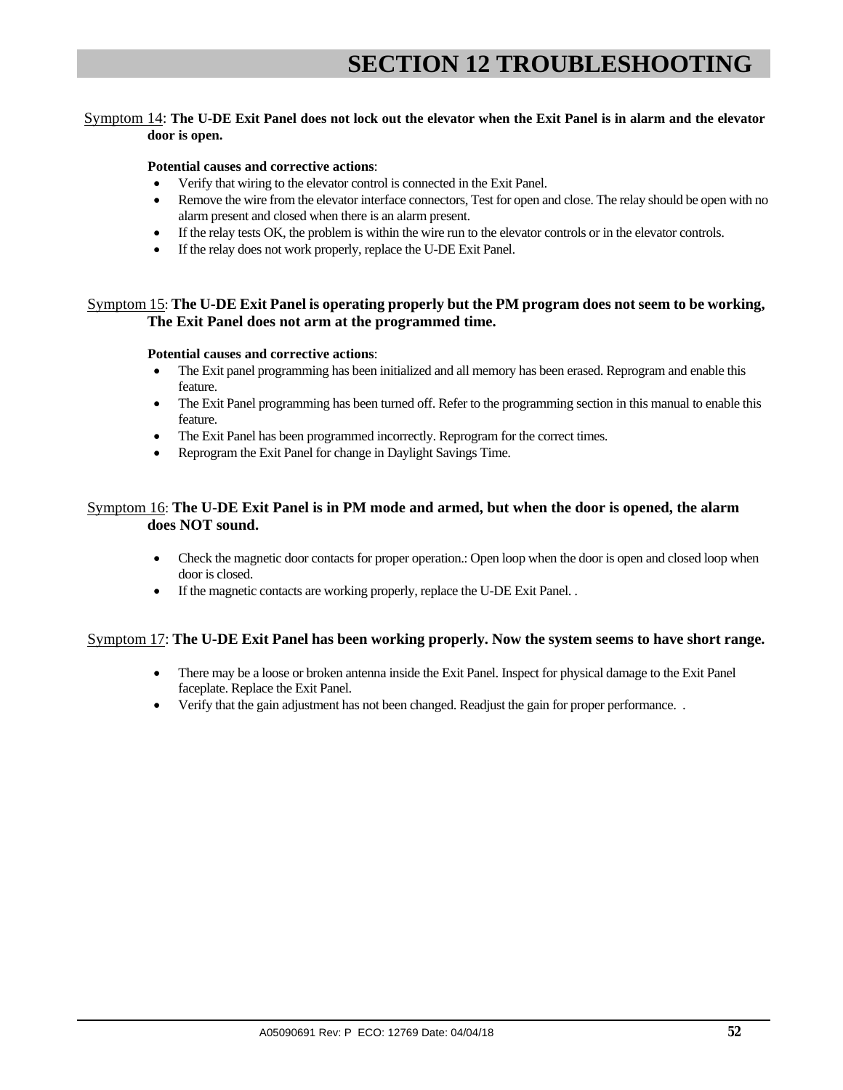#### Symptom 14: **The U-DE Exit Panel does not lock out the elevator when the Exit Panel is in alarm and the elevator door is open.**

#### **Potential causes and corrective actions**:

- Verify that wiring to the elevator control is connected in the Exit Panel.
- Remove the wire from the elevator interface connectors, Test for open and close. The relay should be open with no alarm present and closed when there is an alarm present.
- If the relay tests OK, the problem is within the wire run to the elevator controls or in the elevator controls.
- If the relay does not work properly, replace the U-DE Exit Panel.

#### Symptom 15: **The U-DE Exit Panel is operating properly but the PM program does not seem to be working, The Exit Panel does not arm at the programmed time.**

#### **Potential causes and corrective actions**:

- The Exit panel programming has been initialized and all memory has been erased. Reprogram and enable this feature.
- The Exit Panel programming has been turned off. Refer to the programming section in this manual to enable this feature.
- The Exit Panel has been programmed incorrectly. Reprogram for the correct times.
- Reprogram the Exit Panel for change in Daylight Savings Time.

#### Symptom 16: **The U-DE Exit Panel is in PM mode and armed, but when the door is opened, the alarm does NOT sound.**

- Check the magnetic door contacts for proper operation.: Open loop when the door is open and closed loop when door is closed.
- If the magnetic contacts are working properly, replace the U-DE Exit Panel. .

#### Symptom 17: **The U-DE Exit Panel has been working properly. Now the system seems to have short range.**

- There may be a loose or broken antenna inside the Exit Panel. Inspect for physical damage to the Exit Panel faceplate. Replace the Exit Panel.
- Verify that the gain adjustment has not been changed. Readjust the gain for proper performance. .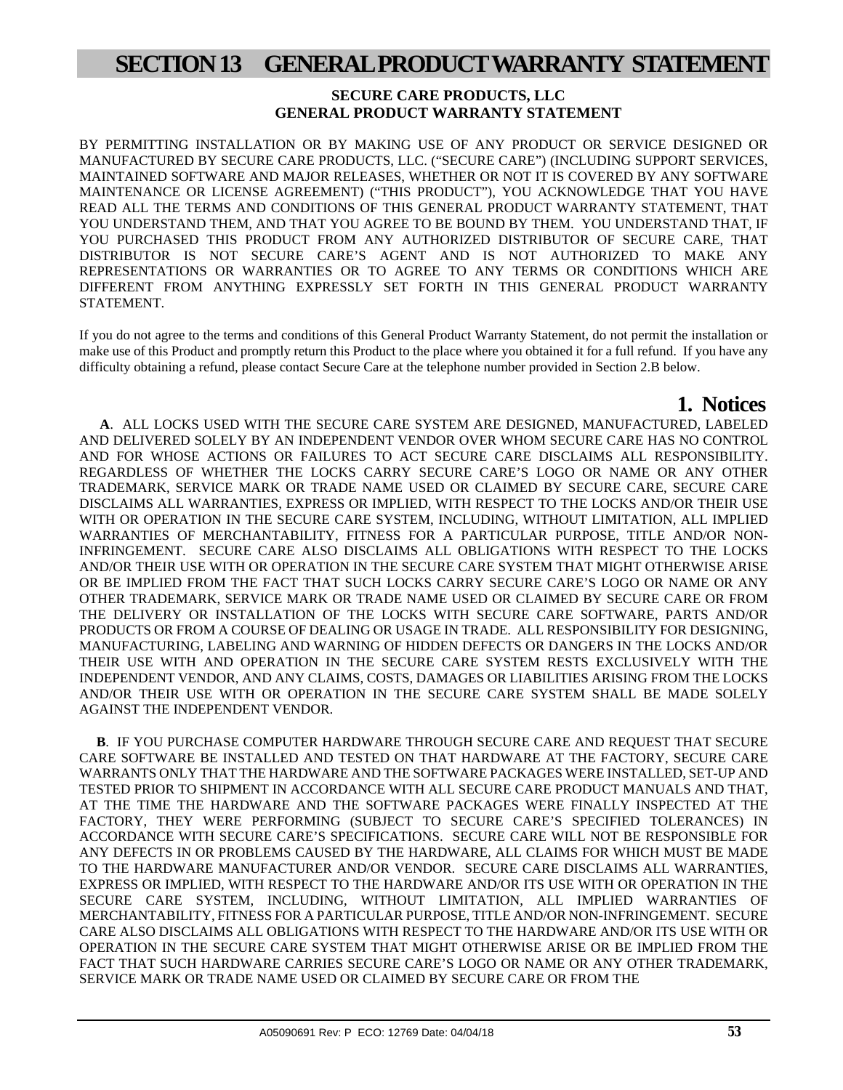## **SECTION 13 GENERAL PRODUCT WARRANTY STATEMENT**

#### **SECURE CARE PRODUCTS, LLC GENERAL PRODUCT WARRANTY STATEMENT**

BY PERMITTING INSTALLATION OR BY MAKING USE OF ANY PRODUCT OR SERVICE DESIGNED OR MANUFACTURED BY SECURE CARE PRODUCTS, LLC. ("SECURE CARE") (INCLUDING SUPPORT SERVICES, MAINTAINED SOFTWARE AND MAJOR RELEASES, WHETHER OR NOT IT IS COVERED BY ANY SOFTWARE MAINTENANCE OR LICENSE AGREEMENT) ("THIS PRODUCT"), YOU ACKNOWLEDGE THAT YOU HAVE READ ALL THE TERMS AND CONDITIONS OF THIS GENERAL PRODUCT WARRANTY STATEMENT, THAT YOU UNDERSTAND THEM, AND THAT YOU AGREE TO BE BOUND BY THEM. YOU UNDERSTAND THAT, IF YOU PURCHASED THIS PRODUCT FROM ANY AUTHORIZED DISTRIBUTOR OF SECURE CARE, THAT DISTRIBUTOR IS NOT SECURE CARE'S AGENT AND IS NOT AUTHORIZED TO MAKE ANY REPRESENTATIONS OR WARRANTIES OR TO AGREE TO ANY TERMS OR CONDITIONS WHICH ARE DIFFERENT FROM ANYTHING EXPRESSLY SET FORTH IN THIS GENERAL PRODUCT WARRANTY STATEMENT.

If you do not agree to the terms and conditions of this General Product Warranty Statement, do not permit the installation or make use of this Product and promptly return this Product to the place where you obtained it for a full refund. If you have any difficulty obtaining a refund, please contact Secure Care at the telephone number provided in Section 2.B below.

 **1. Notices A**. ALL LOCKS USED WITH THE SECURE CARE SYSTEM ARE DESIGNED, MANUFACTURED, LABELED AND DELIVERED SOLELY BY AN INDEPENDENT VENDOR OVER WHOM SECURE CARE HAS NO CONTROL AND FOR WHOSE ACTIONS OR FAILURES TO ACT SECURE CARE DISCLAIMS ALL RESPONSIBILITY. REGARDLESS OF WHETHER THE LOCKS CARRY SECURE CARE'S LOGO OR NAME OR ANY OTHER TRADEMARK, SERVICE MARK OR TRADE NAME USED OR CLAIMED BY SECURE CARE, SECURE CARE DISCLAIMS ALL WARRANTIES, EXPRESS OR IMPLIED, WITH RESPECT TO THE LOCKS AND/OR THEIR USE WITH OR OPERATION IN THE SECURE CARE SYSTEM, INCLUDING, WITHOUT LIMITATION, ALL IMPLIED WARRANTIES OF MERCHANTABILITY, FITNESS FOR A PARTICULAR PURPOSE, TITLE AND/OR NON-INFRINGEMENT. SECURE CARE ALSO DISCLAIMS ALL OBLIGATIONS WITH RESPECT TO THE LOCKS AND/OR THEIR USE WITH OR OPERATION IN THE SECURE CARE SYSTEM THAT MIGHT OTHERWISE ARISE OR BE IMPLIED FROM THE FACT THAT SUCH LOCKS CARRY SECURE CARE'S LOGO OR NAME OR ANY OTHER TRADEMARK, SERVICE MARK OR TRADE NAME USED OR CLAIMED BY SECURE CARE OR FROM THE DELIVERY OR INSTALLATION OF THE LOCKS WITH SECURE CARE SOFTWARE, PARTS AND/OR PRODUCTS OR FROM A COURSE OF DEALING OR USAGE IN TRADE. ALL RESPONSIBILITY FOR DESIGNING, MANUFACTURING, LABELING AND WARNING OF HIDDEN DEFECTS OR DANGERS IN THE LOCKS AND/OR THEIR USE WITH AND OPERATION IN THE SECURE CARE SYSTEM RESTS EXCLUSIVELY WITH THE INDEPENDENT VENDOR, AND ANY CLAIMS, COSTS, DAMAGES OR LIABILITIES ARISING FROM THE LOCKS AND/OR THEIR USE WITH OR OPERATION IN THE SECURE CARE SYSTEM SHALL BE MADE SOLELY AGAINST THE INDEPENDENT VENDOR.

 **B**. IF YOU PURCHASE COMPUTER HARDWARE THROUGH SECURE CARE AND REQUEST THAT SECURE CARE SOFTWARE BE INSTALLED AND TESTED ON THAT HARDWARE AT THE FACTORY, SECURE CARE WARRANTS ONLY THAT THE HARDWARE AND THE SOFTWARE PACKAGES WERE INSTALLED, SET-UP AND TESTED PRIOR TO SHIPMENT IN ACCORDANCE WITH ALL SECURE CARE PRODUCT MANUALS AND THAT, AT THE TIME THE HARDWARE AND THE SOFTWARE PACKAGES WERE FINALLY INSPECTED AT THE FACTORY, THEY WERE PERFORMING (SUBJECT TO SECURE CARE'S SPECIFIED TOLERANCES) IN ACCORDANCE WITH SECURE CARE'S SPECIFICATIONS. SECURE CARE WILL NOT BE RESPONSIBLE FOR ANY DEFECTS IN OR PROBLEMS CAUSED BY THE HARDWARE, ALL CLAIMS FOR WHICH MUST BE MADE TO THE HARDWARE MANUFACTURER AND/OR VENDOR. SECURE CARE DISCLAIMS ALL WARRANTIES, EXPRESS OR IMPLIED, WITH RESPECT TO THE HARDWARE AND/OR ITS USE WITH OR OPERATION IN THE SECURE CARE SYSTEM, INCLUDING, WITHOUT LIMITATION, ALL IMPLIED WARRANTIES OF MERCHANTABILITY, FITNESS FOR A PARTICULAR PURPOSE, TITLE AND/OR NON-INFRINGEMENT. SECURE CARE ALSO DISCLAIMS ALL OBLIGATIONS WITH RESPECT TO THE HARDWARE AND/OR ITS USE WITH OR OPERATION IN THE SECURE CARE SYSTEM THAT MIGHT OTHERWISE ARISE OR BE IMPLIED FROM THE FACT THAT SUCH HARDWARE CARRIES SECURE CARE'S LOGO OR NAME OR ANY OTHER TRADEMARK, SERVICE MARK OR TRADE NAME USED OR CLAIMED BY SECURE CARE OR FROM THE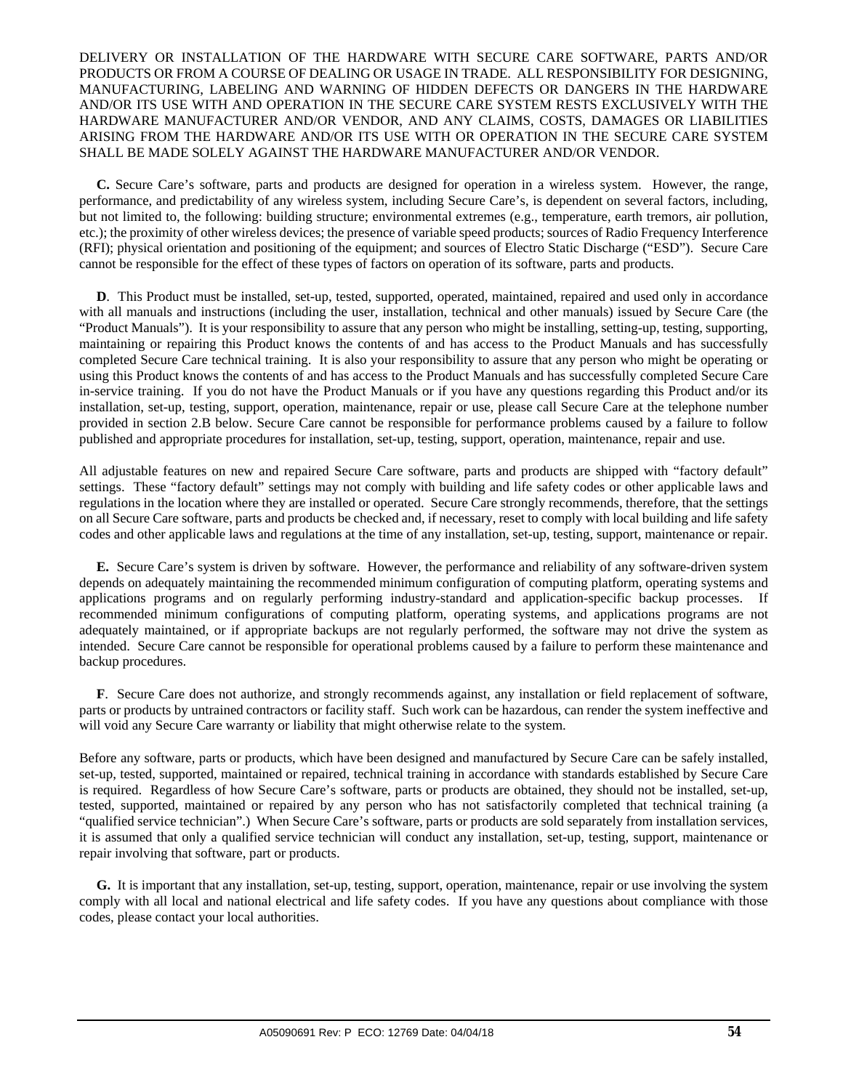#### DELIVERY OR INSTALLATION OF THE HARDWARE WITH SECURE CARE SOFTWARE, PARTS AND/OR PRODUCTS OR FROM A COURSE OF DEALING OR USAGE IN TRADE. ALL RESPONSIBILITY FOR DESIGNING, MANUFACTURING, LABELING AND WARNING OF HIDDEN DEFECTS OR DANGERS IN THE HARDWARE AND/OR ITS USE WITH AND OPERATION IN THE SECURE CARE SYSTEM RESTS EXCLUSIVELY WITH THE HARDWARE MANUFACTURER AND/OR VENDOR, AND ANY CLAIMS, COSTS, DAMAGES OR LIABILITIES ARISING FROM THE HARDWARE AND/OR ITS USE WITH OR OPERATION IN THE SECURE CARE SYSTEM SHALL BE MADE SOLELY AGAINST THE HARDWARE MANUFACTURER AND/OR VENDOR.

 **C.** Secure Care's software, parts and products are designed for operation in a wireless system. However, the range, performance, and predictability of any wireless system, including Secure Care's, is dependent on several factors, including, but not limited to, the following: building structure; environmental extremes (e.g., temperature, earth tremors, air pollution, etc.); the proximity of other wireless devices; the presence of variable speed products; sources of Radio Frequency Interference (RFI); physical orientation and positioning of the equipment; and sources of Electro Static Discharge ("ESD"). Secure Care cannot be responsible for the effect of these types of factors on operation of its software, parts and products.

 **D**. This Product must be installed, set-up, tested, supported, operated, maintained, repaired and used only in accordance with all manuals and instructions (including the user, installation, technical and other manuals) issued by Secure Care (the "Product Manuals"). It is your responsibility to assure that any person who might be installing, setting-up, testing, supporting, maintaining or repairing this Product knows the contents of and has access to the Product Manuals and has successfully completed Secure Care technical training. It is also your responsibility to assure that any person who might be operating or using this Product knows the contents of and has access to the Product Manuals and has successfully completed Secure Care in-service training. If you do not have the Product Manuals or if you have any questions regarding this Product and/or its installation, set-up, testing, support, operation, maintenance, repair or use, please call Secure Care at the telephone number provided in section 2.B below. Secure Care cannot be responsible for performance problems caused by a failure to follow published and appropriate procedures for installation, set-up, testing, support, operation, maintenance, repair and use.

All adjustable features on new and repaired Secure Care software, parts and products are shipped with "factory default" settings. These "factory default" settings may not comply with building and life safety codes or other applicable laws and regulations in the location where they are installed or operated. Secure Care strongly recommends, therefore, that the settings on all Secure Care software, parts and products be checked and, if necessary, reset to comply with local building and life safety codes and other applicable laws and regulations at the time of any installation, set-up, testing, support, maintenance or repair.

 **E.** Secure Care's system is driven by software. However, the performance and reliability of any software-driven system depends on adequately maintaining the recommended minimum configuration of computing platform, operating systems and applications programs and on regularly performing industry-standard and application-specific backup processes. If recommended minimum configurations of computing platform, operating systems, and applications programs are not adequately maintained, or if appropriate backups are not regularly performed, the software may not drive the system as intended. Secure Care cannot be responsible for operational problems caused by a failure to perform these maintenance and backup procedures.

 **F**. Secure Care does not authorize, and strongly recommends against, any installation or field replacement of software, parts or products by untrained contractors or facility staff. Such work can be hazardous, can render the system ineffective and will void any Secure Care warranty or liability that might otherwise relate to the system.

Before any software, parts or products, which have been designed and manufactured by Secure Care can be safely installed, set-up, tested, supported, maintained or repaired, technical training in accordance with standards established by Secure Care is required. Regardless of how Secure Care's software, parts or products are obtained, they should not be installed, set-up, tested, supported, maintained or repaired by any person who has not satisfactorily completed that technical training (a "qualified service technician".) When Secure Care's software, parts or products are sold separately from installation services, it is assumed that only a qualified service technician will conduct any installation, set-up, testing, support, maintenance or repair involving that software, part or products.

 **G.** It is important that any installation, set-up, testing, support, operation, maintenance, repair or use involving the system comply with all local and national electrical and life safety codes. If you have any questions about compliance with those codes, please contact your local authorities.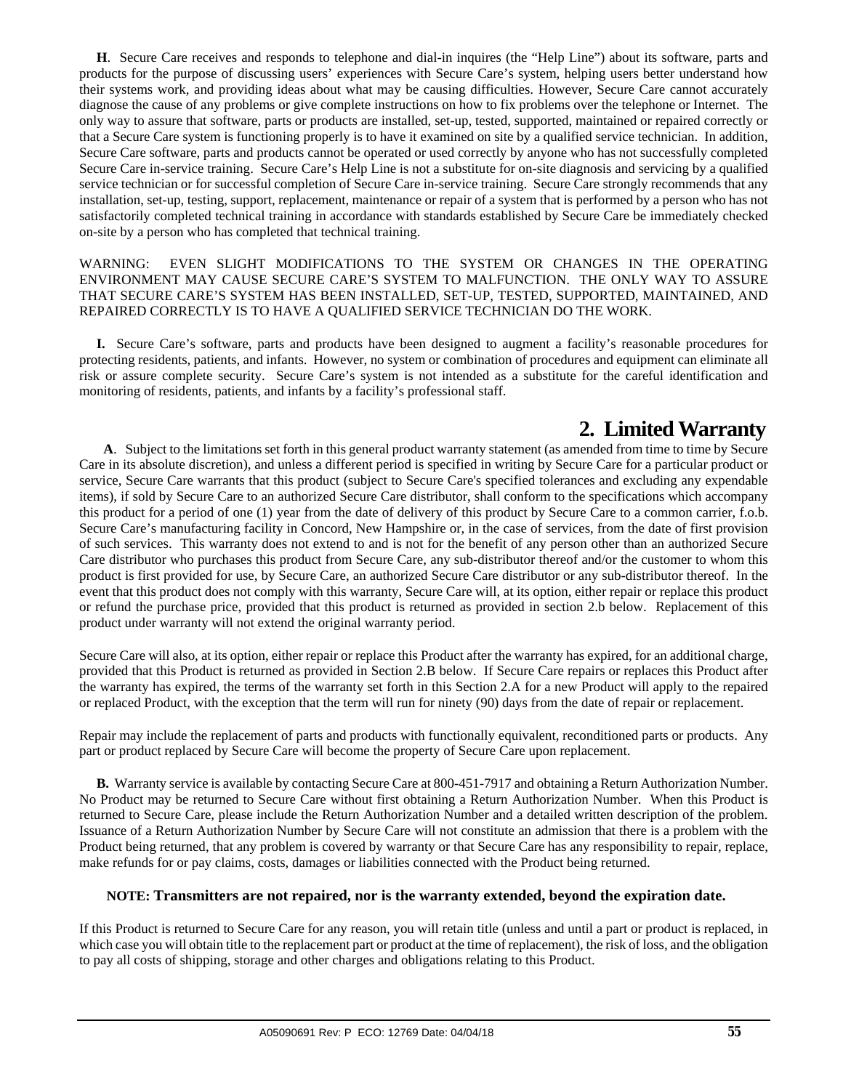**H**. Secure Care receives and responds to telephone and dial-in inquires (the "Help Line") about its software, parts and products for the purpose of discussing users' experiences with Secure Care's system, helping users better understand how their systems work, and providing ideas about what may be causing difficulties. However, Secure Care cannot accurately diagnose the cause of any problems or give complete instructions on how to fix problems over the telephone or Internet. The only way to assure that software, parts or products are installed, set-up, tested, supported, maintained or repaired correctly or that a Secure Care system is functioning properly is to have it examined on site by a qualified service technician. In addition, Secure Care software, parts and products cannot be operated or used correctly by anyone who has not successfully completed Secure Care in-service training. Secure Care's Help Line is not a substitute for on-site diagnosis and servicing by a qualified service technician or for successful completion of Secure Care in-service training. Secure Care strongly recommends that any installation, set-up, testing, support, replacement, maintenance or repair of a system that is performed by a person who has not satisfactorily completed technical training in accordance with standards established by Secure Care be immediately checked on-site by a person who has completed that technical training.

#### WARNING: EVEN SLIGHT MODIFICATIONS TO THE SYSTEM OR CHANGES IN THE OPERATING ENVIRONMENT MAY CAUSE SECURE CARE'S SYSTEM TO MALFUNCTION. THE ONLY WAY TO ASSURE THAT SECURE CARE'S SYSTEM HAS BEEN INSTALLED, SET-UP, TESTED, SUPPORTED, MAINTAINED, AND REPAIRED CORRECTLY IS TO HAVE A QUALIFIED SERVICE TECHNICIAN DO THE WORK.

 **I.** Secure Care's software, parts and products have been designed to augment a facility's reasonable procedures for protecting residents, patients, and infants. However, no system or combination of procedures and equipment can eliminate all risk or assure complete security. Secure Care's system is not intended as a substitute for the careful identification and monitoring of residents, patients, and infants by a facility's professional staff.

**2. Limited Warranty**<br>**4.** Subject to the limitations set forth in this general product warranty statement (as amended from time to time by Secure Care in its absolute discretion), and unless a different period is specified in writing by Secure Care for a particular product or service, Secure Care warrants that this product (subject to Secure Care's specified tolerances and excluding any expendable items), if sold by Secure Care to an authorized Secure Care distributor, shall conform to the specifications which accompany this product for a period of one (1) year from the date of delivery of this product by Secure Care to a common carrier, f.o.b. Secure Care's manufacturing facility in Concord, New Hampshire or, in the case of services, from the date of first provision of such services. This warranty does not extend to and is not for the benefit of any person other than an authorized Secure Care distributor who purchases this product from Secure Care, any sub-distributor thereof and/or the customer to whom this product is first provided for use, by Secure Care, an authorized Secure Care distributor or any sub-distributor thereof. In the event that this product does not comply with this warranty, Secure Care will, at its option, either repair or replace this product or refund the purchase price, provided that this product is returned as provided in section 2.b below. Replacement of this product under warranty will not extend the original warranty period.

Secure Care will also, at its option, either repair or replace this Product after the warranty has expired, for an additional charge, provided that this Product is returned as provided in Section 2.B below. If Secure Care repairs or replaces this Product after the warranty has expired, the terms of the warranty set forth in this Section 2.A for a new Product will apply to the repaired or replaced Product, with the exception that the term will run for ninety (90) days from the date of repair or replacement.

Repair may include the replacement of parts and products with functionally equivalent, reconditioned parts or products. Any part or product replaced by Secure Care will become the property of Secure Care upon replacement.

 **B.** Warranty service is available by contacting Secure Care at 800-451-7917 and obtaining a Return Authorization Number. No Product may be returned to Secure Care without first obtaining a Return Authorization Number. When this Product is returned to Secure Care, please include the Return Authorization Number and a detailed written description of the problem. Issuance of a Return Authorization Number by Secure Care will not constitute an admission that there is a problem with the Product being returned, that any problem is covered by warranty or that Secure Care has any responsibility to repair, replace, make refunds for or pay claims, costs, damages or liabilities connected with the Product being returned.

#### **NOTE: Transmitters are not repaired, nor is the warranty extended, beyond the expiration date.**

If this Product is returned to Secure Care for any reason, you will retain title (unless and until a part or product is replaced, in which case you will obtain title to the replacement part or product at the time of replacement), the risk of loss, and the obligation to pay all costs of shipping, storage and other charges and obligations relating to this Product.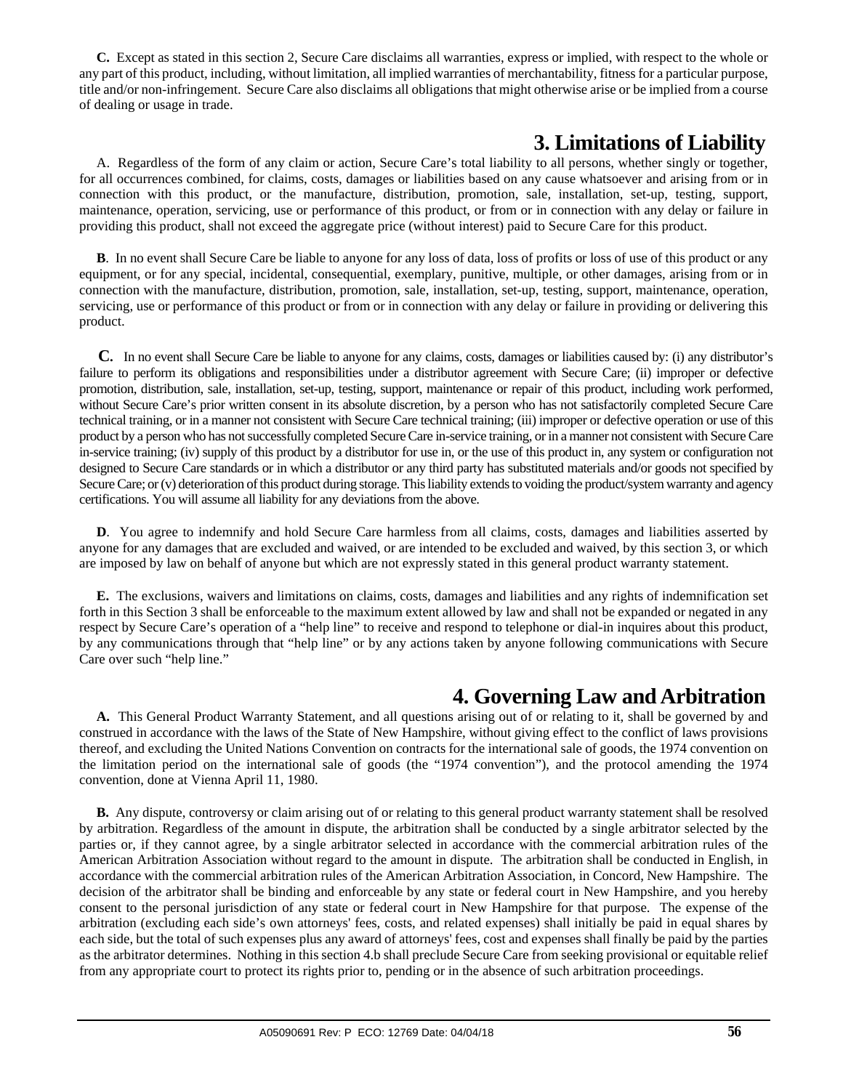**C.** Except as stated in this section 2, Secure Care disclaims all warranties, express or implied, with respect to the whole or any part of this product, including, without limitation, all implied warranties of merchantability, fitness for a particular purpose, title and/or non-infringement. Secure Care also disclaims all obligations that might otherwise arise or be implied from a course of dealing or usage in trade.

## **3. Limitations of Liability**

 A. Regardless of the form of any claim or action, Secure Care's total liability to all persons, whether singly or together, for all occurrences combined, for claims, costs, damages or liabilities based on any cause whatsoever and arising from or in connection with this product, or the manufacture, distribution, promotion, sale, installation, set-up, testing, support, maintenance, operation, servicing, use or performance of this product, or from or in connection with any delay or failure in providing this product, shall not exceed the aggregate price (without interest) paid to Secure Care for this product.

 **B**. In no event shall Secure Care be liable to anyone for any loss of data, loss of profits or loss of use of this product or any equipment, or for any special, incidental, consequential, exemplary, punitive, multiple, or other damages, arising from or in connection with the manufacture, distribution, promotion, sale, installation, set-up, testing, support, maintenance, operation, servicing, use or performance of this product or from or in connection with any delay or failure in providing or delivering this product.

 **C.** In no event shall Secure Care be liable to anyone for any claims, costs, damages or liabilities caused by: (i) any distributor's failure to perform its obligations and responsibilities under a distributor agreement with Secure Care; (ii) improper or defective promotion, distribution, sale, installation, set-up, testing, support, maintenance or repair of this product, including work performed, without Secure Care's prior written consent in its absolute discretion, by a person who has not satisfactorily completed Secure Care technical training, or in a manner not consistent with Secure Care technical training; (iii) improper or defective operation or use of this product by a person who has not successfully completed Secure Care in-service training, or in a manner not consistent with Secure Care in-service training; (iv) supply of this product by a distributor for use in, or the use of this product in, any system or configuration not designed to Secure Care standards or in which a distributor or any third party has substituted materials and/or goods not specified by Secure Care; or (v) deterioration of this product during storage. This liability extends to voiding the product/system warranty and agency certifications. You will assume all liability for any deviations from the above.

 **D**. You agree to indemnify and hold Secure Care harmless from all claims, costs, damages and liabilities asserted by anyone for any damages that are excluded and waived, or are intended to be excluded and waived, by this section 3, or which are imposed by law on behalf of anyone but which are not expressly stated in this general product warranty statement.

 **E.** The exclusions, waivers and limitations on claims, costs, damages and liabilities and any rights of indemnification set forth in this Section 3 shall be enforceable to the maximum extent allowed by law and shall not be expanded or negated in any respect by Secure Care's operation of a "help line" to receive and respond to telephone or dial-in inquires about this product, by any communications through that "help line" or by any actions taken by anyone following communications with Secure Care over such "help line."

## **4. Governing Law and Arbitration**

 **A.** This General Product Warranty Statement, and all questions arising out of or relating to it, shall be governed by and construed in accordance with the laws of the State of New Hampshire, without giving effect to the conflict of laws provisions thereof, and excluding the United Nations Convention on contracts for the international sale of goods, the 1974 convention on the limitation period on the international sale of goods (the "1974 convention"), and the protocol amending the 1974 convention, done at Vienna April 11, 1980.

 **B.** Any dispute, controversy or claim arising out of or relating to this general product warranty statement shall be resolved by arbitration. Regardless of the amount in dispute, the arbitration shall be conducted by a single arbitrator selected by the parties or, if they cannot agree, by a single arbitrator selected in accordance with the commercial arbitration rules of the American Arbitration Association without regard to the amount in dispute. The arbitration shall be conducted in English, in accordance with the commercial arbitration rules of the American Arbitration Association, in Concord, New Hampshire. The decision of the arbitrator shall be binding and enforceable by any state or federal court in New Hampshire, and you hereby consent to the personal jurisdiction of any state or federal court in New Hampshire for that purpose. The expense of the arbitration (excluding each side's own attorneys' fees, costs, and related expenses) shall initially be paid in equal shares by each side, but the total of such expenses plus any award of attorneys' fees, cost and expenses shall finally be paid by the parties as the arbitrator determines. Nothing in this section 4.b shall preclude Secure Care from seeking provisional or equitable relief from any appropriate court to protect its rights prior to, pending or in the absence of such arbitration proceedings.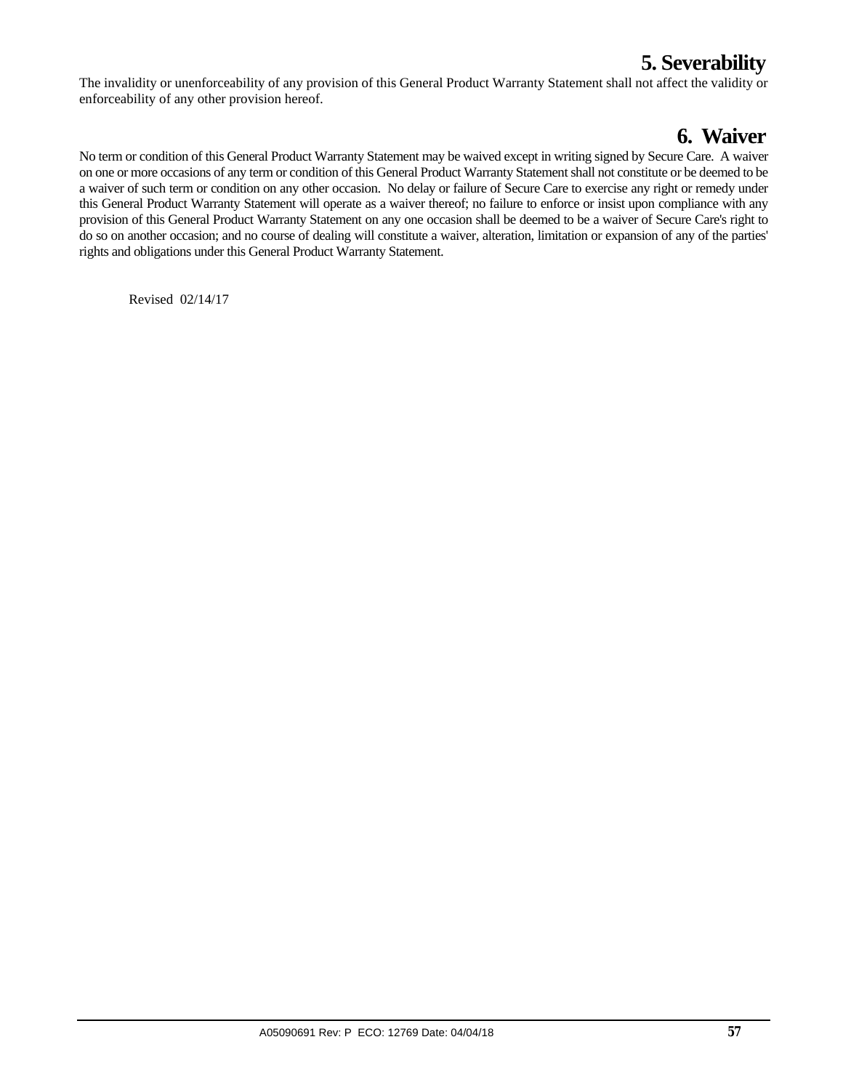## **5. Severability**

The invalidity or unenforceability of any provision of this General Product Warranty Statement shall not affect the validity or enforceability of any other provision hereof.

## **6. Waiver**

No term or condition of this General Product Warranty Statement may be waived except in writing signed by Secure Care. A waiver on one or more occasions of any term or condition of this General Product Warranty Statement shall not constitute or be deemed to be a waiver of such term or condition on any other occasion. No delay or failure of Secure Care to exercise any right or remedy under this General Product Warranty Statement will operate as a waiver thereof; no failure to enforce or insist upon compliance with any provision of this General Product Warranty Statement on any one occasion shall be deemed to be a waiver of Secure Care's right to do so on another occasion; and no course of dealing will constitute a waiver, alteration, limitation or expansion of any of the parties' rights and obligations under this General Product Warranty Statement.

Revised 02/14/17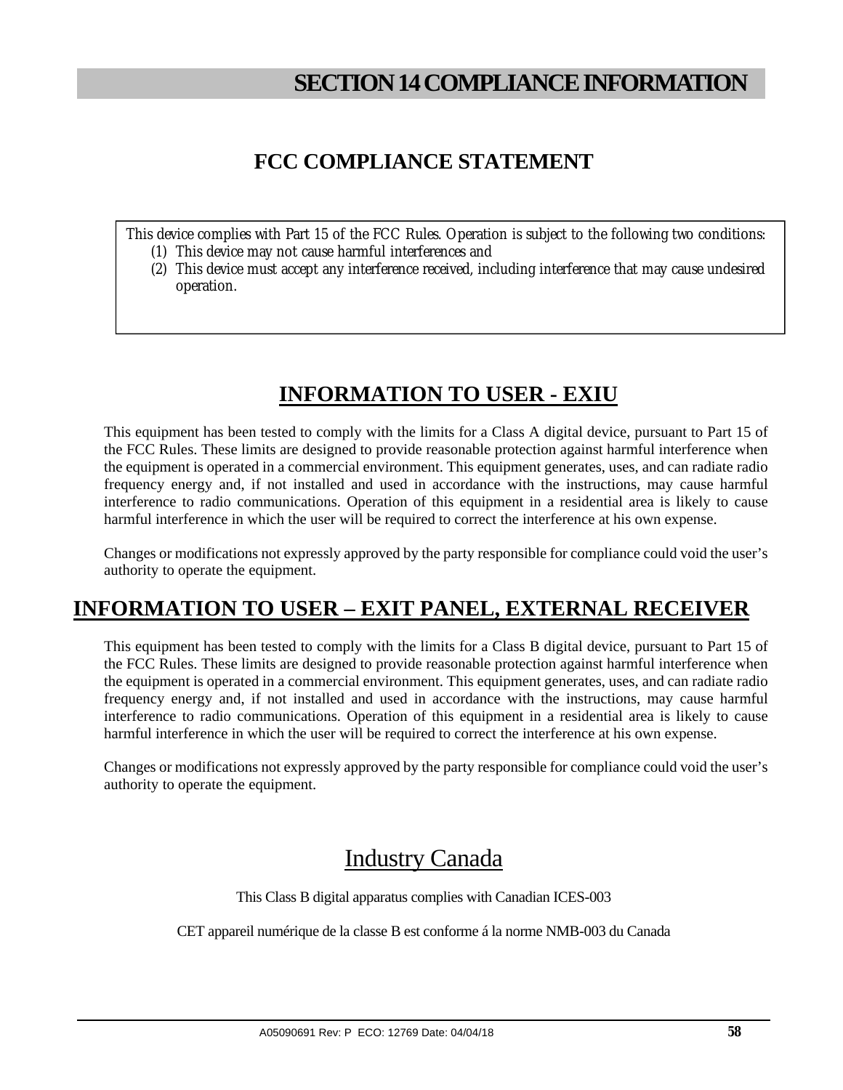## **SECTION 14 COMPLIANCE INFORMATION**

## **FCC COMPLIANCE STATEMENT**

This device complies with Part 15 of the FCC Rules. Operation is subject to the following two conditions:

- (1) This device may not cause harmful interferences and
- (2) This device must accept any interference received, including interference that may cause undesired operation.

## **INFORMATION TO USER - EXIU**

This equipment has been tested to comply with the limits for a Class A digital device, pursuant to Part 15 of the FCC Rules. These limits are designed to provide reasonable protection against harmful interference when the equipment is operated in a commercial environment. This equipment generates, uses, and can radiate radio frequency energy and, if not installed and used in accordance with the instructions, may cause harmful interference to radio communications. Operation of this equipment in a residential area is likely to cause harmful interference in which the user will be required to correct the interference at his own expense.

Changes or modifications not expressly approved by the party responsible for compliance could void the user's authority to operate the equipment.

## **INFORMATION TO USER – EXIT PANEL, EXTERNAL RECEIVER**

This equipment has been tested to comply with the limits for a Class B digital device, pursuant to Part 15 of the FCC Rules. These limits are designed to provide reasonable protection against harmful interference when the equipment is operated in a commercial environment. This equipment generates, uses, and can radiate radio frequency energy and, if not installed and used in accordance with the instructions, may cause harmful interference to radio communications. Operation of this equipment in a residential area is likely to cause harmful interference in which the user will be required to correct the interference at his own expense.

Changes or modifications not expressly approved by the party responsible for compliance could void the user's authority to operate the equipment.

## Industry Canada

This Class B digital apparatus complies with Canadian ICES-003

CET appareil numérique de la classe B est conforme á la norme NMB-003 du Canada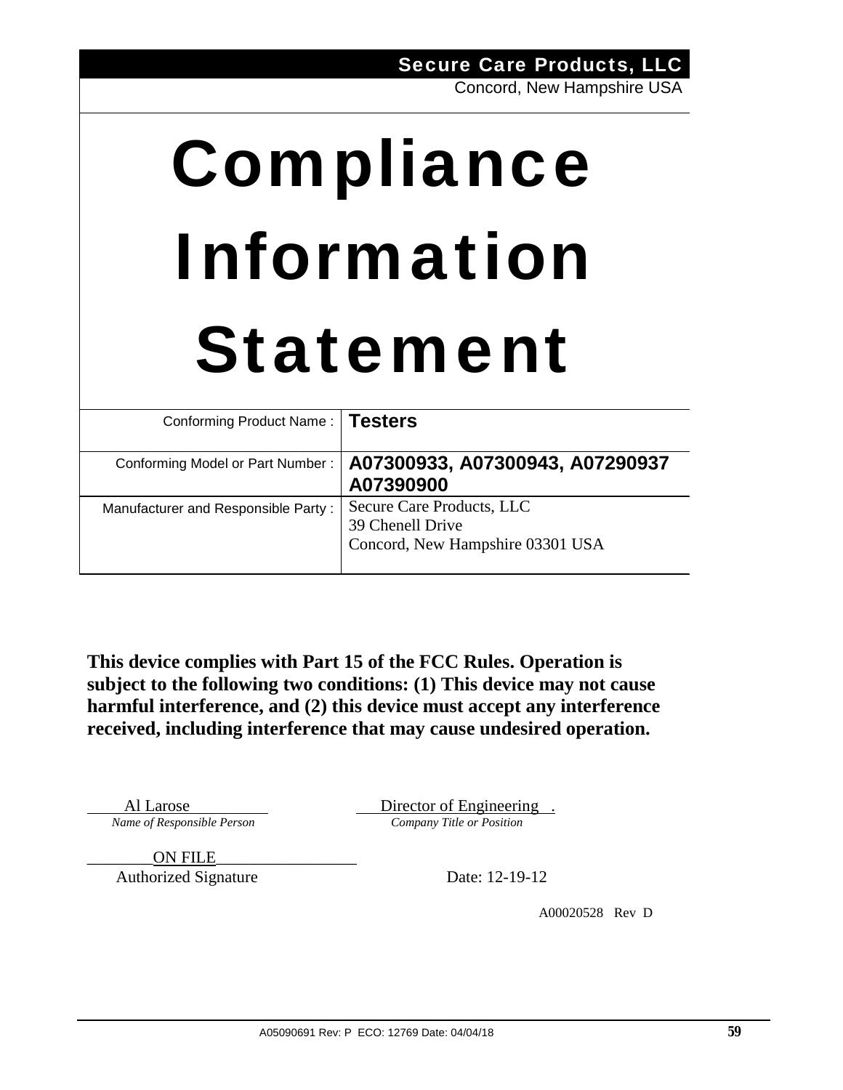# Compliance Information Statement

| Conforming Product Name:   Testers  |                                                                                   |
|-------------------------------------|-----------------------------------------------------------------------------------|
| Conforming Model or Part Number:    | A07300933, A07300943, A07290937<br>A07390900                                      |
| Manufacturer and Responsible Party: | Secure Care Products, LLC<br>39 Chenell Drive<br>Concord, New Hampshire 03301 USA |

**This device complies with Part 15 of the FCC Rules. Operation is subject to the following two conditions: (1) This device may not cause harmful interference, and (2) this device must accept any interference received, including interference that may cause undesired operation.** 

Al Larose Director of Engineering. *Name of Responsible Person Company Title or Position* 

\_\_\_\_\_\_\_\_ON FILE\_\_\_\_\_\_\_\_\_\_\_\_\_\_\_\_\_

Authorized Signature Date: 12-19-12

A00020528 Rev D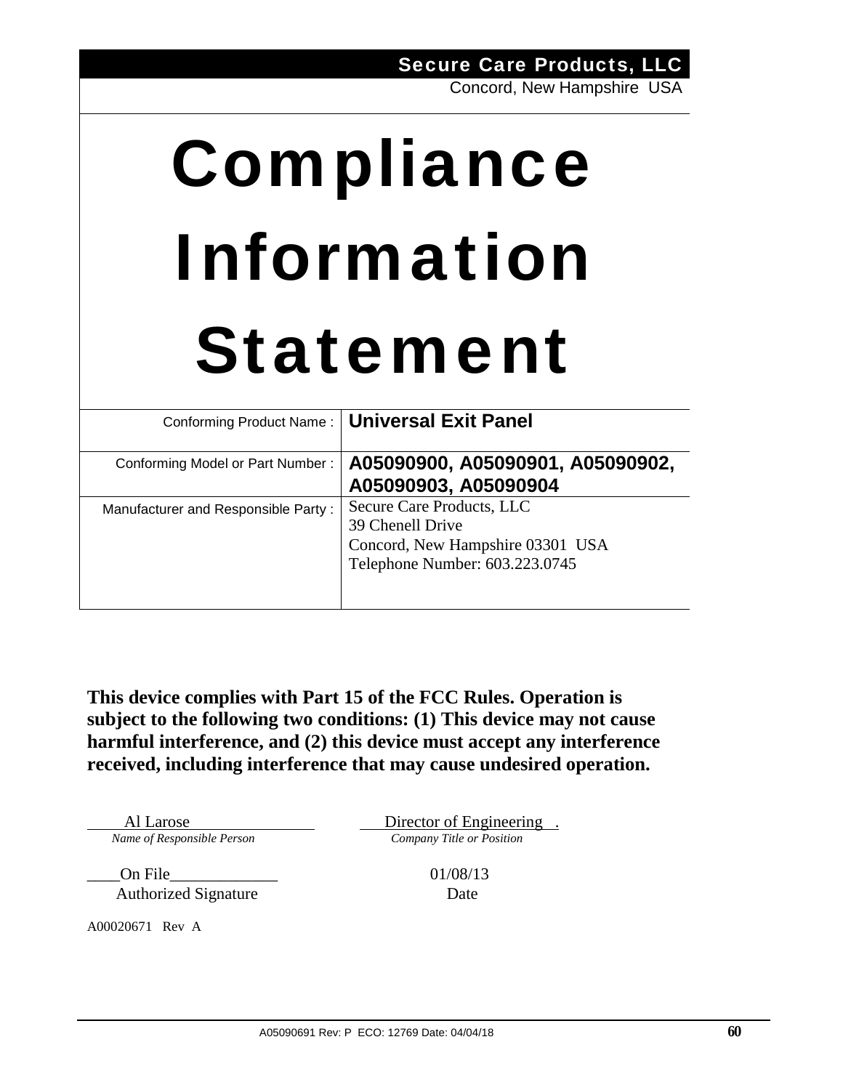# Compliance Information Statement

|                                     | Conforming Product Name:   Universal Exit Panel                                                                     |
|-------------------------------------|---------------------------------------------------------------------------------------------------------------------|
| Conforming Model or Part Number:    | A05090900, A05090901, A05090902,<br>A05090903, A05090904                                                            |
| Manufacturer and Responsible Party: | Secure Care Products, LLC<br>39 Chenell Drive<br>Concord, New Hampshire 03301 USA<br>Telephone Number: 603.223.0745 |

**This device complies with Part 15 of the FCC Rules. Operation is subject to the following two conditions: (1) This device may not cause harmful interference, and (2) this device must accept any interference received, including interference that may cause undesired operation.** 

*Name of Responsible Person Company Title or Position* 

On File 01/08/13 Authorized Signature Date

A00020671 Rev A

Al Larose Director of Engineering .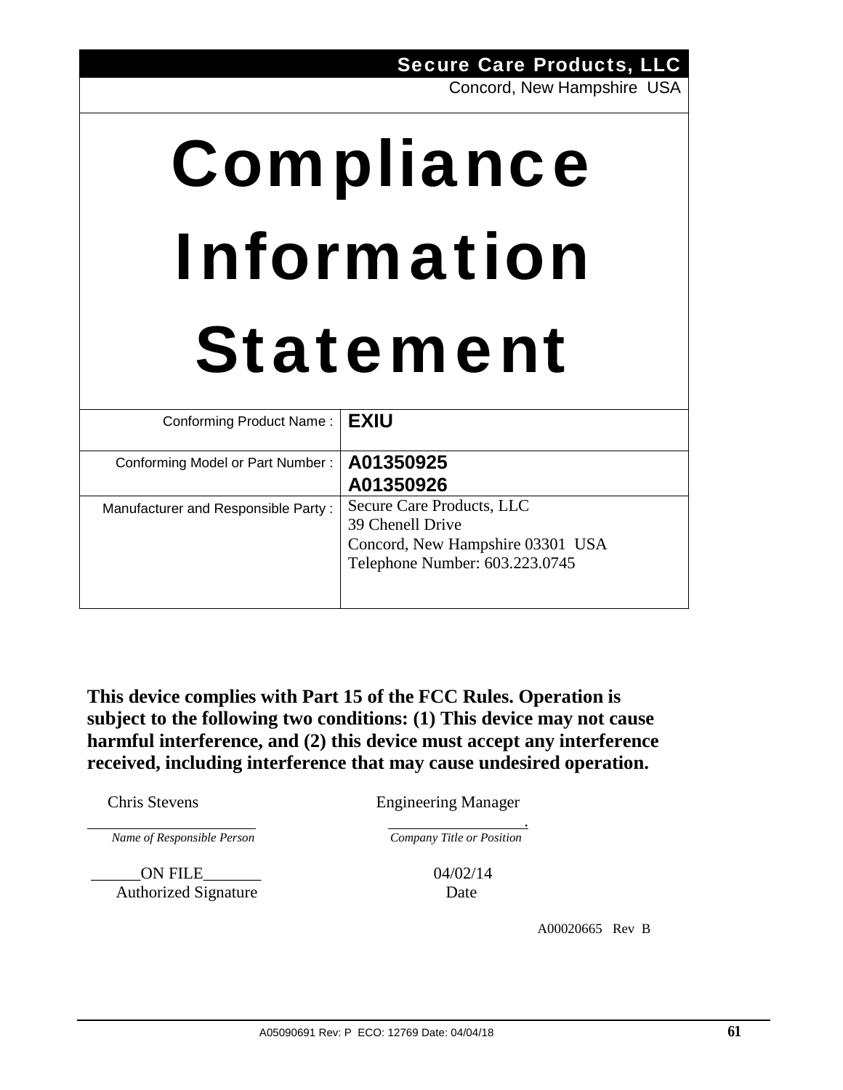|                                     | Concord, New Hampshire USA                                                                                          |  |
|-------------------------------------|---------------------------------------------------------------------------------------------------------------------|--|
| Compliance                          |                                                                                                                     |  |
| Information                         |                                                                                                                     |  |
|                                     | <b>Statement</b>                                                                                                    |  |
| Conforming Product Name:            | <b>EXIU</b>                                                                                                         |  |
| Conforming Model or Part Number:    | A01350925<br>A01350926                                                                                              |  |
| Manufacturer and Responsible Party: | Secure Care Products, LLC<br>39 Chenell Drive<br>Concord, New Hampshire 03301 USA<br>Telephone Number: 603.223.0745 |  |

Secure Care Products, LLC

**This device complies with Part 15 of the FCC Rules. Operation is subject to the following two conditions: (1) This device may not cause harmful interference, and (2) this device must accept any interference received, including interference that may cause undesired operation.** 

Chris Stevens Engineering Manager

*Name of Responsible Person Company Title or Position* 

 \_\_\_\_\_\_ON FILE\_\_\_\_\_\_\_ 04/02/14 Authorized Signature Date

.

A00020665 Rev B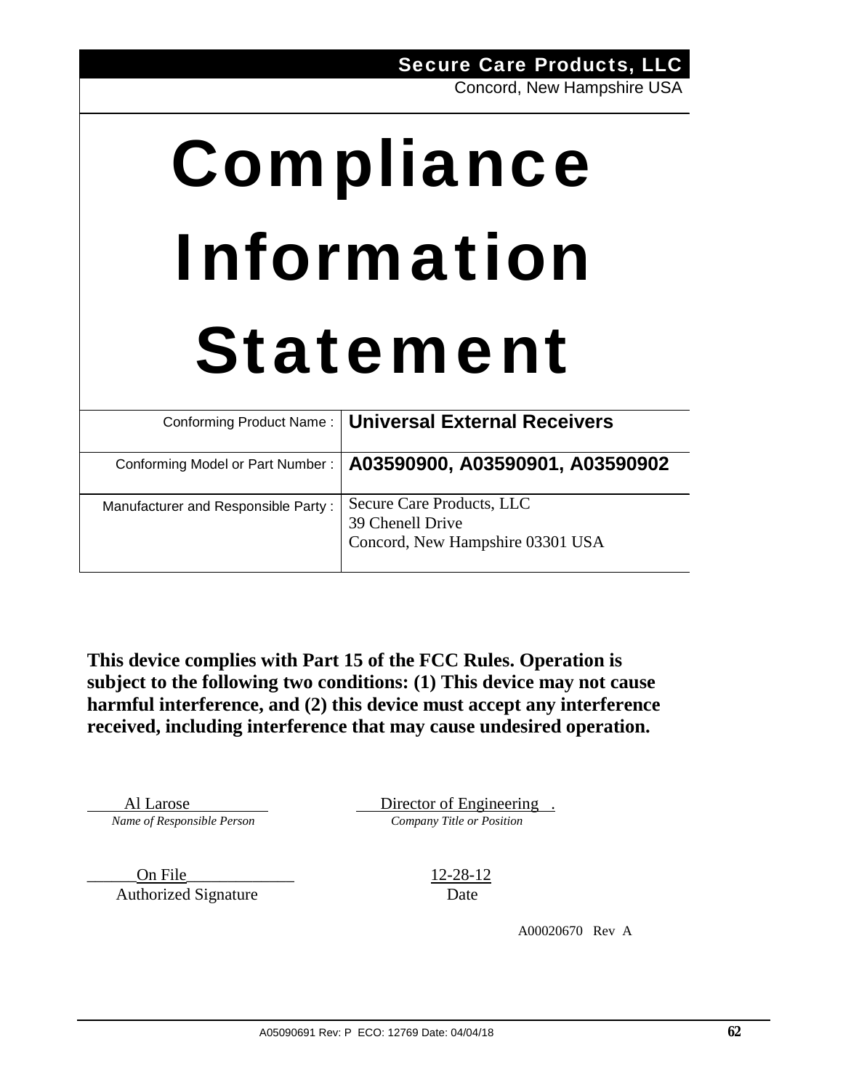# Compliance Information Statement

|                                     | Conforming Product Name:   Universal External Receivers                           |
|-------------------------------------|-----------------------------------------------------------------------------------|
| Conforming Model or Part Number:    | A03590900, A03590901, A03590902                                                   |
| Manufacturer and Responsible Party: | Secure Care Products, LLC<br>39 Chenell Drive<br>Concord, New Hampshire 03301 USA |

**This device complies with Part 15 of the FCC Rules. Operation is subject to the following two conditions: (1) This device may not cause harmful interference, and (2) this device must accept any interference received, including interference that may cause undesired operation.** 

Al Larose Director of Engineering. *Name of Responsible Person Company Title or Position* 

\_\_\_\_\_\_On File\_\_\_\_\_\_\_\_\_\_\_\_\_ 12-28-12 Authorized Signature Date

A00020670 Rev A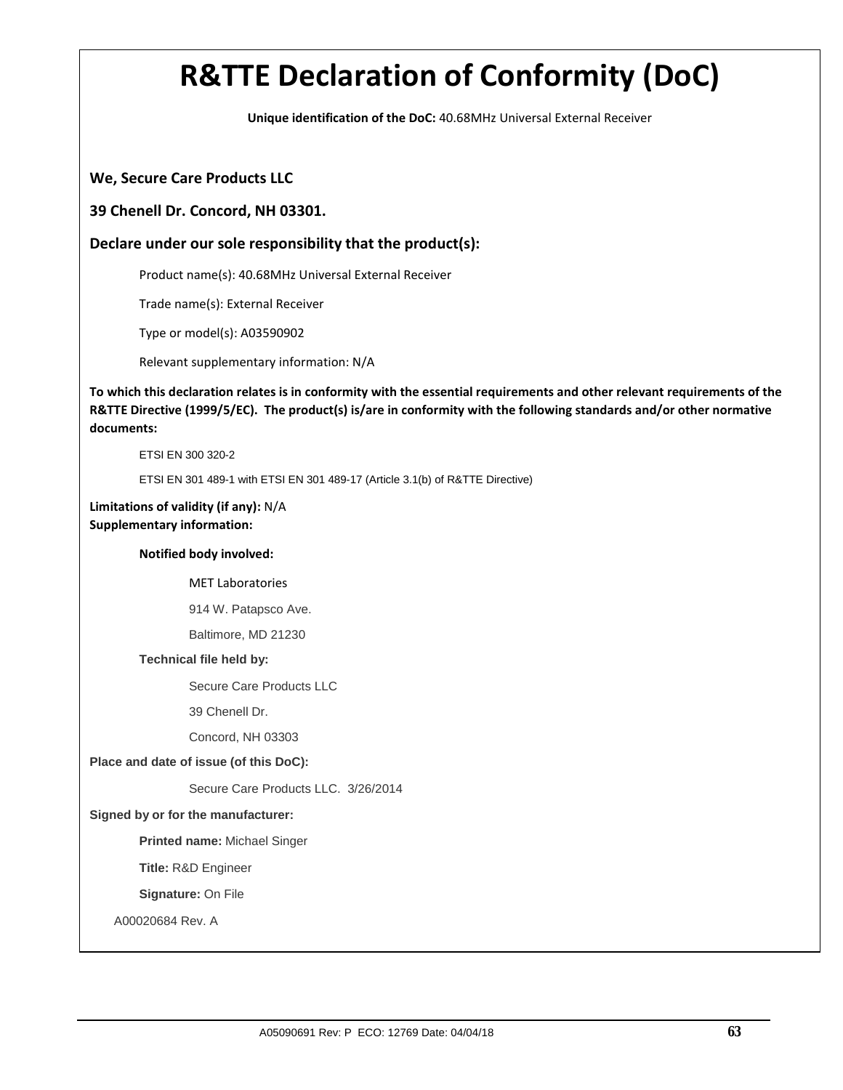**Unique identification of the DoC:** 40.68MHz Universal External Receiver

#### **We, Secure Care Products LLC**

#### **39 Chenell Dr. Concord, NH 03301.**

### **Declare under our sole responsibility that the product(s):**

Product name(s): 40.68MHz Universal External Receiver

Trade name(s): External Receiver

Type or model(s): A03590902

Relevant supplementary information: N/A

To which this declaration relates is in conformity with the essential requirements and other relevant requirements of the R&TTE Directive (1999/5/EC). The product(s) is/are in conformity with the following standards and/or other normative **documents:**

ETSI EN 300 320-2

ETSI EN 301 489-1 with ETSI EN 301 489-17 (Article 3.1(b) of R&TTE Directive)

#### **Limitations of validity (if any):** N/A **Supplementary information:**

#### **Notified body involved:**

MET Laboratories

914 W. Patapsco Ave.

Baltimore, MD 21230

#### **Technical file held by:**

Secure Care Products LLC

39 Chenell Dr.

Concord, NH 03303

#### **Place and date of issue (of this DoC):**

Secure Care Products LLC. 3/26/2014

#### **Signed by or for the manufacturer:**

**Printed name:** Michael Singer

 **Title:** R&D Engineer

**Signature:** On File

A00020684 Rev. A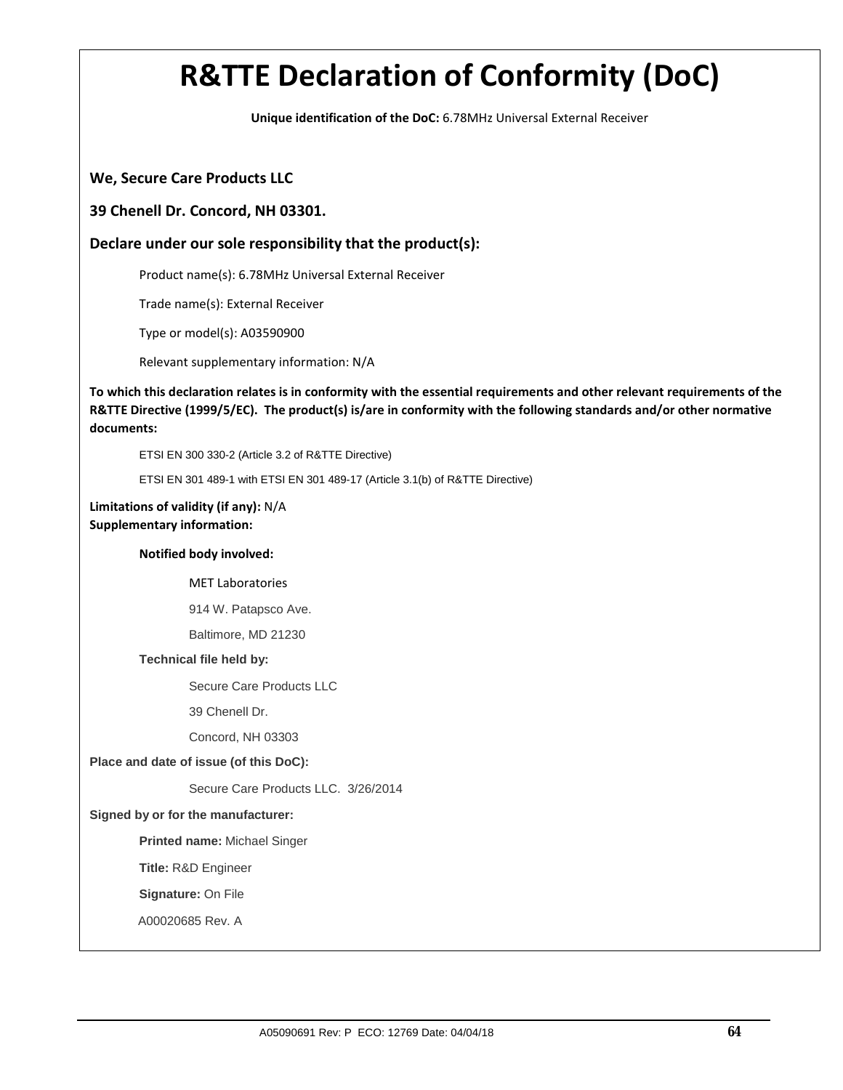**Unique identification of the DoC:** 6.78MHz Universal External Receiver

#### **We, Secure Care Products LLC**

#### **39 Chenell Dr. Concord, NH 03301.**

### **Declare under our sole responsibility that the product(s):**

Product name(s): 6.78MHz Universal External Receiver

Trade name(s): External Receiver

Type or model(s): A03590900

Relevant supplementary information: N/A

To which this declaration relates is in conformity with the essential requirements and other relevant requirements of the R&TTE Directive (1999/5/EC). The product(s) is/are in conformity with the following standards and/or other normative **documents:**

ETSI EN 300 330-2 (Article 3.2 of R&TTE Directive)

ETSI EN 301 489-1 with ETSI EN 301 489-17 (Article 3.1(b) of R&TTE Directive)

#### **Limitations of validity (if any):** N/A **Supplementary information:**

#### **Notified body involved:**

MET Laboratories

914 W. Patapsco Ave.

Baltimore, MD 21230

#### **Technical file held by:**

Secure Care Products LLC

39 Chenell Dr.

Concord, NH 03303

#### **Place and date of issue (of this DoC):**

Secure Care Products LLC. 3/26/2014

#### **Signed by or for the manufacturer:**

**Printed name:** Michael Singer

 **Title:** R&D Engineer

**Signature:** On File

A00020685 Rev. A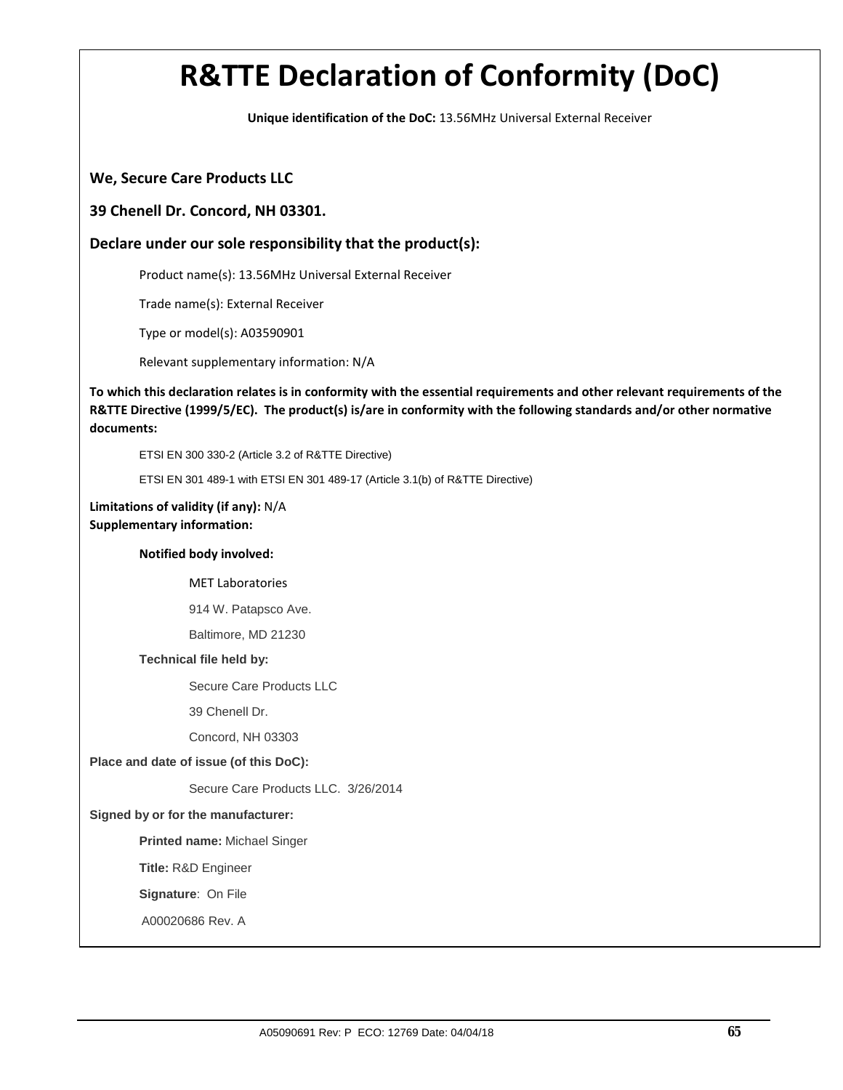**Unique identification of the DoC:** 13.56MHz Universal External Receiver

#### **We, Secure Care Products LLC**

#### **39 Chenell Dr. Concord, NH 03301.**

### **Declare under our sole responsibility that the product(s):**

Product name(s): 13.56MHz Universal External Receiver

Trade name(s): External Receiver

Type or model(s): A03590901

Relevant supplementary information: N/A

To which this declaration relates is in conformity with the essential requirements and other relevant requirements of the R&TTE Directive (1999/5/EC). The product(s) is/are in conformity with the following standards and/or other normative **documents:**

ETSI EN 300 330-2 (Article 3.2 of R&TTE Directive)

ETSI EN 301 489-1 with ETSI EN 301 489-17 (Article 3.1(b) of R&TTE Directive)

#### **Limitations of validity (if any):** N/A **Supplementary information:**

#### **Notified body involved:**

MET Laboratories

914 W. Patapsco Ave.

Baltimore, MD 21230

#### **Technical file held by:**

Secure Care Products LLC

39 Chenell Dr.

Concord, NH 03303

#### **Place and date of issue (of this DoC):**

Secure Care Products LLC. 3/26/2014

#### **Signed by or for the manufacturer:**

**Printed name:** Michael Singer

 **Title:** R&D Engineer

**Signature**: On File

A00020686 Rev. A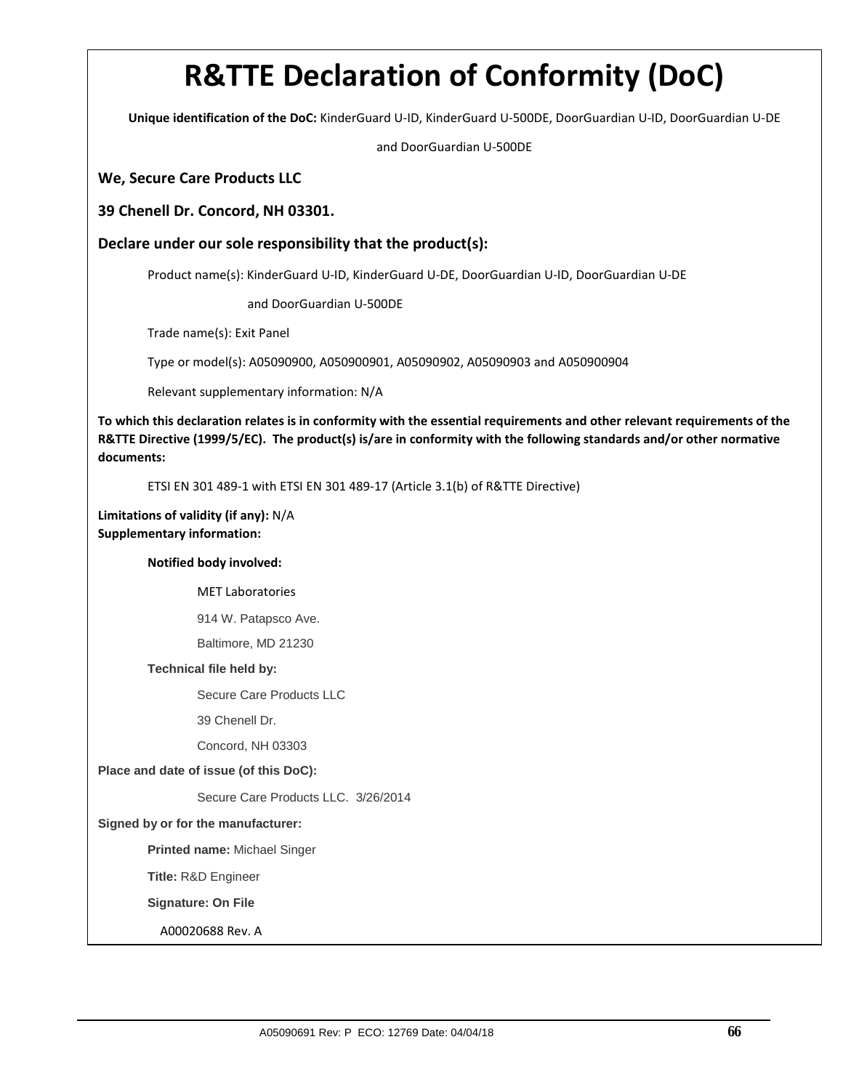**Unique identification of the DoC:** KinderGuard U‐ID, KinderGuard U‐500DE, DoorGuardian U‐ID, DoorGuardian U‐DE

and DoorGuardian U‐500DE

#### **We, Secure Care Products LLC**

#### **39 Chenell Dr. Concord, NH 03301.**

**Declare under our sole responsibility that the product(s):**

Product name(s): KinderGuard U‐ID, KinderGuard U‐DE, DoorGuardian U‐ID, DoorGuardian U‐DE

and DoorGuardian U‐500DE

Trade name(s): Exit Panel

Type or model(s): A05090900, A050900901, A05090902, A05090903 and A050900904

Relevant supplementary information: N/A

To which this declaration relates is in conformity with the essential requirements and other relevant requirements of the R&TTE Directive (1999/5/EC). The product(s) is/are in conformity with the following standards and/or other normative **documents:**

ETSI EN 301 489‐1 with ETSI EN 301 489‐17 (Article 3.1(b) of R&TTE Directive)

**Limitations of validity (if any):** N/A **Supplementary information:**

#### **Notified body involved:**

MET Laboratories

914 W. Patapsco Ave.

Baltimore, MD 21230

#### **Technical file held by:**

Secure Care Products LLC

39 Chenell Dr.

Concord, NH 03303

#### **Place and date of issue (of this DoC):**

Secure Care Products LLC. 3/26/2014

**Signed by or for the manufacturer:** 

**Printed name:** Michael Singer

 **Title:** R&D Engineer

**Signature: On File** 

A00020688 Rev. A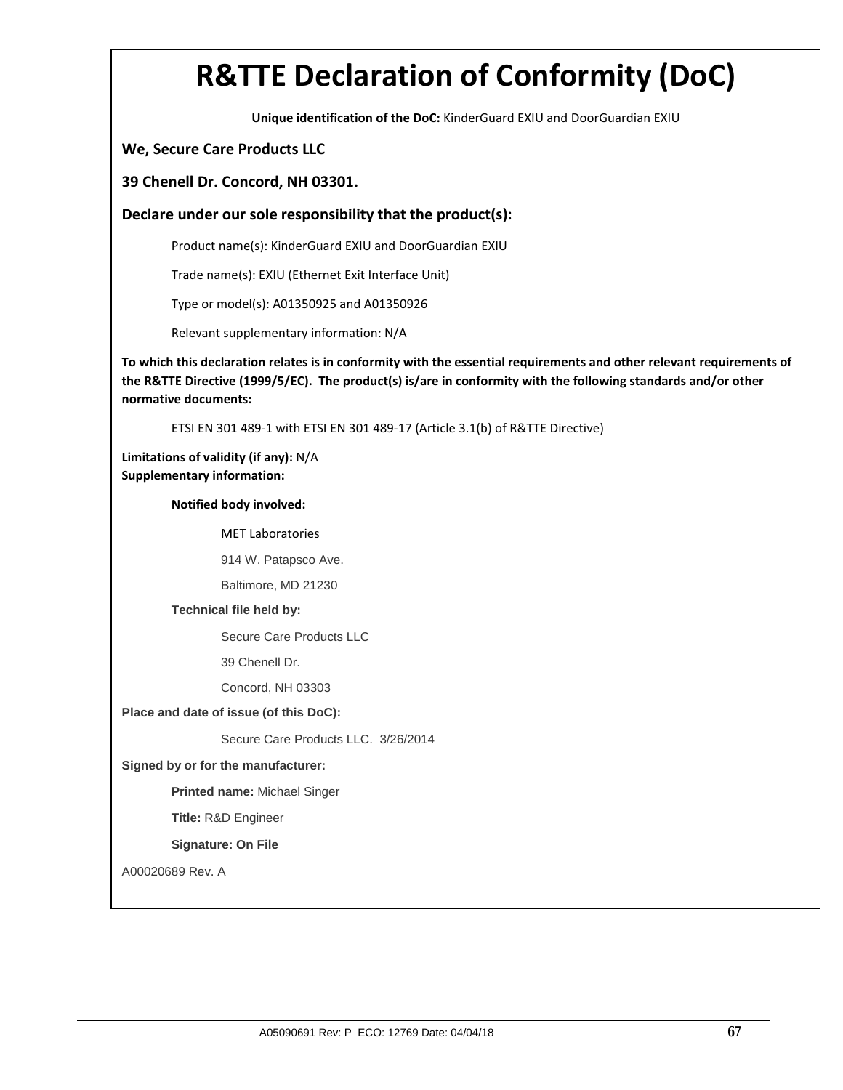**Unique identification of the DoC:** KinderGuard EXIU and DoorGuardian EXIU

### **We, Secure Care Products LLC**

#### **39 Chenell Dr. Concord, NH 03301.**

#### **Declare under our sole responsibility that the product(s):**

Product name(s): KinderGuard EXIU and DoorGuardian EXIU

Trade name(s): EXIU (Ethernet Exit Interface Unit)

Type or model(s): A01350925 and A01350926

Relevant supplementary information: N/A

To which this declaration relates is in conformity with the essential requirements and other relevant requirements of **the R&TTE Directive (1999/5/EC). The product(s) is/are in conformity with the following standards and/or other normative documents:**

ETSI EN 301 489‐1 with ETSI EN 301 489‐17 (Article 3.1(b) of R&TTE Directive)

**Limitations of validity (if any):** N/A **Supplementary information:**

**Notified body involved:** 

MET Laboratories

914 W. Patapsco Ave.

Baltimore, MD 21230

#### **Technical file held by:**

Secure Care Products LLC

39 Chenell Dr.

Concord, NH 03303

#### **Place and date of issue (of this DoC):**

Secure Care Products LLC. 3/26/2014

#### **Signed by or for the manufacturer:**

**Printed name:** Michael Singer

 **Title:** R&D Engineer

#### **Signature: On File**

A00020689 Rev. A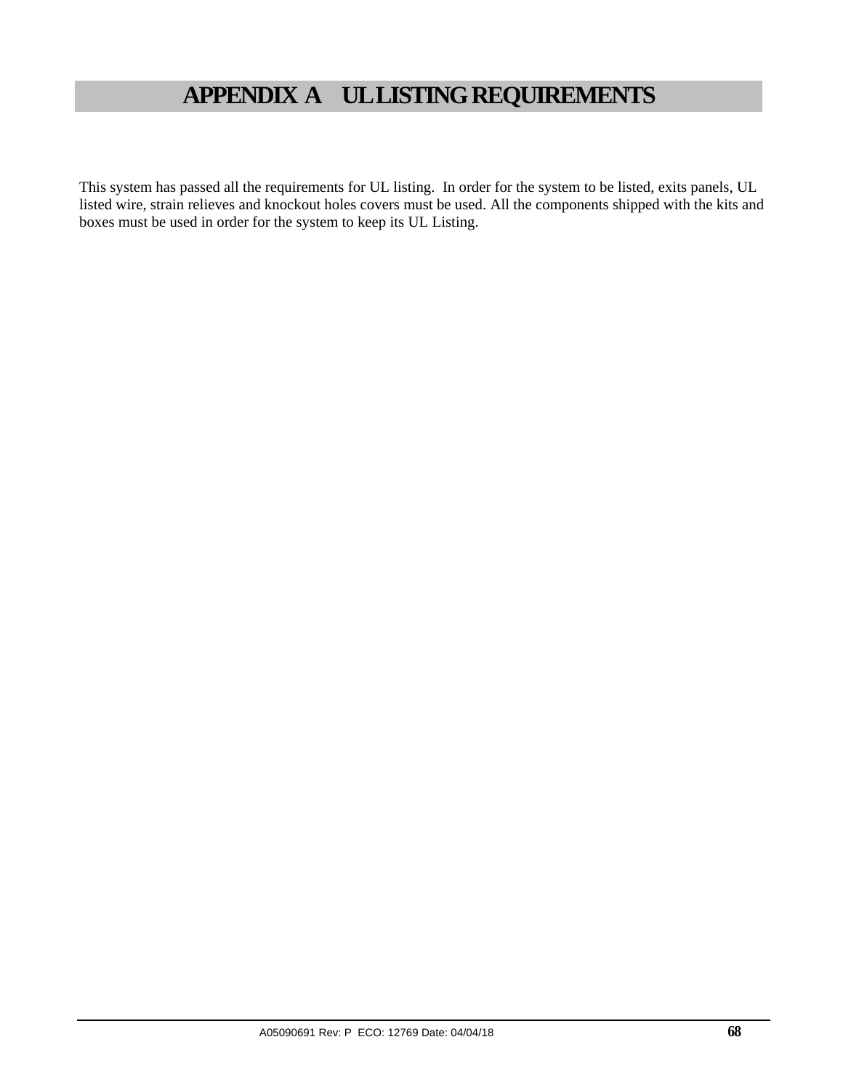## **APPENDIX A UL LISTING REQUIREMENTS**

This system has passed all the requirements for UL listing. In order for the system to be listed, exits panels, UL listed wire, strain relieves and knockout holes covers must be used. All the components shipped with the kits and boxes must be used in order for the system to keep its UL Listing.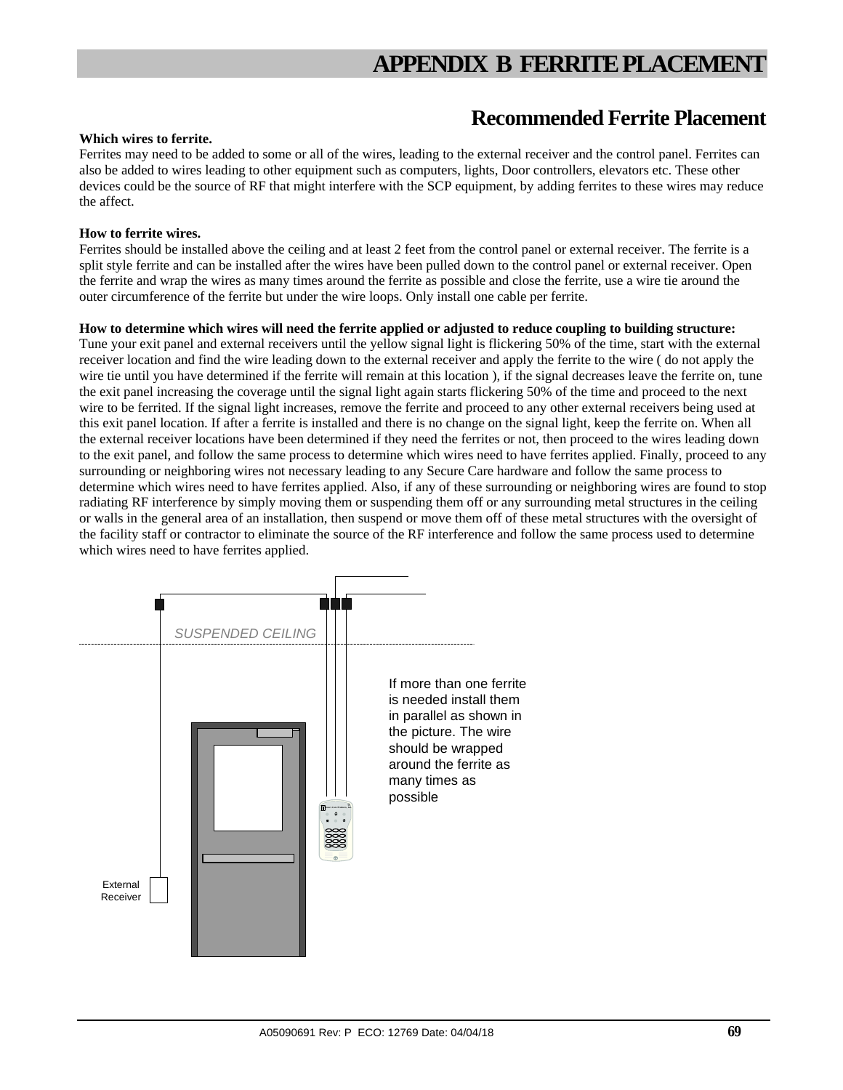## **Recommended Ferrite Placement**

#### **Which wires to ferrite.**

Ferrites may need to be added to some or all of the wires, leading to the external receiver and the control panel. Ferrites can also be added to wires leading to other equipment such as computers, lights, Door controllers, elevators etc. These other devices could be the source of RF that might interfere with the SCP equipment, by adding ferrites to these wires may reduce the affect.

#### **How to ferrite wires.**

Ferrites should be installed above the ceiling and at least 2 feet from the control panel or external receiver. The ferrite is a split style ferrite and can be installed after the wires have been pulled down to the control panel or external receiver. Open the ferrite and wrap the wires as many times around the ferrite as possible and close the ferrite, use a wire tie around the outer circumference of the ferrite but under the wire loops. Only install one cable per ferrite.

#### **How to determine which wires will need the ferrite applied or adjusted to reduce coupling to building structure:**

Tune your exit panel and external receivers until the yellow signal light is flickering 50% of the time, start with the external receiver location and find the wire leading down to the external receiver and apply the ferrite to the wire ( do not apply the wire tie until you have determined if the ferrite will remain at this location ), if the signal decreases leave the ferrite on, tune the exit panel increasing the coverage until the signal light again starts flickering 50% of the time and proceed to the next wire to be ferrited. If the signal light increases, remove the ferrite and proceed to any other external receivers being used at this exit panel location. If after a ferrite is installed and there is no change on the signal light, keep the ferrite on. When all the external receiver locations have been determined if they need the ferrites or not, then proceed to the wires leading down to the exit panel, and follow the same process to determine which wires need to have ferrites applied. Finally, proceed to any surrounding or neighboring wires not necessary leading to any Secure Care hardware and follow the same process to determine which wires need to have ferrites applied. Also, if any of these surrounding or neighboring wires are found to stop radiating RF interference by simply moving them or suspending them off or any surrounding metal structures in the ceiling or walls in the general area of an installation, then suspend or move them off of these metal structures with the oversight of the facility staff or contractor to eliminate the source of the RF interference and follow the same process used to determine which wires need to have ferrites applied.

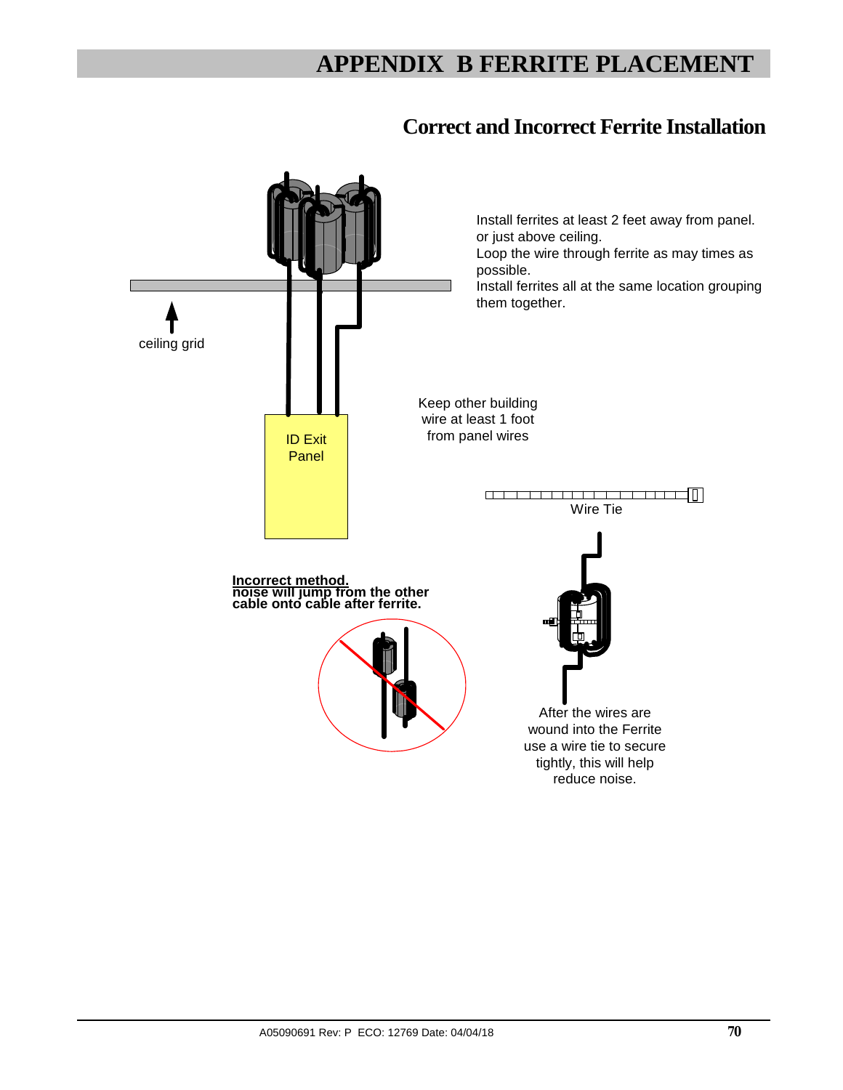## **APPENDIX B FERRITE PLACEMENT**

## **Correct and Incorrect Ferrite Installation**

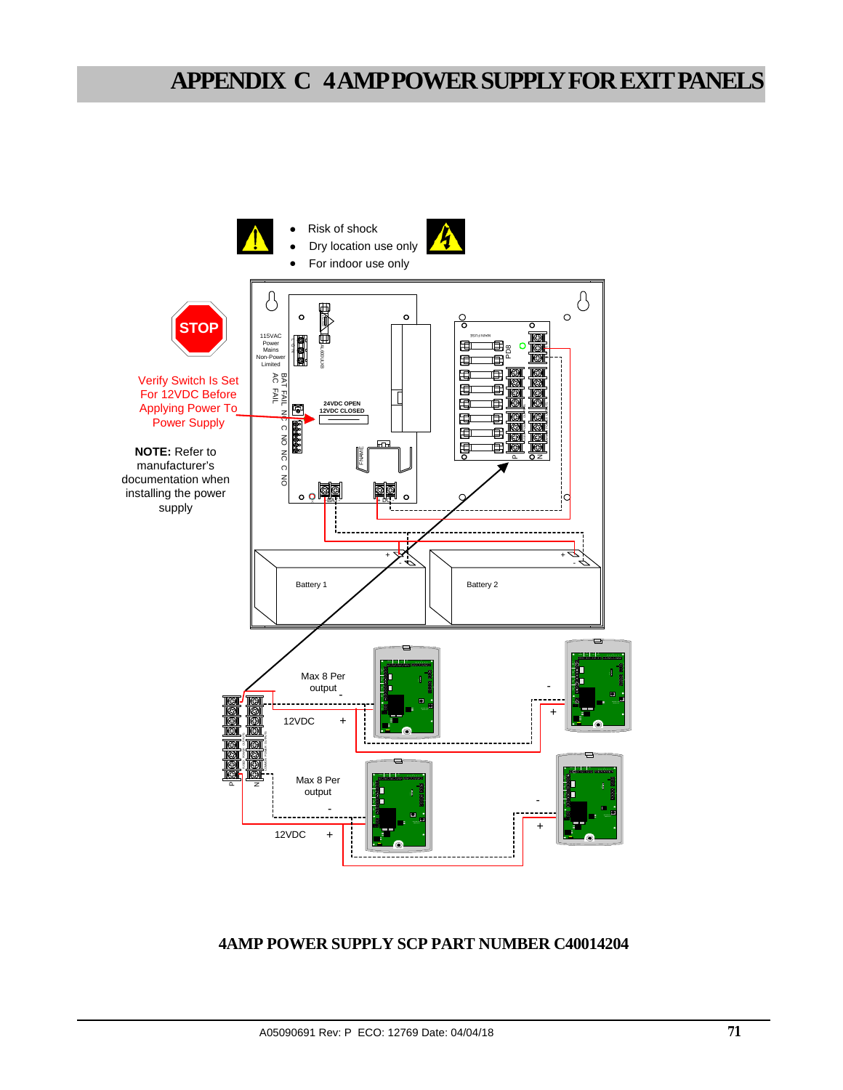## **APPENDIX C 4 AMP POWER SUPPLY FOR EXIT PANELS**



## **4AMP POWER SUPPLY SCP PART NUMBER C40014204**